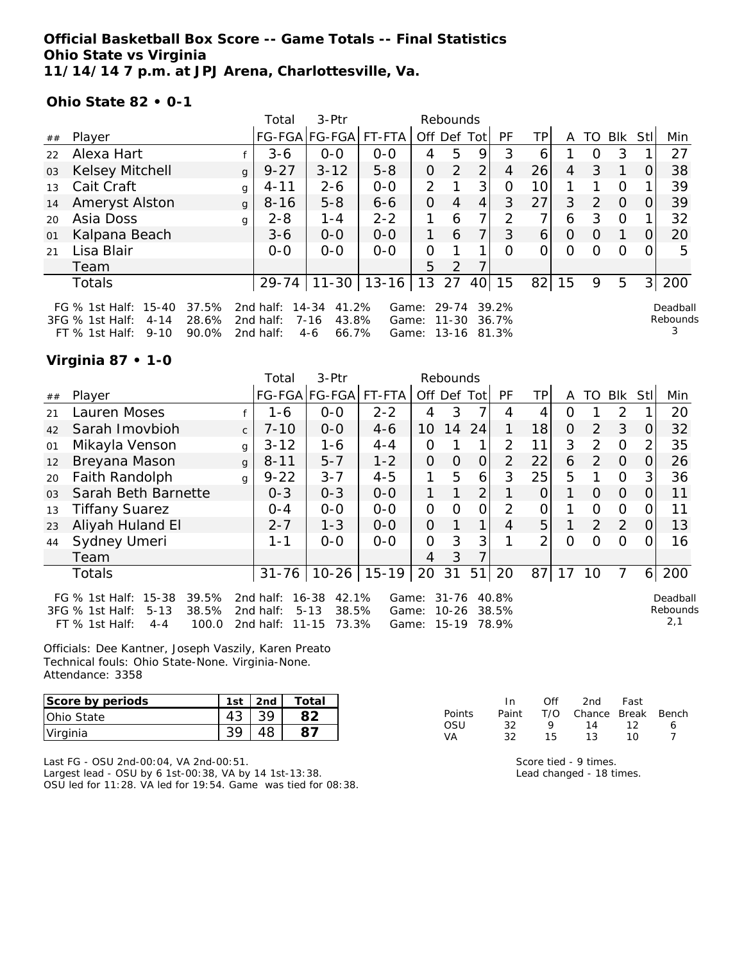## **Official Basketball Box Score -- Game Totals -- Final Statistics Ohio State vs Virginia 11/14/14 7 p.m. at JPJ Arena, Charlottesville, Va.**

### **Ohio State 82 • 0-1**

|    |                                                                                                                  |              | Total                               | $3-Ptr$                                           |                         |                   | Rebounds       |                |                |          |                |               |          |             |                           |
|----|------------------------------------------------------------------------------------------------------------------|--------------|-------------------------------------|---------------------------------------------------|-------------------------|-------------------|----------------|----------------|----------------|----------|----------------|---------------|----------|-------------|---------------------------|
| ## | Player                                                                                                           |              |                                     | FG-FGA FG-FGA                                     | $FT-FTA$                | Off Def Tot       |                |                | <b>PF</b>      | TPI      | A              | TO.           | Blk      | <b>StII</b> | Min                       |
| 22 | Alexa Hart                                                                                                       |              | $3 - 6$                             | $0 - 0$                                           | $0 - 0$                 | 4                 | 5              | 9              | 3              | 6        |                | O             | 3        |             | 27                        |
| 03 | Kelsey Mitchell                                                                                                  | g            | $9 - 27$                            | $3 - 12$                                          | $5 - 8$                 | 0                 | 2              | 2              | 4              | 26       | $\overline{4}$ | 3             |          | $\Omega$    | 38                        |
| 13 | Cait Craft                                                                                                       | g            | $4 - 11$                            | $2 - 6$                                           | $0-0$                   | $\overline{2}$    |                | 3              | O              | 10       |                |               | O        |             | 39                        |
| 14 | Ameryst Alston                                                                                                   | $\mathbf{q}$ | $8 - 16$                            | $5 - 8$                                           | $6 - 6$                 | $\overline{O}$    | 4              | $\overline{4}$ | 3              | 27       | 3              | $\mathcal{L}$ | $\Omega$ | $\Omega$    | 39                        |
| 20 | Asia Doss                                                                                                        | g            | $2 - 8$                             | $1 - 4$                                           | $2 - 2$                 |                   | 6              | 7.             | $\mathcal{P}$  | 7.       | 6              | 3             | $\Omega$ |             | 32                        |
| 01 | Kalpana Beach                                                                                                    |              | $3 - 6$                             | $0 - 0$                                           | $0 - 0$                 | 1                 | 6              | 7              | 3              | $6 \mid$ | $\Omega$       | $\Omega$      |          | $\Omega$    | 20                        |
| 21 | Lisa Blair                                                                                                       |              | $0 - 0$                             | $0 - 0$                                           | $0 - 0$                 | 0                 |                |                | $\Omega$       | 0        | 0              | ∩             | O        | $\Omega$    | 5                         |
|    | Team                                                                                                             |              |                                     |                                                   |                         | 5                 | 2              | 7              |                |          |                |               |          |             |                           |
|    | Totals                                                                                                           |              | $29 - 74$                           |                                                   | $11-30$   13-16   13 27 |                   |                | 40             | 15             | 82       | 15             | 9             | 5        | 3           | 200                       |
|    | 37.5%<br>FG % 1st Half: 15-40<br>28.6%<br>$3FG$ % 1st Half:<br>$4 - 14$<br>90.0%<br>$FT$ % 1st Half:<br>$9 - 10$ |              | 2nd half:<br>2nd half:<br>2nd half: | 14-34<br>41.2%<br>7-16<br>43.8%<br>66.7%<br>$4-6$ | Game:<br>Game:          | Game: 13-16 81.3% | 29-74<br>11-30 |                | 39.2%<br>36.7% |          |                |               |          |             | Deadball<br>Rebounds<br>3 |

### **Virginia 87 • 1-0**

|                |                                                                                                                      |              | Total                               | 3-Ptr                                                     |                         |                | Rebounds                      |                |                         |               |                |               |                |          |                             |
|----------------|----------------------------------------------------------------------------------------------------------------------|--------------|-------------------------------------|-----------------------------------------------------------|-------------------------|----------------|-------------------------------|----------------|-------------------------|---------------|----------------|---------------|----------------|----------|-----------------------------|
| ##             | Player                                                                                                               |              |                                     | FG-FGA FG-FGA                                             | FT-FTA                  |                | Off Def                       | Totl           | PF                      | TP            | A              | TO            | <b>Blk</b>     | Stll     | Min                         |
| 21             | Lauren Moses                                                                                                         |              | $1 - 6$                             | $0-0$                                                     | $2 - 2$                 | 4              | 3                             | 7              | 4                       | 4             | O              |               | 2              |          | 20                          |
| 42             | Sarah Imovbioh                                                                                                       | $\mathsf{C}$ | $7 - 10$                            | $0 - 0$                                                   | $4 - 6$                 | 10             | 14                            | 24             |                         | 18            | $\overline{O}$ | $\mathcal{P}$ | 3              | 0        | 32                          |
| 01             | Mikayla Venson                                                                                                       | g            | $3 - 12$                            | $1 - 6$                                                   | $4 - 4$                 | 0              |                               |                | 2                       | 11            | 3              | 2             | $\circ$        | 2        | 35                          |
| 12             | Breyana Mason                                                                                                        | $\mathbf{q}$ | $8 - 11$                            | $5 - 7$                                                   | $1 - 2$                 | 0              | 0                             | 0              | 2                       | 22            | 6              | 2             | $\overline{0}$ | O        | 26                          |
| 20             | Faith Randolph                                                                                                       | $\alpha$     | $9 - 22$                            | $3 - 7$                                                   | $4 - 5$                 | 1              | 5                             | 6              | 3                       | 25            | 5              | 1             | $\Omega$       | 3        | 36                          |
| 0 <sub>3</sub> | Sarah Beth Barnette                                                                                                  |              | $0 - 3$                             | $0 - 3$                                                   | $0-0$                   | 1              |                               | $\overline{2}$ |                         | $\Omega$      |                | $\Omega$      | $\Omega$       | $\Omega$ | 11                          |
| 13             | <b>Tiffany Suarez</b>                                                                                                |              | $0 - 4$                             | $0-0$                                                     | $0-0$                   | 0              | $\Omega$                      | 0              | 2                       | 0             |                | $\Omega$      | $\Omega$       | $\Omega$ | 11                          |
| 23             | Aliyah Huland El                                                                                                     |              | $2 - 7$                             | $1 - 3$                                                   | $0 - 0$                 | $\Omega$       |                               | 1              | 4                       | 5             |                | $\mathcal{P}$ | 2              | $\Omega$ | 13                          |
| 44             | Sydney Umeri                                                                                                         |              | $1 - 1$                             | $0 - 0$                                                   | $0 - 0$                 | 0              | 3                             | 3              |                         | $\mathcal{P}$ | $\Omega$       | Ω             | $\Omega$       |          | 16                          |
|                | Team                                                                                                                 |              |                                     |                                                           |                         | $\overline{4}$ | 3                             |                |                         |               |                |               |                |          |                             |
|                | Totals                                                                                                               |              | $31 - 76$                           | $10-26$                                                   | $15 - 19$               | 20             | 31                            | 51             | 20                      | 87            | 17             | 10            | 7              | 61       | 200                         |
|                | $15 - 38$<br>39.5%<br>FG $%$ 1st Half:<br>38.5%<br>3FG % 1st Half:<br>$5 - 13$<br>FT % 1st Half:<br>100.0<br>$4 - 4$ |              | 2nd half:<br>2nd half:<br>2nd half: | 42.1%<br>16-38<br>38.5%<br>$5 - 13$<br>73.3%<br>$11 - 15$ | Game:<br>Game:<br>Game: |                | 31-76<br>$10 - 26$<br>$15-19$ |                | 40.8%<br>38.5%<br>78.9% |               |                |               |                |          | Deadball<br>Rebounds<br>2,1 |

Officials: Dee Kantner, Joseph Vaszily, Karen Preato Technical fouls: Ohio State-None. Virginia-None. Attendance: 3358

| Score by periods | 1st | 2nd | Total |
|------------------|-----|-----|-------|
| Ohio State       | 43  |     |       |
| Virginia         |     |     |       |

Last FG - OSU 2nd-00:04, VA 2nd-00:51. Largest lead - OSU by 6 1st-00:38, VA by 14 1st-13:38. OSU led for 11:28. VA led for 19:54. Game was tied for 08:38.

|               | In.   | Off | 2nd                    | Fast |   |
|---------------|-------|-----|------------------------|------|---|
| <b>Points</b> | Paint |     | T/O Chance Break Bench |      |   |
| OSU           | 32.   | Q   | 14                     | -12  | 6 |
| VA            | 32.   | 15  | 13.                    | 10   |   |

Score tied - 9 times. Lead changed - 18 times.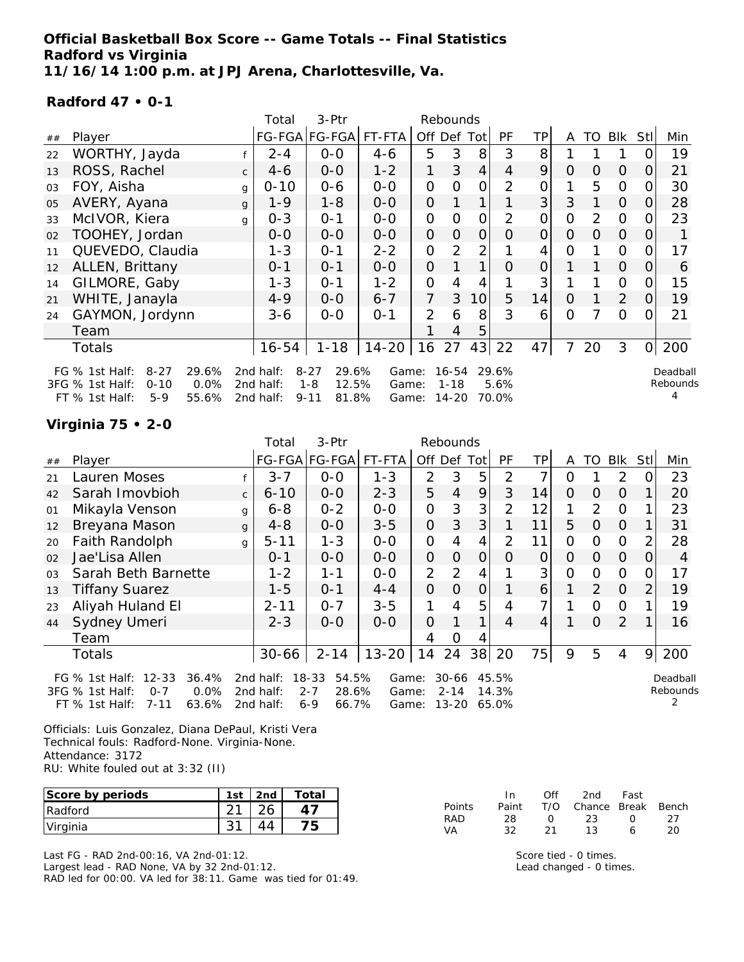## **Official Basketball Box Score -- Game Totals -- Final Statistics Radford vs Virginia 11/16/14 1:00 p.m. at JPJ Arena, Charlottesville, Va.**

### **Radford 47 • 0-1**

|    |                                       |              | Total     | 3-Ptr             |         |                | Rebounds       |                |                |                |                |                |                |                |          |
|----|---------------------------------------|--------------|-----------|-------------------|---------|----------------|----------------|----------------|----------------|----------------|----------------|----------------|----------------|----------------|----------|
| ## | Player                                |              |           | FG-FGA FG-FGA     | FT-FTA  | Off Def Tot    |                |                | PF             | TP             | A              | TO             | <b>Blk</b>     | Stll           | Min      |
| 22 | WORTHY, Jayda                         |              | $2 - 4$   | $O-O$             | $4 - 6$ | 5              | 3              | 8              | 3              | 8              |                |                |                | 0              | 19       |
| 13 | ROSS, Rachel                          | $\mathsf{C}$ | $4-6$     | $0-0$             | $1 - 2$ | 1              | 3              | $\overline{4}$ | $\overline{4}$ | 9              | $\Omega$       | $\Omega$       | $\Omega$       | 0              | 21       |
| 03 | FOY, Aisha                            | g            | $0 - 10$  | 0-6               | $0 - 0$ | $\overline{O}$ | O              | 0              | 2              | 0              |                | 5              | $\Omega$       | 0              | 30       |
| 05 | AVERY, Ayana                          | g            | $1 - 9$   | $1 - 8$           | $0-0$   | $\overline{O}$ |                |                |                | 3              | 3              |                | $\overline{O}$ | 0              | 28       |
| 33 | McIVOR, Kiera                         | g            | $0 - 3$   | $0 - 1$           | $0-0$   | $\overline{O}$ | $\overline{O}$ | 0              | 2              | $\overline{O}$ | $\overline{O}$ | 2              | $\Omega$       | 0              | 23       |
| 02 | TOOHEY, Jordan                        |              | $0-0$     | $0 - 0$           | $O-O$   | 0              | $\overline{O}$ | $\overline{O}$ | 0              | $\overline{O}$ | $\Omega$       | $\overline{O}$ | $\overline{O}$ | $\overline{O}$ |          |
| 11 | QUEVEDO, Claudia                      |              | $1 - 3$   | $0 - 1$           | $2 - 2$ | $\overline{O}$ | $\overline{2}$ | 2              |                | 4              | $\overline{O}$ |                | $\mathcal{O}$  | 0              | 17       |
| 12 | ALLEN, Brittany                       |              | $0 - 1$   | $0 - 1$           | $O-O$   | $\overline{O}$ |                |                | $\Omega$       | 0              |                |                | $\Omega$       | 0              | 6        |
| 14 | GILMORE, Gaby                         |              | $1 - 3$   | $0 - 1$           | $1 - 2$ | $\overline{O}$ | 4              | 4              |                | 3              |                |                | $\Omega$       | 0              | 15       |
| 21 | WHITE, Janayla                        |              | $4 - 9$   | $0-0$             | $6 - 7$ | 7              | 3              | 10             | 5              | 14             | $\Omega$       |                | $\overline{2}$ | 0              | 19       |
| 24 | GAYMON, Jordynn                       |              | $3 - 6$   | $O-O$             | $0 - 1$ | $\overline{2}$ | 6              | 8              | 3              | 6              | $\Omega$       |                | $\Omega$       | 0              | 21       |
|    | Team                                  |              |           |                   |         |                | 4              | 5              |                |                |                |                |                |                |          |
|    | Totals                                |              | 16-54     | $1 - 18$          | 14-20   | 16             | 27             | 43             | 22             | 47             | 7              | 20             | 3              | $\overline{O}$ | 200      |
|    | FG $%$ 1st Half:<br>$8 - 27$<br>29.6% |              | 2nd half: | $8 - 27$<br>29.6% | Game:   |                | $16 - 54$      |                | 29.6%          |                |                |                |                |                | Deadball |
|    | 0.0%<br>3FG % 1st Half:<br>$0 - 10$   |              | 2nd half: | 12.5%<br>$1 - 8$  | Game:   |                | $1 - 18$       |                | 5.6%           |                |                |                |                |                | Rebounds |
|    | FT % 1st Half:<br>55.6%<br>$5-9$      |              | 2nd half: | $9 - 11$<br>81.8% | Game:   |                | 14-20          |                | 70.0%          |                |                |                |                |                |          |

### **Virginia 75 • 2-0**

|        |                                                                                                                        |              | Total                               | 3-Ptr                                                  |                         |                | Rebounds                           |          |                         |                |          |                |                |      |                      |
|--------|------------------------------------------------------------------------------------------------------------------------|--------------|-------------------------------------|--------------------------------------------------------|-------------------------|----------------|------------------------------------|----------|-------------------------|----------------|----------|----------------|----------------|------|----------------------|
| $\#\#$ | Player                                                                                                                 |              |                                     | FG-FGA FG-FGA                                          | FT-FTA I                | Off Def        |                                    | Totl     | PF                      | ΤP             | A        | TO             | <b>Blk</b>     | Stll | Min                  |
| 21     | Lauren Moses                                                                                                           |              | $3 - 7$                             | $O-O$                                                  | $1 - 3$                 | $\overline{2}$ | 3                                  | 5        | 2                       | 7              | 0        |                | 2              |      | 23                   |
| 42     | Sarah Imovbioh                                                                                                         | $\mathsf{C}$ | $6 - 10$                            | $0-0$                                                  | $2 - 3$                 | 5              | $\overline{4}$                     | 9        | 3                       | 14             | $\Omega$ | $\Omega$       | $\Omega$       |      | 20                   |
| 01     | Mikayla Venson                                                                                                         | $\mathbf{q}$ | $6 - 8$                             | $0 - 2$                                                | $0 - 0$                 | 0              | 3                                  | 3        | 2                       | 12             | 1        | 2              | $\Omega$       |      | 23                   |
| 12     | Breyana Mason                                                                                                          | $\mathbf{q}$ | $4 - 8$                             | $0-0$                                                  | $3 - 5$                 | $\overline{O}$ | 3                                  | 3        |                         | 11             | 5        | $\Omega$       | $\overline{O}$ |      | 31                   |
| 20     | Faith Randolph                                                                                                         | g            | $5 - 11$                            | $1 - 3$                                                | $O-O$                   | 0              | 4                                  | 4        | 2                       | 11             | 0        | 0              | $\Omega$       |      | 28                   |
| 02     | Jae'Lisa Allen                                                                                                         |              | $0 - 1$                             | $0 - 0$                                                | $0-0$                   | $\overline{O}$ | $\Omega$                           | $\Omega$ | Ω                       | $\overline{O}$ | $\Omega$ | $\Omega$       | $\Omega$       | 0    | 4                    |
| 03     | Sarah Beth Barnette                                                                                                    |              | $1 - 2$                             | $1 - 1$                                                | $O-O$                   | $\overline{2}$ | $\overline{2}$                     | 4        |                         | 3              | 0        | $\Omega$       | $\mathbf{O}$   |      | 17                   |
| 13     | <b>Tiffany Suarez</b>                                                                                                  |              | 1-5                                 | $0 - 1$                                                | $4 - 4$                 | $\Omega$       | $\Omega$                           | 0        |                         | 6              |          | 2              | $\overline{O}$ |      | 19                   |
| 23     | Aliyah Huland El                                                                                                       |              | $2 - 11$                            | $O - 7$                                                | $3 - 5$                 | 1              | 4                                  | 5        | 4                       | 7 <sub>1</sub> |          | $\Omega$       | $\Omega$       |      | 19                   |
| 44     | Sydney Umeri                                                                                                           |              | $2 - 3$                             | $0 - 0$                                                | $0 - 0$                 | $\overline{O}$ |                                    | 1        | 4                       | $\overline{4}$ |          | $\overline{O}$ | 2              |      | 16                   |
|        | Team                                                                                                                   |              |                                     |                                                        |                         | 4              | O                                  | 4        |                         |                |          |                |                |      |                      |
|        | Totals                                                                                                                 |              | $30 - 66$                           | $2 - 14$                                               | $13 - 20$               | 14             | 24                                 |          | 38 20                   | 75             | 9        | 5              | 4              | 9    | 200                  |
|        | $12 - 33$<br>36.4%<br>FG $\%$ 1st Half:<br>0.0%<br>3FG % 1st Half:<br>$O - 7$<br>63.6%<br>$FT$ % 1st Half:<br>$7 - 11$ |              | 2nd half:<br>2nd half:<br>2nd half: | 18-33<br>54.5%<br>$2 - 7$<br>28.6%<br>$6 - 9$<br>66.7% | Game:<br>Game:<br>Game: |                | $30 - 66$<br>$2 - 14$<br>$13 - 20$ |          | 45.5%<br>14.3%<br>65.0% |                |          |                |                |      | Deadball<br>Rebounds |

Officials: Luis Gonzalez, Diana DePaul, Kristi Vera Technical fouls: Radford-None. Virginia-None. Attendance: 3172 RU: White fouled out at 3:32 (II)

| Score by periods | 1st | 2 <sub>nd</sub> | Total |
|------------------|-----|-----------------|-------|
| Radford          |     |                 |       |
| Virginia         |     |                 |       |

Last FG - RAD 2nd-00:16, VA 2nd-01:12.

Largest lead - RAD None, VA by 32 2nd-01:12. RAD led for 00:00. VA led for 38:11. Game was tied for 01:49.

|               | In.   | Off          | 2nd                    | Fast        |    |
|---------------|-------|--------------|------------------------|-------------|----|
| <b>Points</b> | Paint |              | T/O Chance Break Bench |             |    |
| RAD           | 28.   | <sup>n</sup> | 23                     | $^{\prime}$ | つフ |
| VА            | 32.   | -21          | 13.                    | 6           | 20 |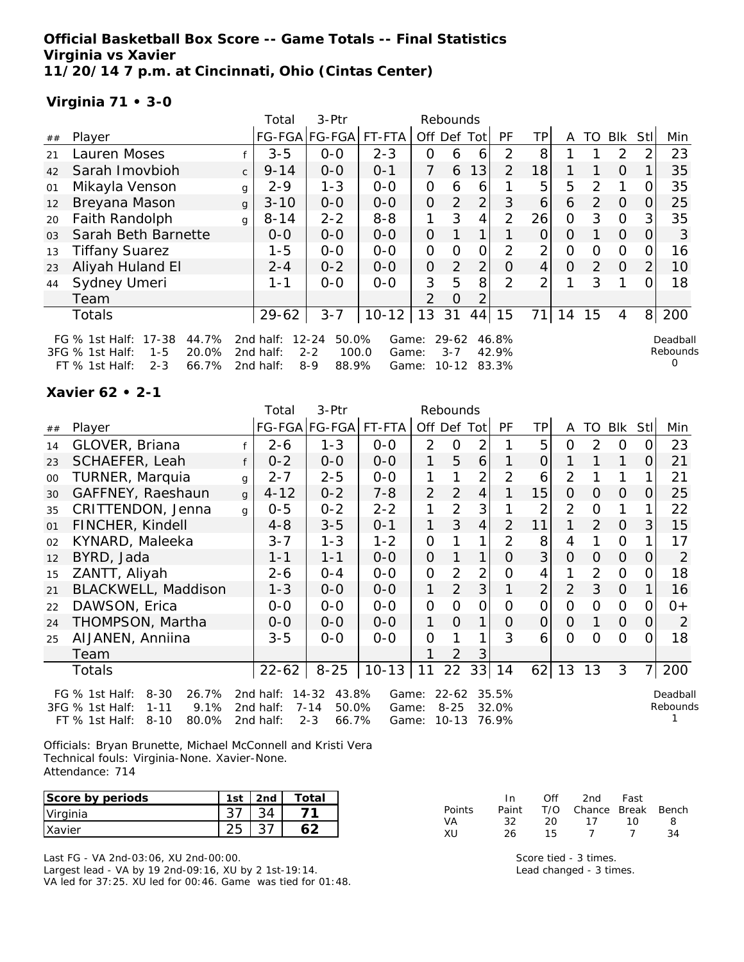**Official Basketball Box Score -- Game Totals -- Final Statistics Virginia vs Xavier 11/20/14 7 p.m. at Cincinnati, Ohio (Cintas Center)**

# **Virginia 71 • 3-0**

|                |                                                                                                                    |              | Total                               | 3-Ptr                                                      |                         |                | Rebounds                          |                |                         |                |          |               |            |                |                           |
|----------------|--------------------------------------------------------------------------------------------------------------------|--------------|-------------------------------------|------------------------------------------------------------|-------------------------|----------------|-----------------------------------|----------------|-------------------------|----------------|----------|---------------|------------|----------------|---------------------------|
| ##             | Player                                                                                                             |              |                                     | FG-FGA FG-FGA                                              | FT-FTA                  | Off            | Def                               | Tot            | PF                      | TP.            | A        | TO            | <b>Blk</b> | Stl            | Min                       |
| 21             | Lauren Moses                                                                                                       |              | $3 - 5$                             | $0 - 0$                                                    | $2 - 3$                 | 0              | 6                                 | 6              | $\mathcal{P}$           | 8              |          |               | 2          | 2              | 23                        |
| 42             | Sarah Imovbioh                                                                                                     | $\mathsf{C}$ | $9 - 14$                            | $0 - 0$                                                    | $0 - 1$                 | 7              | 6                                 | 13             | $\overline{2}$          | 18             |          |               | $\Omega$   |                | 35                        |
| 01             | Mikayla Venson                                                                                                     | g            | $2 - 9$                             | $1 - 3$                                                    | $0-0$                   | $\Omega$       | 6                                 | 6              |                         | 5              | 5        | 2             | 1          |                | 35                        |
| 12             | Breyana Mason                                                                                                      | g            | $3 - 10$                            | $0-0$                                                      | $0-0$                   | $\overline{O}$ | $\overline{2}$                    | $\overline{2}$ | 3                       | 6              | 6        | $\mathcal{P}$ | $\Omega$   | Ω              | 25                        |
| 20             | Faith Randolph                                                                                                     | g            | $8 - 14$                            | $2 - 2$                                                    | $8 - 8$                 |                | 3                                 | 4              | $\overline{2}$          | 26             | O        | 3             | $\Omega$   | 3              | 35                        |
| 0 <sub>3</sub> | Sarah Beth Barnette                                                                                                |              | $0 - 0$                             | $0 - 0$                                                    | $O - O$                 | $\Omega$       |                                   | 1              |                         | 0              | O        |               | $\Omega$   | 0              | 3                         |
| 13             | <b>Tiffany Suarez</b>                                                                                              |              | $1 - 5$                             | $0-0$                                                      | $0-0$                   | $\mathbf{O}$   | O                                 | $\overline{O}$ | 2                       | 2              | O        | Ο             | $\Omega$   |                | 16                        |
| 23             | Aliyah Huland El                                                                                                   |              | $2 - 4$                             | $0 - 2$                                                    | $0-0$                   | 0              | 2                                 | $\overline{2}$ | $\Omega$                | $\overline{4}$ | $\Omega$ | 2             | $\Omega$   | 2              | 10                        |
| 44             | Sydney Umeri                                                                                                       |              | 1-1                                 | $0 - 0$                                                    | $0 - 0$                 | 3              | 5                                 | 8 <sup>1</sup> | 2                       | 2              | 1        | 3             |            |                | 18                        |
|                | Team                                                                                                               |              |                                     |                                                            |                         | 2              | $\Omega$                          | 2              |                         |                |          |               |            |                |                           |
|                | <b>Totals</b>                                                                                                      |              | $29 - 62$                           | $3 - 7$                                                    | $10 - 12$               | 13             | 31                                | 44             | 15                      | 71             | 14       | 15            | 4          | 8 <sup>1</sup> | 200                       |
|                | 17-38<br>44.7%<br>FG $\%$ 1st Half:<br>3FG % 1st Half:<br>20.0%<br>$1 - 5$<br>66.7%<br>$FT$ % 1st Half:<br>$2 - 3$ |              | 2nd half:<br>2nd half:<br>2nd half: | $12 - 24$<br>50.0%<br>$2 - 2$<br>100.0<br>$8 - 9$<br>88.9% | Game:<br>Game:<br>Game: |                | $29 - 62$<br>$3 - 7$<br>$10 - 12$ |                | 46.8%<br>42.9%<br>83.3% |                |          |               |            |                | Deadball<br>Rebounds<br>Ω |

#### **Xavier 62 • 2-1**

| 3-Ptr<br>Rebounds<br>Total |                                       |              |           |                   |           |                |                |                |                |                |                |          |                |          |          |
|----------------------------|---------------------------------------|--------------|-----------|-------------------|-----------|----------------|----------------|----------------|----------------|----------------|----------------|----------|----------------|----------|----------|
| ##                         | Player                                |              |           | FG-FGA FG-FGA     | FT-FTA    | Off Def Tot    |                |                | <b>PF</b>      | TPI            | A              | TO       | Blk            | Stll     | Min      |
| 14                         | GLOVER, Briana                        |              | $2 - 6$   | $1 - 3$           | $0 - 0$   | $\overline{2}$ | $\Omega$       | $\overline{2}$ |                | 5              | 0              | 2        | $\Omega$       |          | 23       |
| 23                         | SCHAEFER, Leah                        |              | $0 - 2$   | $0-0$             | $0-0$     | 1              | 5              | 6              |                | 0              |                |          | 1              | $\Omega$ | 21       |
| 00                         | TURNER, Marquia                       | g            | $2 - 7$   | $2 - 5$           | $0 - 0$   | 1              |                | $\overline{2}$ | 2              | 6              | $\overline{2}$ |          |                |          | 21       |
| 30                         | GAFFNEY, Raeshaun                     | $\mathbf{q}$ | $4 - 12$  | $0 - 2$           | $7 - 8$   | 2              | 2              | $\overline{4}$ |                | 15             | $\overline{O}$ | $\Omega$ | 0              | 0        | 25       |
| 35                         | CRITTENDON, Jenna                     | $\mathsf{q}$ | $0 - 5$   | $0 - 2$           | $2 - 2$   | 1              | $\overline{2}$ | 3              |                | 2              | $\overline{2}$ | 0        | 1              |          | 22       |
| 01                         | FINCHER, Kindell                      |              | $4 - 8$   | $3 - 5$           | $O - 1$   | 1              | 3              | $\overline{4}$ | $\overline{2}$ | 11             | 1              | 2        | $\Omega$       | 3        | 15       |
| 02                         | KYNARD, Maleeka                       |              | $3 - 7$   | $1 - 3$           | $1 - 2$   | $\overline{O}$ |                | 1              | $\overline{2}$ | 8              | 4              |          | $\mathbf{O}$   |          | 17       |
| 12                         | BYRD, Jada                            |              | $1 - 1$   | $1 - 1$           | $0-0$     | $\mathbf 0$    |                | 1              | $\Omega$       | 3              | $\Omega$       | $\Omega$ | $\overline{O}$ | O        | 2        |
| 15                         | ZANTT, Aliyah                         |              | $2 - 6$   | $0 - 4$           | $0 - 0$   | 0              | $\overline{2}$ | $\overline{2}$ | Ω              | 4              |                | 2        | $\Omega$       |          | 18       |
| 21                         | BLACKWELL, Maddison                   |              | $1 - 3$   | $0-0$             | $O-O$     | 1              | $\overline{2}$ | 3              |                | $\overline{2}$ | $\overline{2}$ | 3        | $\overline{O}$ |          | 16       |
| 22                         | DAWSON, Erica                         |              | $0-0$     | $0 - 0$           | $0 - 0$   | 0              | O              | 0              | $\Omega$       | 0              | $\Omega$       | $\Omega$ | 0              | O        | $0+$     |
| 24                         | THOMPSON, Martha                      |              | $0-0$     | $0-0$             | $0 - 0$   | 1              | $\Omega$       | 1              | O              | $\overline{O}$ | $\Omega$       |          | $\overline{O}$ | 0        | 2        |
| 25                         | AIJANEN, Anniina                      |              | $3 - 5$   | $0 - 0$           | $0 - 0$   | O              |                |                | 3              | 6              | $\Omega$       | $\Omega$ | $\Omega$       | ∩        | 18       |
|                            | Team                                  |              |           |                   |           |                | 2              | 3              |                |                |                |          |                |          |          |
|                            | <b>Totals</b>                         |              | $22 - 62$ | $8 - 25$          | $10 - 13$ | $\vert$ 11     | 22             | 33             | 14             | 62             | 13             | 13       | 3              | 7        | 200      |
|                            | $8 - 30$<br>26.7%<br>FG $%$ 1st Half: |              | 2nd half: | 14-32<br>43.8%    | Game:     |                | $22 - 62$      |                | 35.5%          |                |                |          |                |          | Deadball |
|                            | 9.1%<br>3FG % 1st Half:<br>$1 - 11$   |              | 2nd half: | $7 - 14$<br>50.0% | Game:     |                | $8 - 25$       |                | 32.0%          |                |                |          |                |          | Rebounds |
|                            | 80.0%<br>FT % 1st Half:<br>$8 - 10$   |              | 2nd half: | $2 - 3$<br>66.7%  | Game:     |                | $10 - 13$      |                | 76.9%          |                |                |          |                |          |          |

Officials: Bryan Brunette, Michael McConnell and Kristi Vera Technical fouls: Virginia-None. Xavier-None. Attendance: 714

| Score by periods | 1st | 2nd | Total |
|------------------|-----|-----|-------|
| Virginia         |     |     |       |
| Xavier           |     |     |       |

Last FG - VA 2nd-03:06, XU 2nd-00:00. Largest lead - VA by 19 2nd-09:16, XU by 2 1st-19:14. VA led for 37:25. XU led for 00:46. Game was tied for 01:48.

|               | $\mathsf{In}$ | Off | 2nd                    | Fast |    |
|---------------|---------------|-----|------------------------|------|----|
| <b>Points</b> | Paint         |     | T/O Chance Break Bench |      |    |
| VA.           | -32.          | 20. | 17                     | 1 N  | 8  |
| XU            | 26            | 15  |                        |      | 34 |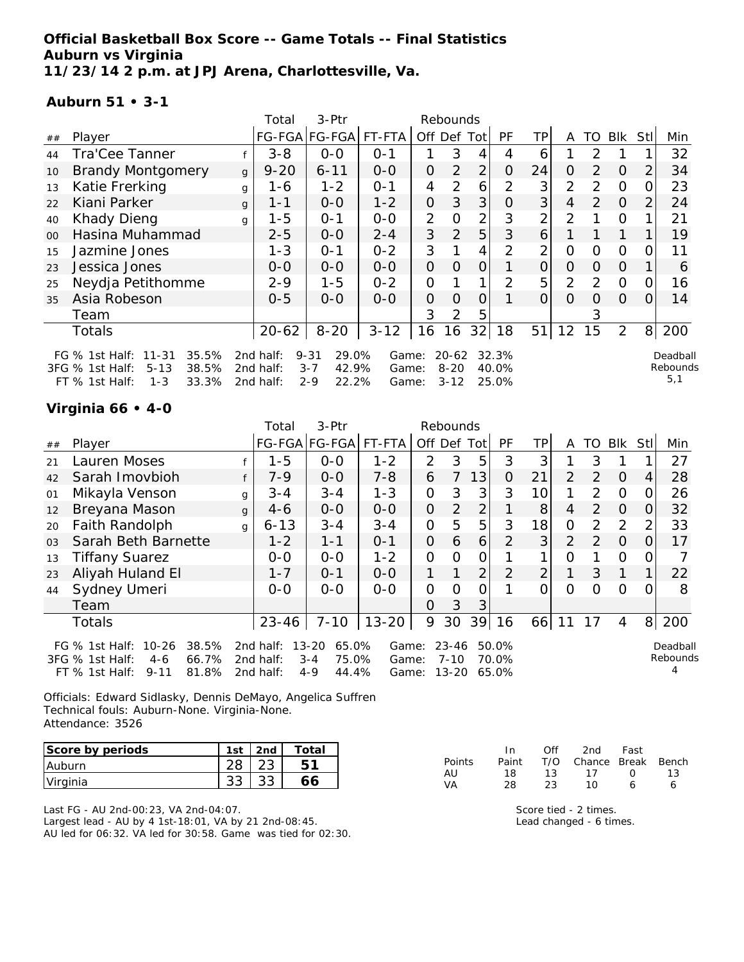## **Official Basketball Box Score -- Game Totals -- Final Statistics Auburn vs Virginia 11/23/14 2 p.m. at JPJ Arena, Charlottesville, Va.**

### **Auburn 51 • 3-1**

|    |                                                                                                                    |              | Total                               | 3-Ptr                                                     |                         |                | Rebounds                          |                |                         |                |                |          |                |                |                             |
|----|--------------------------------------------------------------------------------------------------------------------|--------------|-------------------------------------|-----------------------------------------------------------|-------------------------|----------------|-----------------------------------|----------------|-------------------------|----------------|----------------|----------|----------------|----------------|-----------------------------|
| ## | Player                                                                                                             |              |                                     | FG-FGA FG-FGA  FT-FTA                                     |                         | Off            |                                   | Def Totl       | <b>PF</b>               | TР             | A              | TO.      | BIK            | StII           | Min                         |
| 44 | Tra'Cee Tanner                                                                                                     |              | $3 - 8$                             | $0 - 0$                                                   | $0 - 1$                 |                | 3                                 | 4              | 4                       | 6              |                | 2        |                |                | 32                          |
| 10 | <b>Brandy Montgomery</b>                                                                                           | $\mathbf{q}$ | $9 - 20$                            | $6 - 11$                                                  | $0 - 0$                 | 0              | $\overline{2}$                    | $\overline{2}$ | 0                       | 24             | 0              | 2        | $\Omega$       | 2              | 34                          |
| 13 | Katie Frerking                                                                                                     | g            | 1-6                                 | $1 - 2$                                                   | $0 - 1$                 | 4              | 2                                 | 6              | 2                       | 3              | $\overline{2}$ | 2        | $\Omega$       |                | 23                          |
| 22 | Kiani Parker                                                                                                       | g            | $1 - 1$                             | $0 - 0$                                                   | $1 - 2$                 | 0              | 3                                 | 3              | $\Omega$                | 3 <sup>1</sup> | 4              | 2        | $\Omega$       |                | 24                          |
| 40 | <b>Khady Dieng</b>                                                                                                 | q            | $1 - 5$                             | $O - 1$                                                   | $0 - 0$                 | $\overline{2}$ | O                                 | $\overline{2}$ | 3                       | $\overline{2}$ | $\overline{2}$ |          | $\Omega$       |                | 21                          |
| 00 | Hasina Muhammad                                                                                                    |              | $2 - 5$                             | $O-O$                                                     | $2 - 4$                 | 3              | 2                                 | 5              | 3                       | 6              |                |          |                |                | 19                          |
| 15 | Jazmine Jones                                                                                                      |              | $1 - 3$                             | $0 - 1$                                                   | $0 - 2$                 | 3              |                                   | 4              | 2                       | $\overline{2}$ | 0              | 0        | $\Omega$       |                | 11                          |
| 23 | Jessica Jones                                                                                                      |              | $O-O$                               | $O-O$                                                     | $O-O$                   | 0              | $\Omega$                          | $\Omega$       |                         | 0              | 0              | $\Omega$ | $\Omega$       |                | 6                           |
| 25 | Neydja Petithomme                                                                                                  |              | $2 - 9$                             | $1 - 5$                                                   | $0 - 2$                 | 0              |                                   |                | 2                       | 5              | 2              | 2        | $\overline{O}$ |                | 16                          |
| 35 | Asia Robeson                                                                                                       |              | $0 - 5$                             | $O-O$                                                     | $O-O$                   | 0              | $\Omega$                          | $\Omega$       |                         | $\Omega$       | $\Omega$       | $\Omega$ | $\Omega$       | $\Omega$       | 14                          |
|    | Team                                                                                                               |              |                                     |                                                           |                         | 3              | 2                                 | 5              |                         |                |                | 3        |                |                |                             |
|    | Totals                                                                                                             |              | $20 - 62$                           | $8 - 20$                                                  | $3 - 12$                | 16             | 16                                | 32             | 18                      | 51             | 12             | 15       | 2              | 8 <sup>1</sup> | 200                         |
|    | FG % 1st Half:<br>$11 - 31$<br>35.5%<br>3FG % 1st Half:<br>38.5%<br>$5 - 13$<br>FT % 1st Half:<br>$1 - 3$<br>33.3% |              | 2nd half:<br>2nd half:<br>2nd half: | 29.0%<br>$9 - 31$<br>42.9%<br>$3 - 7$<br>$2 - 9$<br>22.2% | Game:<br>Game:<br>Game: |                | $20 - 62$<br>$8 - 20$<br>$3 - 12$ |                | 32.3%<br>40.0%<br>25.0% |                |                |          |                |                | Deadball<br>Rebounds<br>5,1 |

# **Virginia 66 • 4-0**

|                |                                                                                                                    |              | Total                               | 3-Ptr                                                  |                         |                | Rebounds                       |                |                         |                |                |               |            |             |                      |
|----------------|--------------------------------------------------------------------------------------------------------------------|--------------|-------------------------------------|--------------------------------------------------------|-------------------------|----------------|--------------------------------|----------------|-------------------------|----------------|----------------|---------------|------------|-------------|----------------------|
| ##             | Player                                                                                                             |              |                                     | FG-FGA FG-FGA                                          | FT-FTA                  | Off Def        |                                | Tot            | PF.                     | TP.            | A              | TO            | <b>Blk</b> | <b>Stll</b> | Min                  |
| 21             | Lauren Moses                                                                                                       |              | $1 - 5$                             | $O-O$                                                  | $1 - 2$                 | $\overline{2}$ | 3                              | 5              | 3                       | 3              |                | 3             |            |             | 27                   |
| 42             | Sarah Imovbioh                                                                                                     |              | $7-9$                               | $0-0$                                                  | $7 - 8$                 | 6              |                                | 13             | 0                       | 21             | 2              | 2             | $\Omega$   | 4           | 28                   |
| 01             | Mikayla Venson                                                                                                     | g            | $3 - 4$                             | $3 - 4$                                                | $1 - 3$                 | $\mathbf{O}$   | 3                              | 3              | 3                       | 10             |                | 2             | $\Omega$   | 0           | 26                   |
| 12             | Breyana Mason                                                                                                      | $\mathbf{q}$ | $4-6$                               | $0-0$                                                  | $0-0$                   | $\overline{O}$ | 2                              | 2              |                         | 8              | 4              | 2             | 0          | 0           | 32                   |
| 20             | <b>Faith Randolph</b>                                                                                              | g            | $6 - 13$                            | $3 - 4$                                                | $3 - 4$                 | $\mathbf{O}$   | 5                              | 5              | 3                       | 18             | $\Omega$       | $\mathcal{P}$ | 2          | 2           | 33                   |
| O <sub>3</sub> | Sarah Beth Barnette                                                                                                |              | $1 - 2$                             | $1 - 1$                                                | $O - 1$                 | $\overline{O}$ | 6                              | 6              | $\overline{2}$          | 3              | $\overline{2}$ | 2             | $\Omega$   | O.          | 17                   |
| 13             | <b>Tiffany Suarez</b>                                                                                              |              | $0-0$                               | $0-0$                                                  | $1 - 2$                 | $\Omega$       | $\Omega$                       | 0              |                         |                | O              |               | $\Omega$   | 0           |                      |
| 23             | Aliyah Huland El                                                                                                   |              | $1 - 7$                             | $0 - 1$                                                | $0 - 0$                 | 1              |                                | 2              | $\mathcal{P}$           | $\overline{2}$ |                | 3             |            |             | 22                   |
| 44             | Sydney Umeri                                                                                                       |              | $0-0$                               | $0-0$                                                  | $0-0$                   | $\Omega$       | $\Omega$                       | $\overline{O}$ |                         |                | $\Omega$       | Ω             | $\Omega$   | Ω           | 8                    |
|                | Team                                                                                                               |              |                                     |                                                        |                         | 0              | 3                              | 3              |                         |                |                |               |            |             |                      |
|                | <b>Totals</b>                                                                                                      |              | 23-46                               | $7 - 10$                                               | $13 - 20$               | 9              | 30                             | 39             | 16                      | 66             | 11             | 17            | 4          |             | 8 200                |
|                | $10 - 26$<br>38.5%<br>FG $%$ 1st Half:<br>3FG % 1st Half:<br>66.7%<br>$4-6$<br>81.8%<br>FT % 1st Half:<br>$9 - 11$ |              | 2nd half:<br>2nd half:<br>2nd half: | 65.0%<br>13-20<br>75.0%<br>$3 - 4$<br>44.4%<br>$4 - 9$ | Game:<br>Game:<br>Game: |                | $23 - 46$<br>$7 - 10$<br>13-20 |                | 50.0%<br>70.0%<br>65.0% |                |                |               |            |             | Deadball<br>Rebounds |

Officials: Edward Sidlasky, Dennis DeMayo, Angelica Suffren Technical fouls: Auburn-None. Virginia-None. Attendance: 3526

| Score by periods | 1st | 2nd | $\tau$ otai |
|------------------|-----|-----|-------------|
| Auburn           |     |     |             |
| Virginia         |     |     |             |

Last FG - AU 2nd-00:23, VA 2nd-04:07. Largest lead - AU by 4 1st-18:01, VA by 21 2nd-08:45. AU led for 06:32. VA led for 30:58. Game was tied for 02:30.

|        | In In | Off | 2nd                    | Fast             |    |
|--------|-------|-----|------------------------|------------------|----|
| Points | Paint |     | T/O Chance Break Bench |                  |    |
| AU     | 18.   | 13  | 17                     | $\left( \right)$ | 13 |
| VA     | 28    | 23  | 1 O                    | Ь                |    |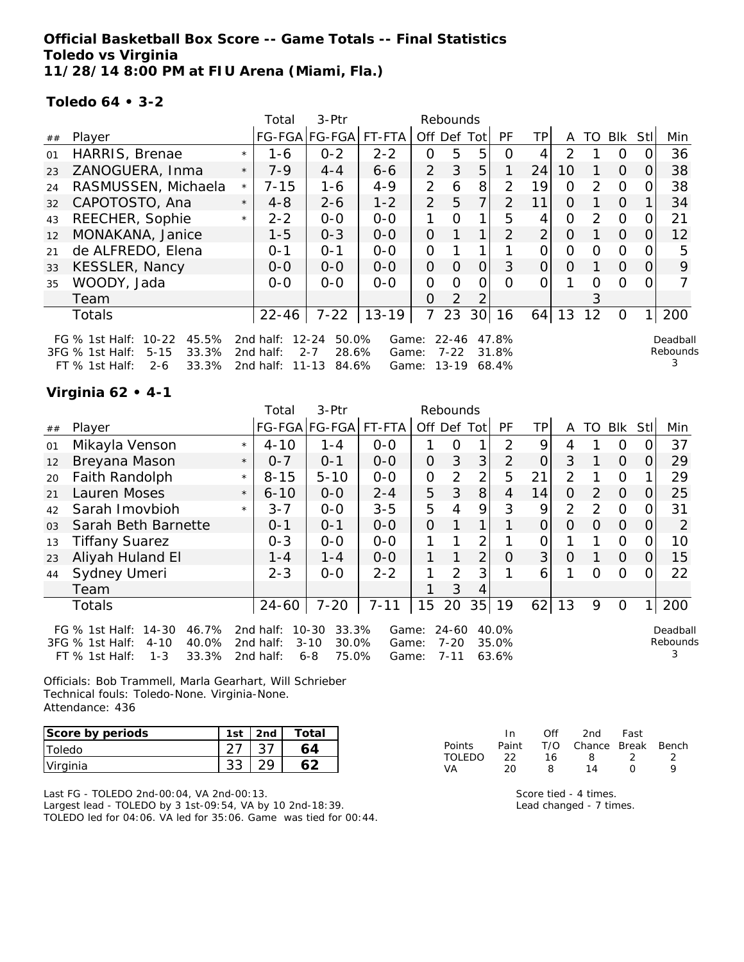**Official Basketball Box Score -- Game Totals -- Final Statistics Toledo vs Virginia 11/28/14 8:00 PM at FIU Arena (Miami, Fla.)**

**Toledo 64 • 3-2**

|    |                                                                                                                        |         | Total                               | 3-Ptr                                                    |                         |                | Rebounds                       |                 |                         |                |          |               |          |                  |                      |
|----|------------------------------------------------------------------------------------------------------------------------|---------|-------------------------------------|----------------------------------------------------------|-------------------------|----------------|--------------------------------|-----------------|-------------------------|----------------|----------|---------------|----------|------------------|----------------------|
| ## | Player                                                                                                                 |         |                                     | FG-FGA FG-FGA                                            | FT-FTA                  | Off            | Def                            | Totl            | <b>PF</b>               | TP.            | A        | TO            | Blk      | Stl              | Min                  |
| 01 | HARRIS, Brenae                                                                                                         | $\star$ | 1-6                                 | $0 - 2$                                                  | $2 - 2$                 | 0              | 5                              | 5               | Ω                       | 4              | 2        |               | 0        |                  | 36                   |
| 23 | ZANOGUERA, Inma                                                                                                        | $\star$ | $7-9$                               | $4 - 4$                                                  | $6 - 6$                 | $\overline{2}$ | 3                              | 5               |                         | 24             | 10       |               | $\Omega$ | 0                | 38                   |
| 24 | RASMUSSEN, Michaela                                                                                                    | $\star$ | $7 - 15$                            | $1 - 6$                                                  | $4 - 9$                 | $\overline{2}$ | 6                              | 8               | $\overline{2}$          | 19             | $\Omega$ | 2             | $\Omega$ |                  | 38                   |
| 32 | CAPOTOSTO, Ana                                                                                                         | $\star$ | $4 - 8$                             | $2 - 6$                                                  | $1 - 2$                 | 2              | 5                              | 7               | $\overline{2}$          | 11             | 0        |               | $\Omega$ |                  | 34                   |
| 43 | REECHER, Sophie                                                                                                        | $\star$ | $2 - 2$                             | $0 - 0$                                                  | $0-0$                   |                | Ω                              | 1               | 5                       | 4              | $\Omega$ | $\mathcal{P}$ | $\Omega$ | $\Omega$         | 21                   |
| 12 | MONAKANA, Janice                                                                                                       |         | $1 - 5$                             | $0 - 3$                                                  | $0-0$                   | 0              |                                | 1               | 2                       | $\overline{2}$ | $\Omega$ |               | $\Omega$ | 0                | 12                   |
| 21 | de ALFREDO, Elena                                                                                                      |         | $0 - 1$                             | $O - 1$                                                  | $0 - 0$                 | 0              |                                |                 |                         |                | O        | 0             | $\Omega$ |                  | 5                    |
| 33 | KESSLER, Nancy                                                                                                         |         | $0 - 0$                             | $0 - 0$                                                  | $0 - 0$                 | $\overline{O}$ | $\Omega$                       | $\Omega$        | 3                       | $\Omega$       | 0        |               | $\Omega$ | $\left( \right)$ | 9                    |
| 35 | WOODY, Jada                                                                                                            |         | $0 - 0$                             | $0-0$                                                    | $0 - 0$                 | 0              | $\Omega$                       | ი               | Ω                       | O              |          | 0             | $\Omega$ |                  |                      |
|    | Team                                                                                                                   |         |                                     |                                                          |                         | 0              | $\mathcal{P}$                  |                 |                         |                |          | 3             |          |                  |                      |
|    | <b>Totals</b>                                                                                                          |         | $22 - 46$                           | $7 - 22$                                                 | $13 - 19$               | 7              | 23                             | 30 <sup>1</sup> | 16                      | 64             | 13       | 12            | $\Omega$ |                  | 200                  |
|    | $10 - 22$<br>45.5%<br>FG $%$ 1st Half:<br>33.3%<br>3FG % 1st Half:<br>$5 - 15$<br>$FT$ % 1st Half:<br>33.3%<br>$2 - 6$ |         | 2nd half:<br>2nd half:<br>2nd half: | $12 - 24$<br>50.0%<br>28.6%<br>$2 - 7$<br>11-13<br>84.6% | Game:<br>Game:<br>Game: |                | $22 - 46$<br>$7 - 22$<br>13-19 |                 | 47.8%<br>31.8%<br>68.4% |                |          |               |          |                  | Deadball<br>Rebounds |

# **Virginia 62 • 4-1**

|                                     |                                                                           | Total    | 3-Ptr                               |                                  |                                          |                         |                |                                              |                         |          |               |            |          |                           |
|-------------------------------------|---------------------------------------------------------------------------|----------|-------------------------------------|----------------------------------|------------------------------------------|-------------------------|----------------|----------------------------------------------|-------------------------|----------|---------------|------------|----------|---------------------------|
| Player                              |                                                                           |          |                                     | FT-FTA                           |                                          |                         |                | <b>PF</b>                                    | TPI                     | A        | TO            | <b>Blk</b> | Stll     | Min                       |
| Mikayla Venson                      | $\star$                                                                   | $4 - 10$ | $1 - 4$                             | $0 - 0$                          |                                          | 0                       |                | 2                                            | 9                       | 4        |               | 0          |          | 37                        |
| Breyana Mason                       | $\star$                                                                   | $0 - 7$  | $O - 1$                             | $0 - 0$                          | 0                                        | 3                       | 3              | 2                                            | $\Omega$                | 3        |               | $\Omega$   | $\Omega$ | 29                        |
| Faith Randolph                      | $\star$                                                                   | $8 - 15$ | $5 - 10$                            | $0-0$                            | $\overline{O}$                           | 2                       | $\overline{2}$ | 5                                            | 21                      | 2        |               | $\Omega$   |          | 29                        |
| Lauren Moses                        | $\star$                                                                   | $6 - 10$ | $0-0$                               | $2 - 4$                          | 5                                        | 3                       | 8              | $\overline{4}$                               | 14                      | $\Omega$ | 2             | $\Omega$   | 0        | 25                        |
| Sarah Imovbioh                      | $\star$                                                                   | $3 - 7$  | $0-0$                               | $3 - 5$                          | 5                                        | 4                       | 9              | 3                                            | 9                       | 2        | $\mathcal{P}$ | $\Omega$   | 0        | 31                        |
| Sarah Beth Barnette                 |                                                                           | $0 - 1$  | $0 - 1$                             | $0 - 0$                          | $\Omega$                                 | 1                       | 1              |                                              | $\Omega$                | $\Omega$ | $\Omega$      | $\Omega$   | $\Omega$ | 2                         |
| <b>Tiffany Suarez</b>               |                                                                           | $0 - 3$  | $0-0$                               | $0-0$                            |                                          |                         | 2              |                                              | 0                       |          |               | $\Omega$   | 0        | 10                        |
| Aliyah Huland El                    |                                                                           | $1 - 4$  | $1 - 4$                             | $0-0$                            | 1                                        |                         | 2              | $\Omega$                                     | 3 <sup>1</sup>          | $\Omega$ |               | $\Omega$   | 0        | 15                        |
| Sydney Umeri                        |                                                                           | $2 - 3$  | $0 - 0$                             | $2 - 2$                          | $\mathbf{1}$                             | 2                       | 3              |                                              | 6                       |          | Ω             | $\Omega$   | $\Omega$ | 22                        |
| Team                                |                                                                           |          |                                     |                                  |                                          | 3                       | 4              |                                              |                         |          |               |            |          |                           |
| Totals                              |                                                                           | 24-60    | $7 - 20$                            | $7 - 11$                         | 15                                       | 20                      | 35             | 19                                           | 62                      | 13       | 9             | $\Omega$   | 1        | 200                       |
| 14-30<br>46.7%<br>40.0%<br>$4 - 10$ |                                                                           |          |                                     |                                  |                                          |                         |                |                                              |                         |          |               |            |          | Deadball<br>Rebounds<br>3 |
|                                     | FG $%$ 1st Half:<br>3FG % 1st Half:<br>33.3%<br>FT % 1st Half:<br>$1 - 3$ |          | 2nd half:<br>2nd half:<br>2nd half: | $10 - 30$<br>$3 - 10$<br>$6 - 8$ | FG-FGA FG-FGA<br>33.3%<br>30.0%<br>75.0% | Game:<br>Game:<br>Game: | $7 - 11$       | Rebounds<br>Off Def Tot<br>24-60<br>$7 - 20$ | 40.0%<br>35.0%<br>63.6% |          |               |            |          |                           |

Officials: Bob Trammell, Marla Gearhart, Will Schrieber Technical fouls: Toledo-None. Virginia-None. Attendance: 436

| Score by periods | 1st | 2 <sub>nd</sub> | Total |
|------------------|-----|-----------------|-------|
| <b>Toledo</b>    |     |                 |       |
| Virginia         |     |                 |       |

Last FG - TOLEDO 2nd-00:04, VA 2nd-00:13. Largest lead - TOLEDO by 3 1st-09:54, VA by 10 2nd-18:39. TOLEDO led for 04:06. VA led for 35:06. Game was tied for 00:44.

|         | In.   | Off | 2nd -                  | Fast             |  |
|---------|-------|-----|------------------------|------------------|--|
| Points  | Paint |     | T/O Chance Break Bench |                  |  |
| TOI EDO | フフ    | 16. | 8.                     |                  |  |
| VA      | 20    | я   | 14                     | $\left( \right)$ |  |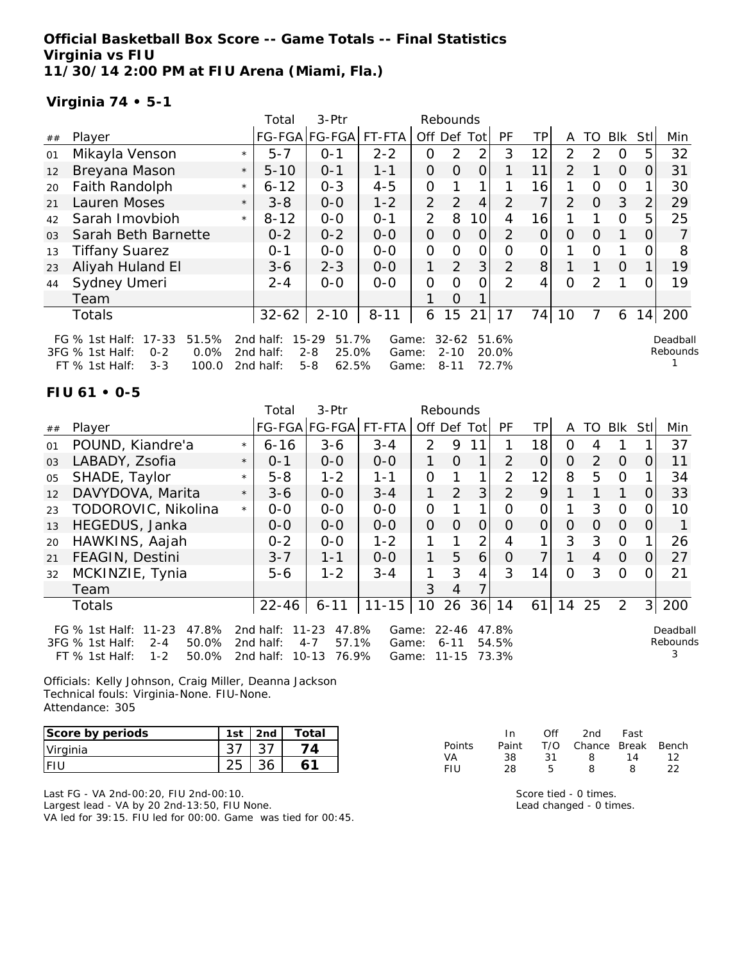**Official Basketball Box Score -- Game Totals -- Final Statistics Virginia vs FIU 11/30/14 2:00 PM at FIU Arena (Miami, Fla.)**

# **Virginia 74 • 5-1**

|                |                                                                                                           |         | Total                               | 3-Ptr                                                      |                         |                | Rebounds                          |          |                         |                |                |               |          |          |                      |
|----------------|-----------------------------------------------------------------------------------------------------------|---------|-------------------------------------|------------------------------------------------------------|-------------------------|----------------|-----------------------------------|----------|-------------------------|----------------|----------------|---------------|----------|----------|----------------------|
| ##             | Player                                                                                                    |         |                                     | FG-FGA FG-FGA                                              | FT-FTA                  | Off            | Def                               | Tot      | PF                      | TP.            | A              | TO            | Blk      | Stl      | Min                  |
| 01             | Mikayla Venson                                                                                            | $\star$ | $5 - 7$                             | $O - 1$                                                    | $2 - 2$                 | Ω              | 2                                 | 2        | 3                       | 12             | 2              | $\mathcal{P}$ | $\Omega$ | 5        | 32                   |
| 12             | Breyana Mason                                                                                             | $\star$ | $5 - 10$                            | $0 - 1$                                                    | $1 - 1$                 | 0              | O                                 | 0        |                         | 11             | $\mathcal{P}$  |               | $\Omega$ | 0        | 31                   |
| 20             | Faith Randolph                                                                                            | $\star$ | $6 - 12$                            | $0 - 3$                                                    | $4 - 5$                 | 0              |                                   | 1        |                         | 16             |                | $\Omega$      | $\Omega$ |          | 30                   |
| 21             | Lauren Moses                                                                                              | $\star$ | $3 - 8$                             | $0-0$                                                      | $1 - 2$                 | $\overline{2}$ | 2                                 | 4        | 2                       | $\overline{7}$ | $\overline{2}$ | $\Omega$      | 3        | 2        | 29                   |
| 42             | Sarah Imovbioh                                                                                            | $\star$ | $8 - 12$                            | $0-0$                                                      | $0 - 1$                 | $\overline{2}$ | 8                                 | 10       | 4                       | 16             |                |               | $\Omega$ | 5        | 25                   |
| 0 <sub>3</sub> | Sarah Beth Barnette                                                                                       |         | $0 - 2$                             | $0 - 2$                                                    | $0-0$                   | $\Omega$       | $\Omega$                          | $\Omega$ | 2                       | $\Omega$       | $\Omega$       | $\Omega$      | 1        | $\Omega$ |                      |
| 13             | <b>Tiffany Suarez</b>                                                                                     |         | $0 - 1$                             | $0-0$                                                      | $0-0$                   | 0              | Ω                                 | Ο        | Ω                       | 0              |                | $\Omega$      |          |          | 8                    |
| 23             | Aliyah Huland El                                                                                          |         | $3 - 6$                             | $2 - 3$                                                    | $0-0$                   | 1              | 2                                 | 3        | 2                       | 8              |                |               | $\Omega$ |          | 19                   |
| 44             | Sydney Umeri                                                                                              |         | $2 - 4$                             | $0-0$                                                      | $0 - 0$                 | 0              | Ω                                 | O        | $\mathcal{P}$           | 4              | 0              | 2             |          |          | 19                   |
|                | Team                                                                                                      |         |                                     |                                                            |                         |                | Ο                                 |          |                         |                |                |               |          |          |                      |
|                | Totals                                                                                                    |         | $32 - 62$                           | $2 - 10$                                                   | $8 - 11$                | 6              | 15                                | 21       | 17                      | 74             | 10             | 7             | 6        | 14       | 200                  |
|                | 51.5%<br>FG % 1st Half: 17-33<br>0.0%<br>3FG % 1st Half:<br>$0 - 2$<br>FT % 1st Half:<br>$3 - 3$<br>100.0 |         | 2nd half:<br>2nd half:<br>2nd half: | 51.7%<br>$15 - 29$<br>$2 - 8$<br>25.0%<br>$5 - 8$<br>62.5% | Game:<br>Game:<br>Game: |                | $32 - 62$<br>$2 - 10$<br>$8 - 11$ |          | 51.6%<br>20.0%<br>72.7% |                |                |               |          |          | Deadball<br>Rebounds |

### **FIU 61 • 0-5**

|    |                                                                                                                     |         | Total                                  | 3-Ptr                                                        |                         |               | Rebounds                           |                |                         |                 |          |               |            |             |                           |
|----|---------------------------------------------------------------------------------------------------------------------|---------|----------------------------------------|--------------------------------------------------------------|-------------------------|---------------|------------------------------------|----------------|-------------------------|-----------------|----------|---------------|------------|-------------|---------------------------|
| ## | Player                                                                                                              |         |                                        | FG-FGA FG-FGA                                                | FT-FTA                  | Off Def       |                                    | Totl           | <b>PF</b>               | TP.             | A        | TO            | <b>Blk</b> | <b>Stll</b> | Min                       |
| 01 | POUND, Kiandre'a                                                                                                    | $\star$ | $6 - 16$                               | $3 - 6$                                                      | $3 - 4$                 | $\mathcal{P}$ | 9                                  |                |                         | 18              | 0        | 4             |            |             | 37                        |
| 03 | LABADY, Zsofia                                                                                                      | $\star$ | $O - 1$                                | $0 - 0$                                                      | $0 - 0$                 |               | 0                                  | 1.             | $\mathcal{P}$           | 0               | $\Omega$ | $\mathcal{P}$ | $\Omega$   | $\Omega$    | 11                        |
| 05 | SHADE, Taylor                                                                                                       | $\star$ | $5 - 8$                                | $1 - 2$                                                      | $1 - 1$                 | $\Omega$      | 1                                  | 1              | 2                       | 12 <sub>1</sub> | 8        | 5             | $\Omega$   |             | 34                        |
| 12 | DAVYDOVA, Marita                                                                                                    | $\star$ | $3 - 6$                                | $0-0$                                                        | $3 - 4$                 |               | 2                                  | 3              | 2                       | 9               |          |               |            | 0           | 33                        |
| 23 | TODOROVIC, Nikolina                                                                                                 | $\star$ | $0-0$                                  | $0 - 0$                                                      | $0 - 0$                 | 0             |                                    | 1              | $\Omega$                | 0               |          | 3             | $\Omega$   | O.          | 10                        |
| 13 | HEGEDUS, Janka                                                                                                      |         | $0 - 0$                                | $0 - 0$                                                      | $0 - 0$                 | $\Omega$      | $\Omega$                           | $\Omega$       | $\Omega$                | $\overline{O}$  | $\Omega$ | $\Omega$      | $\Omega$   | 0           |                           |
| 20 | HAWKINS, Aajah                                                                                                      |         | $0 - 2$                                | $0-0$                                                        | $1 - 2$                 |               |                                    | 2              | 4                       |                 | 3        | 3             | 0          |             | 26                        |
| 21 | FEAGIN, Destini                                                                                                     |         | $3 - 7$                                | $1 - 1$                                                      | $0 - 0$                 | 1             | 5                                  | 6              | 0                       | $\overline{7}$  |          | 4             | $\Omega$   | $\Omega$    | 27                        |
| 32 | MCKINZIE, Tynia                                                                                                     |         | $5 - 6$                                | $1 - 2$                                                      | $3 - 4$                 | 1             | 3                                  | $\overline{4}$ | 3                       | 14              | $\Omega$ | 3             | $\Omega$   | 0           | 21                        |
|    | Team                                                                                                                |         |                                        |                                                              |                         | 3             | 4                                  |                |                         |                 |          |               |            |             |                           |
|    | Totals                                                                                                              |         | 22-46                                  | $6 - 11$                                                     | $11 - 15$               | 10            | 26                                 |                | $36$   14               | 61              | 14       | 25            | 2          | 3           | 200                       |
|    | FG $%$ 1st Half:<br>$11 - 23$<br>47.8%<br>3FG % 1st Half:<br>50.0%<br>$2 - 4$<br>$1 - 2$<br>FT % 1st Half:<br>50.0% |         | 2nd half:<br>2 $nd$ half:<br>2nd half: | $11 - 23$<br>47.8%<br>57.1%<br>$4 - 7$<br>$10 - 13$<br>76.9% | Game:<br>Game:<br>Game: |               | $22 - 46$<br>$6 - 11$<br>$11 - 15$ |                | 47.8%<br>54.5%<br>73.3% |                 |          |               |            |             | Deadball<br>Rebounds<br>3 |

Officials: Kelly Johnson, Craig Miller, Deanna Jackson Technical fouls: Virginia-None. FIU-None. Attendance: 305

| Score by periods | 1st | 2nd | Total |
|------------------|-----|-----|-------|
| Virginia         |     |     |       |
| I E H            |     |     |       |

Last FG - VA 2nd-00:20, FIU 2nd-00:10. Largest lead - VA by 20 2nd-13:50, FIU None. VA led for 39:15. FIU led for 00:00. Game was tied for 00:45.

|        | In.   | ∩ff | 2nd                    | Fast |    |
|--------|-------|-----|------------------------|------|----|
| Points | Paint |     | T/O Chance Break Bench |      |    |
| VA     | 38.   | -31 | -8                     | 14   | 12 |
| FIU    | 28    | Б.  | 8                      | 8    | つつ |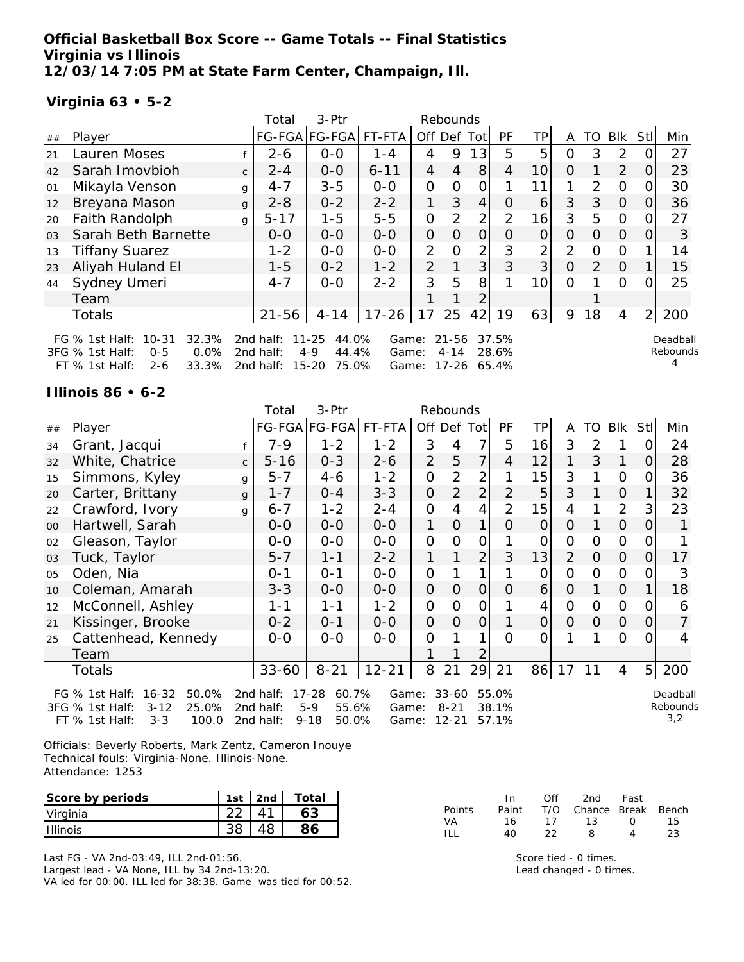**Official Basketball Box Score -- Game Totals -- Final Statistics Virginia vs Illinois 12/03/14 7:05 PM at State Farm Center, Champaign, Ill.**

# **Virginia 63 • 5-2**

|                |                                                                                                                    |              | Total                               | 3-Ptr                                                        |                         |                | Rebounds              |                |                |                |         |          |               |                |                      |
|----------------|--------------------------------------------------------------------------------------------------------------------|--------------|-------------------------------------|--------------------------------------------------------------|-------------------------|----------------|-----------------------|----------------|----------------|----------------|---------|----------|---------------|----------------|----------------------|
| ##             | Player                                                                                                             |              |                                     | FG-FGA FG-FGA                                                | FT-FTA                  | Off            | Def                   | Tot            | <b>PF</b>      | TP.            | A       | TO       | <b>Blk</b>    | Stl            | Min                  |
| 21             | Lauren Moses                                                                                                       |              | $2 - 6$                             | $0 - 0$                                                      | $1 - 4$                 | 4              | 9                     | 13             | 5              | 5              | ი       | 3        | 2             |                | 27                   |
| 42             | Sarah Imovbioh                                                                                                     | $\mathsf{C}$ | $2 - 4$                             | $0-0$                                                        | $6 - 11$                | 4              | 4                     | 8              | 4              | 10             | O       |          | $\mathcal{P}$ | $\left($       | 23                   |
| 01             | Mikayla Venson                                                                                                     | g            | $4 - 7$                             | $3 - 5$                                                      | $0-0$                   | 0              | O                     | 0              |                | 11             | 1       | 2        | $\Omega$      |                | 30                   |
| 12             | Breyana Mason                                                                                                      | g            | $2 - 8$                             | $0 - 2$                                                      | $2 - 2$                 |                | 3                     | 4              | O              | 6              | 3       | 3        | $\Omega$      |                | 36                   |
| 20             | Faith Randolph                                                                                                     | g            | $5 - 17$                            | $1 - 5$                                                      | $5 - 5$                 | $\overline{O}$ | $\mathcal{P}$         | $\overline{2}$ | $\mathcal{P}$  | 16             | 3       | 5        | $\Omega$      | O              | 27                   |
| 0 <sub>3</sub> | Sarah Beth Barnette                                                                                                |              | $0-0$                               | $0 - 0$                                                      | $0-0$                   | $\Omega$       | $\Omega$              | $\Omega$       | $\Omega$       | $\overline{0}$ | O       | $\Omega$ | $\Omega$      | 0              | 3                    |
| 13             | <b>Tiffany Suarez</b>                                                                                              |              | $1 - 2$                             | $0-0$                                                        | $0-0$                   | 2              | $\Omega$              | 2              | 3              | 2              | 2       | O        | 0             |                | 14                   |
| 23             | Aliyah Huland El                                                                                                   |              | $1 - 5$                             | $0 - 2$                                                      | $1 - 2$                 | 2              |                       | 3 <sup>1</sup> | 3              | 3              | $\circ$ | 2        | $\Omega$      |                | 15                   |
| 44             | Sydney Umeri                                                                                                       |              | $4 - 7$                             | $0 - 0$                                                      | $2 - 2$                 | 3              | 5                     | 8              |                | 10             | Ω       |          | $\Omega$      |                | 25                   |
|                | Team                                                                                                               |              |                                     |                                                              |                         |                |                       | 2              |                |                |         |          |               |                |                      |
|                | Totals                                                                                                             |              | $21 - 56$                           | $4 - 14$                                                     | $17 - 26$               | 17             | 25                    | 42             | 19             | 63             | 9       | 18       | 4             | $\overline{2}$ | 200                  |
|                | $10 - 31$<br>32.3%<br>FG $%$ 1st Half:<br>3FG % 1st Half:<br>0.0%<br>$0 - 5$<br>FT % 1st Half:<br>33.3%<br>$2 - 6$ |              | 2nd half:<br>2nd half:<br>2nd half: | $11 - 25$<br>44.0%<br>$4 - 9$<br>44.4%<br>$15 - 20$<br>75.0% | Game:<br>Game:<br>Game: |                | $21 - 56$<br>$4 - 14$ | 17-26 65.4%    | 37.5%<br>28.6% |                |         |          |               |                | Deadball<br>Rebounds |

#### **Illinois 86 • 6-2**

FT  $%$  1st Half: 3-3

|    |                                                                                   |              | Total                  | 3-Ptr                                |                | Rebounds       |                       |                |                |                     |                |                |                |                |                    |
|----|-----------------------------------------------------------------------------------|--------------|------------------------|--------------------------------------|----------------|----------------|-----------------------|----------------|----------------|---------------------|----------------|----------------|----------------|----------------|--------------------|
| ## | Player                                                                            |              |                        | FG-FGA FG-FGA                        | FT-FTA         | Off Def Tot    |                       |                | PF             | ТP                  | A              | TO             | Blk            | <b>Stll</b>    | Min                |
| 34 | Grant, Jacqui                                                                     |              | $7 - 9$                | $1 - 2$                              | $1 - 2$        | 3              | 4                     | 7              | 5              | 16                  | 3              | $\overline{2}$ |                | 0              | 24                 |
| 32 | White, Chatrice                                                                   | $\mathsf{C}$ | $5 - 16$               | $0 - 3$                              | $2 - 6$        | $\overline{2}$ | 5                     | 7              | $\overline{4}$ | 12                  | 1              | 3              | 1              | $\Omega$       | 28                 |
| 15 | Simmons, Kyley                                                                    | g            | $5 - 7$                | $4 - 6$                              | $1 - 2$        | $\overline{O}$ | $\overline{2}$        | 2              |                | 15                  | 3              | 1              | $\mathcal{O}$  | 0              | 36                 |
| 20 | Carter, Brittany                                                                  | g            | $1 - 7$                | $0 - 4$                              | $3 - 3$        | $\Omega$       | $\overline{2}$        | $\overline{2}$ | 2              | 5                   | 3              | 1              | $\overline{O}$ | 1              | 32                 |
| 22 | Crawford, Ivory                                                                   | g            | $6 - 7$                | $1 - 2$                              | $2 - 4$        | $\mathcal{O}$  | $\overline{4}$        | 4              | 2              | 15                  | $\overline{4}$ | 1              | $\overline{2}$ | 3              | 23                 |
| 00 | Hartwell, Sarah                                                                   |              | $0-0$                  | $O-O$                                | $O-O$          | 1              | $\overline{O}$        | 1              | $\Omega$       | $\mathsf{O}\xspace$ | $\Omega$       | 1              | $\Omega$       | $\Omega$       | 1                  |
| 02 | Gleason, Taylor                                                                   |              | $0-0$                  | $O-O$                                | $O-O$          | $\mathcal{O}$  | $\mathbf{O}$          | $\overline{O}$ | 1              | 0                   | $\Omega$       | $\mathbf{O}$   | $\overline{O}$ | $\Omega$       |                    |
| 03 | Tuck, Taylor                                                                      |              | $5 - 7$                | $1 - 1$                              | $2 - 2$        | 1              | 1                     | $\overline{2}$ | 3              | 13                  | $\overline{2}$ | $\Omega$       | $\overline{O}$ | $\overline{O}$ | 17                 |
| 05 | Oden, Nia                                                                         |              | $0 - 1$                | $0 - 1$                              | $0-0$          | $\overline{O}$ | 1                     | 1              | 1              | O                   | $\overline{O}$ | $\Omega$       | $\overline{O}$ | 0              | 3                  |
| 10 | Coleman, Amarah                                                                   |              | $3 - 3$                | $0-0$                                | $0 - 0$        | $\mathcal{O}$  | $\overline{O}$        | $\overline{O}$ | $\Omega$       | 6                   | $\Omega$       | 1              | $\overline{O}$ | $\mathbf{1}$   | 18                 |
| 12 | McConnell, Ashley                                                                 |              | $1 - 1$                | $1 - 1$                              | $1 - 2$        | $\overline{O}$ | $\overline{O}$        | $\overline{O}$ |                | 4                   | $\overline{O}$ | $\Omega$       | $\Omega$       | $\Omega$       | 6                  |
| 21 | Kissinger, Brooke                                                                 |              | $0 - 2$                | $0 - 1$                              | $0 - 0$        | $\Omega$       | $\overline{O}$        | $\overline{O}$ |                | $\mathsf{O}\xspace$ | $\Omega$       | $\overline{O}$ | $\overline{O}$ | $\overline{O}$ | $\overline{7}$     |
| 25 | Cattenhead, Kennedy                                                               |              | $0-0$                  | $0-0$                                | $0-0$          | $\Omega$       |                       | 1              | $\overline{O}$ | $\overline{O}$      | 1              | 1              | $\Omega$       | 0              | 4                  |
|    | Team                                                                              |              |                        |                                      |                |                |                       | 2              |                |                     |                |                |                |                |                    |
|    | Totals                                                                            |              | $33 - 60$              | $8 - 21$                             | $12 - 21$      | 8              | 21                    | 29             | 21             | 86                  | 17             | 11             | 4              | 5 <sub>l</sub> | 200                |
|    | $16 - 32$<br>50.0%<br>FG $%$ 1st Half:<br>25.0%<br>$3FG \% 1st Half:$<br>$3 - 12$ |              | 2nd half:<br>2nd half: | $17 - 28$<br>60.7%<br>$5-9$<br>55.6% | Game:<br>Game: |                | $33 - 60$<br>$8 - 21$ |                | 55.0%<br>38.1% |                     |                |                |                |                | Deadbal<br>Rebound |

2nd half: 9-18 50.0% Game: 12-21 57.1%

Deadball  $\overline{\mathsf{s}}$ 3,2

Officials: Beverly Roberts, Mark Zentz, Cameron Inouye Technical fouls: Virginia-None. Illinois-None. Attendance: 1253

| Score by periods | 1st | 2 <sub>nd</sub> | Total |
|------------------|-----|-----------------|-------|
| Virginia         |     |                 |       |
| <b>Illinois</b>  |     |                 |       |

Last FG - VA 2nd-03:49, ILL 2nd-01:56. Largest lead - VA None, ILL by 34 2nd-13:20. VA led for 00:00. ILL led for 38:38. Game was tied for 00:52.

|               | In In | Off | 2nd Fast               |   |      |
|---------------|-------|-----|------------------------|---|------|
| <b>Points</b> | Paint |     | T/O Chance Break Bench |   |      |
| VA.           | 16    |     | 17 13 0                |   | - 15 |
| $\mathbf{1}$  | 4∩.   | -22 | 8                      | 4 | 23   |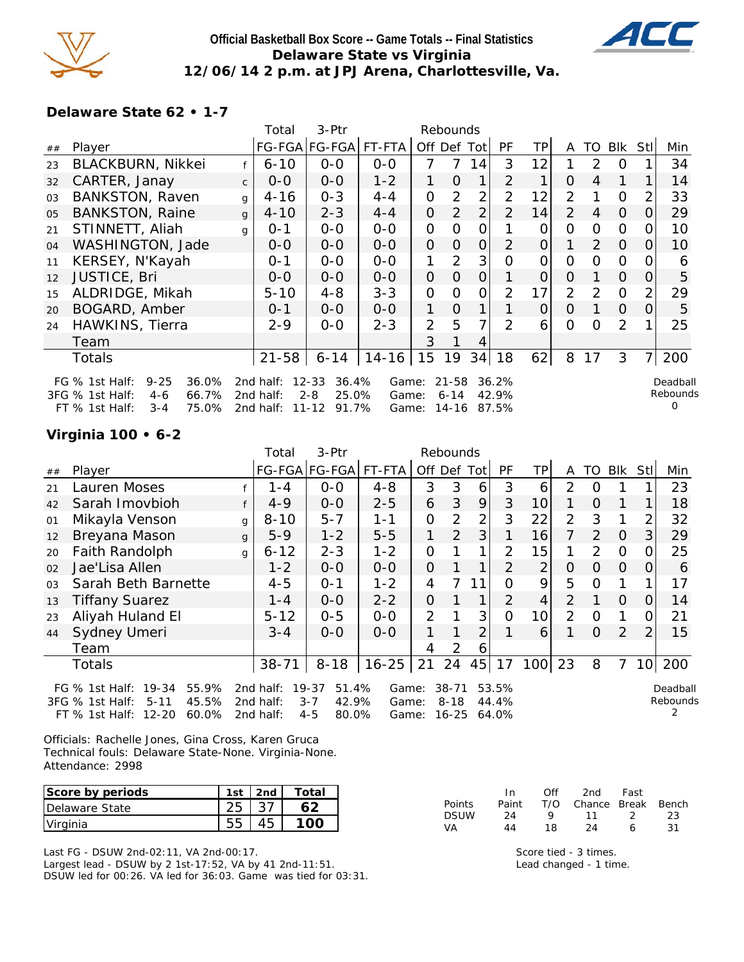

## **Official Basketball Box Score -- Game Totals -- Final Statistics Delaware State vs Virginia 12/06/14 2 p.m. at JPJ Arena, Charlottesville, Va.**



 $\Omega$ 

**Delaware State 62 • 1-7**

|                |                                        | Total     | 3-Ptr              |           |                | Rebounds       |                |                |          |               |               |              |                |          |
|----------------|----------------------------------------|-----------|--------------------|-----------|----------------|----------------|----------------|----------------|----------|---------------|---------------|--------------|----------------|----------|
| ##             | Player                                 |           | FG-FGA FG-FGA      | FT-FTA    | Off Def Tot    |                |                | <b>PF</b>      | TР       | A             | TO            | <b>BIK</b>   | Stll           | Min      |
| 23             | BLACKBURN, Nikkei                      | $6 - 10$  | $0-0$              | $0-0$     | 7              | 7              | 14             | 3              | 12       |               | 2             | $\Omega$     |                | 34       |
| 32             | CARTER, Janay<br>$\mathsf{C}$          | $0 - 0$   | $0 - 0$            | $1 - 2$   | 1.             | $\Omega$       | 1              | 2              | 1        | O             | 4             | $\mathbf{1}$ |                | 14       |
| 0 <sub>3</sub> | <b>BANKSTON, Raven</b><br>$\mathsf{q}$ | $4 - 16$  | $0 - 3$            | $4 - 4$   | $\Omega$       | $\mathcal{P}$  | $\overline{2}$ | 2              | 12       | 2             |               | $\Omega$     |                | 33       |
| 0 <sub>5</sub> | <b>BANKSTON, Raine</b><br>$\mathsf{q}$ | $4 - 10$  | $2 - 3$            | $4 - 4$   | 0              | $\overline{2}$ | $\overline{2}$ | $\overline{2}$ | 14       | $\mathcal{P}$ | 4             | $\Omega$     | 0              | 29       |
| 21             | STINNETT, Aliah<br>a                   | $0 - 1$   | $0 - 0$            | $0 - 0$   | $\mathbf{O}$   | 0              | $\Omega$       |                | 0        | O             | 0             | $\Omega$     | O              | 10       |
| 04             | WASHINGTON, Jade                       | $O-O$     | $0 - 0$            | $0 - 0$   | $\overline{O}$ | $\Omega$       | $\overline{O}$ | 2              | $\Omega$ | 1             | 2             | $\Omega$     | 0              | 10       |
| 11             | KERSEY, N'Kayah                        | $0 - 1$   | $0-0$              | $0-0$     | 1              | 2              | 3 <sub>1</sub> | $\Omega$       | O        | $\Omega$      | $\Omega$      | $\Omega$     |                | 6        |
| 12             | <b>JUSTICE, Bri</b>                    | 0-0       | $0 - 0$            | $0 - 0$   | $\Omega$       | $\Omega$       | $\Omega$       |                | 0        | O             |               | $\Omega$     | O              | 5        |
| 15             | ALDRIDGE, Mikah                        | $5 - 10$  | $4 - 8$            | $3 - 3$   | 0              | $\Omega$       | 0              | $\mathcal{P}$  | 17       | 2             | $\mathcal{P}$ | $\Omega$     | 2              | 29       |
| 20             | BOGARD, Amber                          | $0 - 1$   | $0 - 0$            | $O - O$   | 1              | $\Omega$       | 1              |                | 0        | O             |               | $\Omega$     | 0              | 5        |
| 24             | HAWKINS, Tierra                        | $2 - 9$   | $0 - 0$            | $2 - 3$   | $\overline{2}$ | 5              | 7              | $\mathcal{P}$  | 6        | $\Omega$      | $\Omega$      | 2            |                | 25       |
|                | Team                                   |           |                    |           | 3              |                | 4              |                |          |               |               |              |                |          |
|                | Totals                                 | $21 - 58$ | $6 - 14$           | $14 - 16$ | 15             | 19             | 34             | 18             | 62       | 8             | 17            | 3            | $\overline{7}$ | 200      |
|                | $9 - 25$<br>36.0%<br>FG $%$ 1st Half:  | 2nd half: | $12 - 33$<br>36.4% | Game:     |                | $21 - 58$      |                | 36.2%          |          |               |               |              |                | Deadball |
|                | 3FG % 1st Half:<br>66.7%<br>$4-6$      | 2nd half: | 25.0%<br>$2 - 8$   | Game:     |                | $6 - 14$       |                | 42.9%          |          |               |               |              |                | Rebounds |

FT % 1st Half: 3-4 75.0% 2nd half: 11-12 91.7% Game: 14-16 87.5%

**Virginia 100 • 6-2**

|                |                                                                                                                          |   | Total                               | 3-Ptr                                                      |                         |                | Rebounds                           |                |                         |                 |                |               |                |               |                      |
|----------------|--------------------------------------------------------------------------------------------------------------------------|---|-------------------------------------|------------------------------------------------------------|-------------------------|----------------|------------------------------------|----------------|-------------------------|-----------------|----------------|---------------|----------------|---------------|----------------------|
| ##             | Player                                                                                                                   |   |                                     | FG-FGA FG-FGA                                              | FT-FTA                  | Off Def Tot    |                                    |                | <b>PF</b>               | TP              | A              | TO I          | Blk            | Stll          | Min                  |
| 21             | Lauren Moses                                                                                                             |   | 1 - 4                               | $0-0$                                                      | $4 - 8$                 | 3              | 3                                  | 6              | 3                       | 6               | 2              | O             |                |               | 23                   |
| 42             | Sarah Imovbioh                                                                                                           |   | $4 - 9$                             | $0-0$                                                      | $2 - 5$                 | 6              | 3                                  | 9              | 3                       | 10              |                | 0             | 1              |               | 18                   |
| 01             | Mikayla Venson                                                                                                           | g | $8 - 10$                            | $5 - 7$                                                    | $1 - 1$                 | $\overline{O}$ | $\overline{2}$                     | 2              | 3                       | 22              | $\overline{2}$ | 3             |                | 2             | 32                   |
| 12             | Breyana Mason                                                                                                            | g | $5 - 9$                             | $1 - 2$                                                    | $5 - 5$                 |                | 2                                  | 3              |                         | 16              | 7              | 2             | $\Omega$       | 3             | 29                   |
| 20             | Faith Randolph                                                                                                           | g | $6 - 12$                            | $2 - 3$                                                    | $1 - 2$                 | $\overline{O}$ |                                    | 1              | 2                       | 15              |                | $\mathcal{P}$ | $\Omega$       | 0             | 25                   |
| 02             | Jae'Lisa Allen                                                                                                           |   | $1 - 2$                             | $0 - 0$                                                    | $0 - 0$                 | $\overline{O}$ |                                    | 1              | $\overline{2}$          | $\overline{2}$  | $\overline{O}$ | 0             | $\overline{O}$ | $\Omega$      | 6                    |
| O <sub>3</sub> | Sarah Beth Barnette                                                                                                      |   | $4 - 5$                             | $0 - 1$                                                    | $1 - 2$                 | 4              | $\overline{7}$                     | 11             | $\Omega$                | 9               | 5              | 0             | 1              |               | 17                   |
| 13             | <b>Tiffany Suarez</b>                                                                                                    |   | $1 - 4$                             | $0-0$                                                      | $2 - 2$                 | 0              |                                    |                | 2                       | 4               | 2              |               | 0              | 0             | 14                   |
| 23             | Aliyah Huland El                                                                                                         |   | $5 - 12$                            | $0 - 5$                                                    | $0-0$                   | 2              |                                    | 3              | $\Omega$                | 10 <sup>1</sup> | 2              | $\Omega$      | 1              | 0             | 21                   |
| 44             | Sydney Umeri                                                                                                             |   | $3 - 4$                             | $0 - 0$                                                    | $0 - 0$                 |                |                                    | $\overline{2}$ |                         | 6               |                | $\Omega$      | 2              | $\mathcal{P}$ | 15                   |
|                | Team                                                                                                                     |   |                                     |                                                            |                         | 4              | 2                                  | 6              |                         |                 |                |               |                |               |                      |
|                | <b>Totals</b>                                                                                                            |   | $38 - 71$                           | $8 - 18$                                                   | $16 - 25$               | 21             | 24                                 | 45             | 17                      | 100             | 23             | 8             | 7              |               | 10 200               |
|                | $19 - 34$<br>55.9%<br>FG $%$ 1st Half:<br>45.5%<br>3FG % 1st Half:<br>$5 - 11$<br>$12 - 20$<br>60.0%<br>$FT$ % 1st Half: |   | 2nd half:<br>2nd half:<br>2nd half: | $19 - 37$<br>51.4%<br>$3 - 7$<br>42.9%<br>$4 - 5$<br>80.0% | Game:<br>Game:<br>Game: |                | $38 - 71$<br>$8 - 18$<br>$16 - 25$ |                | 53.5%<br>44.4%<br>64.0% |                 |                |               |                |               | Deadball<br>Rebounds |

Officials: Rachelle Jones, Gina Cross, Karen Gruca Technical fouls: Delaware State-None. Virginia-None. Attendance: 2998

| Score by periods | 1st | 2nd | Total |
|------------------|-----|-----|-------|
| Delaware State   |     |     |       |
| Virginia         |     |     |       |

Last FG - DSUW 2nd-02:11, VA 2nd-00:17.

Largest lead - DSUW by 2 1st-17:52, VA by 41 2nd-11:51. DSUW led for 00:26. VA led for 36:03. Game was tied for 03:31.

|               | In.   | ∩ff | 2nd                    | Fast          |     |
|---------------|-------|-----|------------------------|---------------|-----|
| <b>Points</b> | Paint |     | T/O Chance Break Bench |               |     |
| <b>DSUW</b>   | 24    | Q   | 11                     | $\mathcal{L}$ | 23  |
| VA.           | 44    | 18. | 24                     | А             | -31 |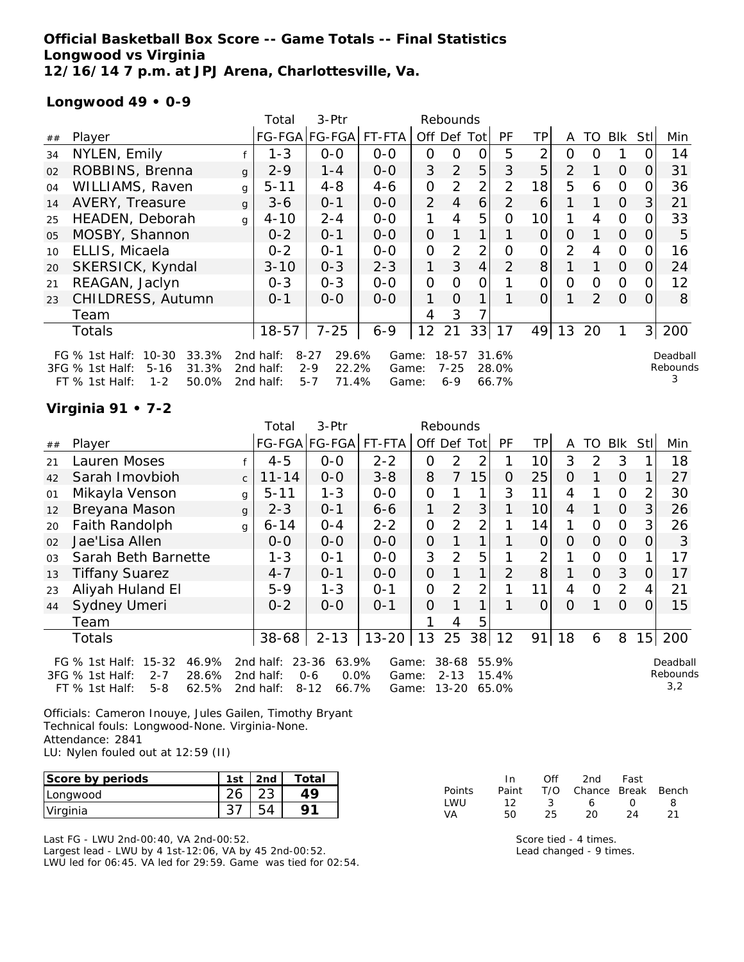## **Official Basketball Box Score -- Game Totals -- Final Statistics Longwood vs Virginia 12/16/14 7 p.m. at JPJ Arena, Charlottesville, Va.**

# **Longwood 49 • 0-9**

|        |                                                                                                                      |              | Total                               | 3-Ptr                                                     |                         |                | Rebounds                     |                |                         |    |                |                |          |                |                           |
|--------|----------------------------------------------------------------------------------------------------------------------|--------------|-------------------------------------|-----------------------------------------------------------|-------------------------|----------------|------------------------------|----------------|-------------------------|----|----------------|----------------|----------|----------------|---------------------------|
| $\#\#$ | Player                                                                                                               |              |                                     | FG-FGA FG-FGA                                             | FT-FTA                  | Off Def Tot    |                              |                | PF                      | ΤP | A              | TO.            | Blk      | StII           | Min                       |
| 34     | NYLEN, Emily                                                                                                         |              | $1 - 3$                             | $0 - 0$                                                   | $0 - 0$                 | 0              | ი                            | O              | 5                       | 2  | 0              | Ω              |          |                | 14                        |
| 02     | ROBBINS, Brenna                                                                                                      | $\mathbf{q}$ | $2 - 9$                             | 1 - 4                                                     | $0 - 0$                 | 3              | 2                            | 5              | 3                       | 5  | $\overline{2}$ |                | $\Omega$ | 0              | 31                        |
| 04     | WILLIAMS, Raven                                                                                                      | g            | $5 - 11$                            | $4 - 8$                                                   | $4 - 6$                 | 0              | 2                            | $\overline{2}$ | 2                       | 18 | 5              | 6              | $\Omega$ | O              | 36                        |
| 14     | AVERY, Treasure                                                                                                      | g            | $3 - 6$                             | $0 - 1$                                                   | $0-0$                   | 2              | $\overline{4}$               | 6              | $\overline{2}$          | 6  |                |                | $\Omega$ | 3              | 21                        |
| 25     | HEADEN, Deborah                                                                                                      | $\mathsf{q}$ | $4 - 10$                            | $2 - 4$                                                   | $0 - 0$                 |                | 4                            | 5              | $\Omega$                | 10 |                | 4              | $\Omega$ | 0              | 33                        |
| 05     | MOSBY, Shannon                                                                                                       |              | $0 - 2$                             | $0 - 1$                                                   | $0 - 0$                 | $\overline{O}$ | 1                            | $\mathbf{1}$   |                         | 0  | O              |                | $\Omega$ | $\Omega$       | 5                         |
| 10     | ELLIS, Micaela                                                                                                       |              | $0 - 2$                             | $0 - 1$                                                   | $0-0$                   | 0              | 2                            | 2 <sub>1</sub> | $\Omega$                | 0  | $\overline{2}$ | 4              | $\Omega$ | O              | 16                        |
| 20     | SKERSICK, Kyndal                                                                                                     |              | $3 - 10$                            | $0 - 3$                                                   | $2 - 3$                 | 1              | 3                            | $\overline{4}$ | $\mathcal{P}$           | 8  |                |                | $\Omega$ | 0              | 24                        |
| 21     | REAGAN, Jaclyn                                                                                                       |              | $0 - 3$                             | $0 - 3$                                                   | $O-O$                   | 0              | $\Omega$                     | Ο              |                         | 0  | 0              | 0              | $\Omega$ |                | 12                        |
| 23     | CHILDRESS, Autumn                                                                                                    |              | $0 - 1$                             | $0-0$                                                     | $0 - 0$                 | 1              | $\Omega$                     | $\mathbf 1$    |                         | 0  |                | $\overline{2}$ | $\Omega$ | 0              | 8                         |
|        | Team                                                                                                                 |              |                                     |                                                           |                         | 4              | 3                            |                |                         |    |                |                |          |                |                           |
|        | Totals                                                                                                               |              | $18 - 57$                           | $7 - 25$                                                  | $6 - 9$                 | 12             | 21                           | 33             | 17                      | 49 | 13             | 20             |          | 3 <sup>1</sup> | 200                       |
|        | $10 - 30$<br>33.3%<br>FG $%$ 1st Half:<br>31.3%<br>3FG % 1st Half:<br>$5 - 16$<br>$1 - 2$<br>50.0%<br>FT % 1st Half: |              | 2nd half:<br>2nd half:<br>2nd half: | $8 - 27$<br>29.6%<br>22.2%<br>$2 - 9$<br>71.4%<br>$5 - 7$ | Game:<br>Game:<br>Game: |                | 18-57<br>$7 - 25$<br>$6 - 9$ |                | 31.6%<br>28.0%<br>66.7% |    |                |                |          |                | Deadball<br>Rebounds<br>3 |

# **Virginia 91 • 7-2**

|                                        |                                                                             | Total     | 3-Ptr                               |                                           |                           |                                                 |         |                                                |                               |                |               |                |          |                             |
|----------------------------------------|-----------------------------------------------------------------------------|-----------|-------------------------------------|-------------------------------------------|---------------------------|-------------------------------------------------|---------|------------------------------------------------|-------------------------------|----------------|---------------|----------------|----------|-----------------------------|
| Player                                 |                                                                             |           |                                     |                                           |                           |                                                 |         | <b>PF</b>                                      | ΤP                            | A              | TO            | <b>Blk</b>     | Stll     | Min                         |
| Lauren Moses                           |                                                                             | $4 - 5$   | $0-0$                               | $2 - 2$                                   | 0                         | $\overline{2}$                                  | 2       |                                                | 10                            | 3              | $\mathcal{P}$ | 3              |          | 18                          |
| Sarah Imovbioh                         | $\mathsf{C}$                                                                | $11 - 14$ | $O-O$                               | $3 - 8$                                   | 8                         | 7                                               | 15      | O                                              | 25                            | 0              |               | $\Omega$       |          | 27                          |
| Mikayla Venson                         | g                                                                           | $5 - 11$  | $1 - 3$                             | $0 - 0$                                   | 0                         |                                                 |         | 3                                              | 11                            | 4              |               | $\Omega$       |          | 30                          |
| Breyana Mason                          | $\mathbf{q}$                                                                | $2 - 3$   | $0 - 1$                             | 6-6                                       | $\mathbf{1}$              | $\overline{2}$                                  | 3       |                                                | 10 <sup>1</sup>               | 4              |               | $\Omega$       | 3        | 26                          |
| Faith Randolph                         | g                                                                           | $6 - 14$  | $0 - 4$                             | $2 - 2$                                   | 0                         | 2                                               | 2       |                                                | 14                            |                | 0             | $\Omega$       | 3        | 26                          |
| Jae'Lisa Allen                         |                                                                             | $O-O$     | $0 - 0$                             | $0 - 0$                                   | 0                         |                                                 | 1       |                                                | $\Omega$                      | $\Omega$       | $\Omega$      | $\Omega$       | $\Omega$ | 3                           |
| Sarah Beth Barnette                    |                                                                             | $1 - 3$   | $0 - 1$                             | $0 - 0$                                   | 3                         | 2                                               | 5       |                                                | 2                             |                | 0             | $\mathbf{O}$   |          | 17                          |
| <b>Tiffany Suarez</b>                  |                                                                             | $4 - 7$   | $0 - 1$                             | $0 - 0$                                   | 0                         |                                                 | 1       | 2                                              | 8                             |                | $\Omega$      | 3              | 0        | 17                          |
| Aliyah Huland El                       |                                                                             | $5 - 9$   | $1 - 3$                             | $O - 1$                                   | $\Omega$                  | 2                                               | 2       |                                                | 11                            | $\overline{4}$ | $\Omega$      | 2              | 4        | 21                          |
| Sydney Umeri                           |                                                                             | $0 - 2$   | $0 - 0$                             | $O - 1$                                   | 0                         |                                                 | 1       |                                                | $\Omega$                      | $\Omega$       |               | $\overline{O}$ |          | 15                          |
| Team                                   |                                                                             |           |                                     |                                           |                           | 4                                               | 5       |                                                |                               |                |               |                |          |                             |
| Totals                                 |                                                                             |           | $2 - 13$                            | $13 - 20$                                 | 13                        | 25                                              |         | 12                                             | 91                            | 18             | 6             | 8              | 15       | 200                         |
| 46.9%<br>$15 - 32$<br>$2 - 7$<br>28.6% |                                                                             |           |                                     |                                           |                           |                                                 |         |                                                |                               |                |               |                |          | Deadball<br>Rebounds<br>3,2 |
|                                        | FG $%$ 1st Half:<br>3FG % 1st Half:<br>$5 - 8$<br>62.5%<br>$FT$ % 1st Half: |           | 2nd half:<br>2nd half:<br>2nd half: | $38 - 68$<br>23-36<br>$0 - 6$<br>$8 - 12$ | 63.9%<br>$0.0\%$<br>66.7% | FG-FGA FG-FGA FT-FTA<br>Game:<br>Game:<br>Game: | Off Def | Rebounds<br>Totl<br>38-68<br>$2 - 13$<br>13-20 | 38<br>55.9%<br>15.4%<br>65.0% |                |               |                |          |                             |

Officials: Cameron Inouye, Jules Gailen, Timothy Bryant Technical fouls: Longwood-None. Virginia-None. Attendance: 2841 LU: Nylen fouled out at 12:59 (II)

| Score by periods | 1st | 2nd | Total |
|------------------|-----|-----|-------|
| Longwood         |     |     |       |
| Virginia         |     |     |       |

Last FG - LWU 2nd-00:40, VA 2nd-00:52. Largest lead - LWU by 4 1st-12:06, VA by 45 2nd-00:52. LWU led for 06:45. VA led for 29:59. Game was tied for 02:54.

|        | In In | ∩ff           | 2nd -                  | Fast             |   |
|--------|-------|---------------|------------------------|------------------|---|
| Points | Paint |               | T/O Chance Break Bench |                  |   |
| I WU   | 12.   | $\mathcal{R}$ | 6 -                    | $\left( \right)$ | Χ |
| VA     | 50.   | 25.           | 20.                    | 24               |   |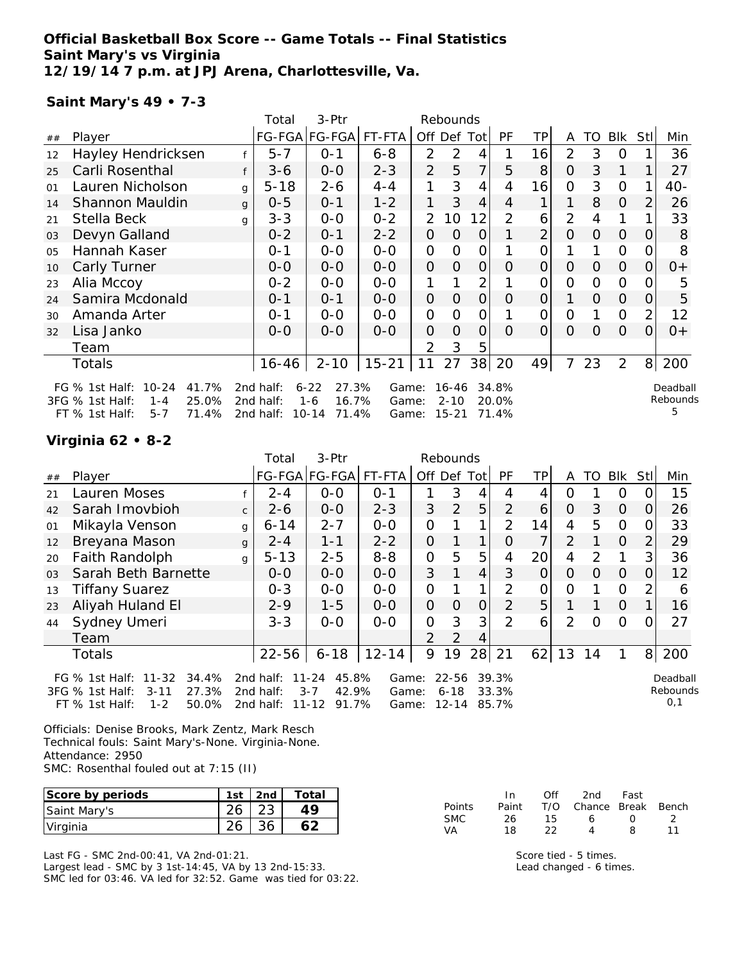## **Official Basketball Box Score -- Game Totals -- Final Statistics Saint Mary's vs Virginia 12/19/14 7 p.m. at JPJ Arena, Charlottesville, Va.**

### **Saint Mary's 49 • 7-3**

|                |                                                                                                                     |   | Total                               | 3-Ptr                                                       |                         |                | Rebounds                       |                |                         |                |          |          |                |          |                            |
|----------------|---------------------------------------------------------------------------------------------------------------------|---|-------------------------------------|-------------------------------------------------------------|-------------------------|----------------|--------------------------------|----------------|-------------------------|----------------|----------|----------|----------------|----------|----------------------------|
| ##             | Player                                                                                                              |   |                                     | FG-FGA FG-FGA FT-FTA                                        |                         |                | Off Def Tot                    |                | PF                      | ТP             | A        | TO       | Blk            | Stll     | Min                        |
| 12             | Hayley Hendricksen                                                                                                  |   | $5 - 7$                             | $0 - 1$                                                     | $6 - 8$                 | $\overline{2}$ | 2                              | 4              |                         | 16             | 2        | 3        | 0              |          | 36                         |
| 25             | Carli Rosenthal                                                                                                     | f | $3-6$                               | $0 - 0$                                                     | $2 - 3$                 | 2              | 5                              | $\overline{7}$ | 5                       | 8              | $\Omega$ | 3        |                |          | 27                         |
| O <sub>1</sub> | Lauren Nicholson                                                                                                    | q | $5 - 18$                            | $2 - 6$                                                     | $4 - 4$                 | 1              | 3                              | 4              | 4                       | 16             | 0        | 3        | $\overline{O}$ |          | 40-                        |
| 14             | Shannon Mauldin                                                                                                     | g | $0 - 5$                             | $0 - 1$                                                     | $1 - 2$                 | 1              | 3                              | 4              | 4                       |                |          | 8        | $\overline{O}$ |          | 26                         |
| 21             | Stella Beck                                                                                                         | q | $3 - 3$                             | $0-0$                                                       | $0 - 2$                 | $\mathcal{P}$  | 10                             | 12             | 2                       | 6              | 2        | 4        |                |          | 33                         |
| 03             | Devyn Galland                                                                                                       |   | $0 - 2$                             | $0 - 1$                                                     | $2 - 2$                 | 0              | 0                              | $\Omega$       |                         | $\overline{2}$ | 0        | $\Omega$ | $\Omega$       | $\Omega$ | 8                          |
| 05             | Hannah Kaser                                                                                                        |   | $0 - 1$                             | $0 - 0$                                                     | $0 - 0$                 | 0              | O                              | $\mathcal{O}$  |                         | 0              |          |          | $\Omega$       |          | 8                          |
| 10             | Carly Turner                                                                                                        |   | $0 - 0$                             | $0-0$                                                       | $0 - 0$                 | 0              | $\Omega$                       | $\Omega$       | $\Omega$                | $\Omega$       | 0        | $\Omega$ | $\Omega$       | $\Omega$ | $0+$                       |
| 23             | Alia Mccoy                                                                                                          |   | $0 - 2$                             | $0 - 0$                                                     | $0 - 0$                 |                |                                | $\overline{2}$ |                         | 0              | 0        | $\Omega$ | $\Omega$       |          | 5                          |
| 24             | Samira Mcdonald                                                                                                     |   | $0 - 1$                             | $0 - 1$                                                     | $0 - 0$                 | 0              | $\Omega$                       | $\overline{O}$ | 0                       | $\Omega$       | 1        | $\Omega$ | $\Omega$       | $\Omega$ | 5                          |
| 30             | Amanda Arter                                                                                                        |   | $0 - 1$                             | $0-0$                                                       | $0 - 0$                 | 0              | O                              | $\mathcal{O}$  |                         | 0              | 0        |          | $\Omega$       | 2        | 12                         |
| 32             | Lisa Janko                                                                                                          |   | $0-0$                               | $0 - 0$                                                     | $0 - 0$                 | 0              | $\Omega$                       | $\Omega$       | $\Omega$                | $\Omega$       | $\Omega$ | $\Omega$ | $\Omega$       | $\Omega$ | $0+$                       |
|                | Team                                                                                                                |   |                                     |                                                             |                         | $\mathcal{P}$  | 3                              | 5              |                         |                |          |          |                |          |                            |
|                | Totals                                                                                                              |   | 16-46                               | $2 - 10$                                                    | $15 - 21$               | 11             | 27                             | 38             | 20                      | 49             | 7        | 23       | 2              | 8        | 200                        |
|                | $10 - 24$<br>FG $%$ 1st Half:<br>41.7%<br>25.0%<br>3FG % 1st Half:<br>$1 - 4$<br>71.4%<br>FT % 1st Half:<br>$5 - 7$ |   | 2nd half:<br>2nd half:<br>2nd half: | $6 - 22$<br>27.3%<br>16.7%<br>$1 - 6$<br>$10 - 14$<br>71.4% | Game:<br>Game:<br>Game: |                | 16-46<br>$2 - 10$<br>$15 - 21$ |                | 34.8%<br>20.0%<br>71.4% |                |          |          |                |          | Deadball<br>Rebounds<br>5. |

### **Virginia 62 • 8-2**

|                |                                                                                                                    |              | Total                               | 3-Ptr                                                    |                         |                | Rebounds                           |                |                         |          |                |               |                |            |                             |
|----------------|--------------------------------------------------------------------------------------------------------------------|--------------|-------------------------------------|----------------------------------------------------------|-------------------------|----------------|------------------------------------|----------------|-------------------------|----------|----------------|---------------|----------------|------------|-----------------------------|
| ##             | Player                                                                                                             |              |                                     | FG-FGA FG-FGA                                            | FT-FTA                  | Off Def        |                                    | Totl           | PF                      | TP       | A              | TO            | Blk            | <b>Stl</b> | Min                         |
| 21             | Lauren Moses                                                                                                       |              | $2 - 4$                             | $0 - 0$                                                  | $O - 1$                 |                | 3                                  |                | 4                       | 4        | O              |               | O              |            | 15                          |
| 42             | Sarah Imovbioh                                                                                                     | $\mathsf{C}$ | $2 - 6$                             | $0 - 0$                                                  | $2 - 3$                 | 3              | 2                                  | 5              | $\mathcal{P}$           | 6        | $\Omega$       | 3             | $\overline{0}$ | $\Omega$   | 26                          |
| 01             | Mikayla Venson                                                                                                     | g            | $6 - 14$                            | $2 - 7$                                                  | $0-0$                   | 0              |                                    | 1              | $\overline{2}$          | 14       | 4              | 5             | $\overline{0}$ | 0          | 33                          |
| 12             | Breyana Mason                                                                                                      | g            | $2 - 4$                             | $1 - 1$                                                  | $2 - 2$                 | $\Omega$       |                                    |                | $\Omega$                | 7        | $\overline{2}$ |               | $\Omega$       | 2          | 29                          |
| 20             | Faith Randolph                                                                                                     | $\mathsf{q}$ | $5 - 13$                            | $2 - 5$                                                  | $8 - 8$                 | 0              | 5                                  | 5              | 4                       | 20       | 4              | $\mathcal{D}$ |                | 3          | 36                          |
| 0 <sub>3</sub> | Sarah Beth Barnette                                                                                                |              | $0 - 0$                             | $0 - 0$                                                  | $0 - 0$                 | 3              |                                    | 4              | 3                       | $\Omega$ | $\Omega$       | $\Omega$      | $\Omega$       | 0          | 12                          |
| 13             | <b>Tiffany Suarez</b>                                                                                              |              | $0 - 3$                             | $0 - 0$                                                  | $0 - 0$                 | 0              |                                    |                | 2                       | 0        | $\Omega$       |               | $\Omega$       |            | 6                           |
| 23             | Aliyah Huland El                                                                                                   |              | $2 - 9$                             | $1 - 5$                                                  | $0 - 0$                 | $\overline{O}$ | $\Omega$                           | $\Omega$       | 2                       | 5        |                |               | $\Omega$       |            | 16                          |
| 44             | Sydney Umeri                                                                                                       |              | $3 - 3$                             | $0 - 0$                                                  | $0 - 0$                 | 0              | 3                                  | 3 <sub>1</sub> | $\mathcal{P}$           | 6        | $\overline{2}$ | $\Omega$      | $\Omega$       | ∩          | 27                          |
|                | Team                                                                                                               |              |                                     |                                                          |                         | $\overline{2}$ | 2                                  | 4              |                         |          |                |               |                |            |                             |
|                | Totals                                                                                                             |              | $22 - 56$                           | $6 - 18$                                                 | $12 - 14$               | 9              | 19                                 | 28             | 21                      | 62       | 13             | 14            |                | 8          | 200                         |
|                | FG % 1st Half:<br>$11 - 32$<br>34.4%<br>3FG % 1st Half:<br>27.3%<br>$3 - 11$<br>FT % 1st Half:<br>50.0%<br>$1 - 2$ |              | 2nd half:<br>2nd half:<br>2nd half: | 45.8%<br>$11 - 24$<br>42.9%<br>$3 - 7$<br>91.7%<br>11-12 | Game:<br>Game:<br>Game: |                | $22 - 56$<br>$6 - 18$<br>$12 - 14$ |                | 39.3%<br>33.3%<br>85.7% |          |                |               |                |            | Deadball<br>Rebounds<br>0,1 |

Officials: Denise Brooks, Mark Zentz, Mark Resch Technical fouls: Saint Mary's-None. Virginia-None. Attendance: 2950 SMC: Rosenthal fouled out at 7:15 (II)

| Score by periods | 1st | 2 <sub>nd</sub> | Total |
|------------------|-----|-----------------|-------|
| Saint Mary's     |     |                 |       |
| Virginia         |     |                 |       |

Last FG - SMC 2nd-00:41, VA 2nd-01:21. Largest lead - SMC by 3 1st-14:45, VA by 13 2nd-15:33. SMC led for 03:46. VA led for 32:52. Game was tied for 03:22.

|               | In.   | Off | 2nd                    | Fast             |    |
|---------------|-------|-----|------------------------|------------------|----|
| <b>Points</b> | Paint |     | T/O Chance Break Bench |                  |    |
| <b>SMC</b>    | 26.   | 15. | 6                      | $\left( \right)$ |    |
| VA.           | 18    | つつ  | Δ                      | я                | 11 |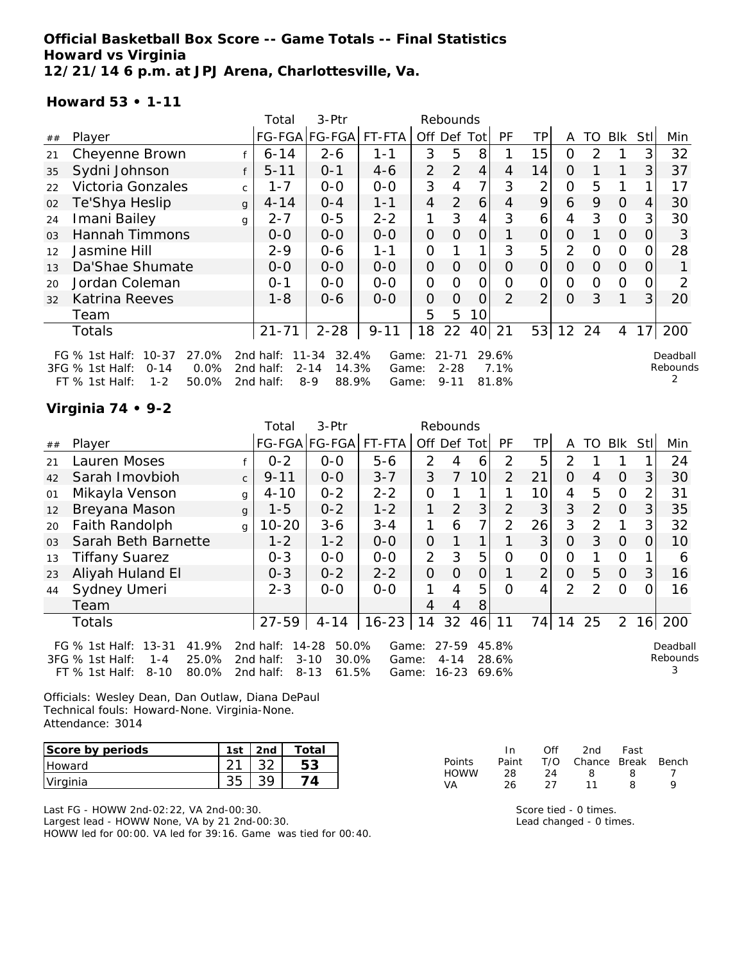## **Official Basketball Box Score -- Game Totals -- Final Statistics Howard vs Virginia 12/21/14 6 p.m. at JPJ Arena, Charlottesville, Va.**

### **Howard 53 • 1-11**

|                |                                                                                                                     |              | Total                               | 3-Ptr                                                   |                         |                | Rebounds                          |                |                        |                |                |          |          |                  |                      |
|----------------|---------------------------------------------------------------------------------------------------------------------|--------------|-------------------------------------|---------------------------------------------------------|-------------------------|----------------|-----------------------------------|----------------|------------------------|----------------|----------------|----------|----------|------------------|----------------------|
| ##             | Player                                                                                                              |              |                                     | FG-FGA FG-FGA                                           | FT-FTA                  | Off            | Def Tot                           |                | PF                     | ΤP             | A              | TO.      | Blk      | StII             | Min                  |
| 21             | Cheyenne Brown                                                                                                      |              | $6 - 14$                            | $2 - 6$                                                 | 1-1                     | 3              | 5                                 | 8              |                        | 15             | 0              | 2        |          | 3                | 32                   |
| 35             | Sydni Johnson                                                                                                       |              | $5 - 11$                            | $O - 1$                                                 | $4-6$                   | $\overline{2}$ | 2                                 | $\overline{4}$ | 4                      | 14             | 0              |          |          | 3                | 37                   |
| 22             | Victoria Gonzales                                                                                                   | $\mathsf{C}$ | 1-7                                 | $O-O$                                                   | $0 - 0$                 | 3              | 4                                 | 7              | 3                      | 2              | 0              | 5        |          |                  | 17                   |
| 02             | Te'Shya Heslip                                                                                                      | $\mathbf{q}$ | $4 - 14$                            | $O - 4$                                                 | $1 - 1$                 | $\overline{4}$ | 2                                 | 6              | 4                      | 9              | 6              | 9        | $\Omega$ | 4                | 30                   |
| 24             | Imani Bailey                                                                                                        | g            | $2 - 7$                             | $0 - 5$                                                 | $2 - 2$                 | 1              | 3                                 | 4              | 3                      | 6              | 4              | 3        | $\Omega$ | 3                | 30                   |
| O <sub>3</sub> | Hannah Timmons                                                                                                      |              | $O-O$                               | $0 - 0$                                                 | $0 - 0$                 | $\Omega$       | $\Omega$                          | $\Omega$       |                        | 0              | $\Omega$       |          | $\Omega$ | $\Omega$         | 3                    |
| 12             | Jasmine Hill                                                                                                        |              | $2 - 9$                             | $0 - 6$                                                 | 1-1                     | O              |                                   |                | 3                      | 5              | 2              | $\Omega$ | $\Omega$ |                  | 28                   |
| 13             | Da'Shae Shumate                                                                                                     |              | $0 - 0$                             | $0-0$                                                   | $O-O$                   | 0              | $\Omega$                          | O              | 0                      | 0              | 0              | $\Omega$ | $\Omega$ | $\left( \right)$ |                      |
| 20             | Jordan Coleman                                                                                                      |              | $0 - 1$                             | $0 - 0$                                                 | $0 - 0$                 | O              | O                                 | Ο              | Ω                      | 0              | $\overline{O}$ | $\Omega$ | $\Omega$ |                  | 2                    |
| 32             | <b>Katrina Reeves</b>                                                                                               |              | $1 - 8$                             | $0 - 6$                                                 | $0 - 0$                 | 0              | $\Omega$                          | $\Omega$       | $\mathcal{P}$          | 2 <sub>1</sub> | $\Omega$       | 3        |          | 3                | 20                   |
|                | Team                                                                                                                |              |                                     |                                                         |                         | 5              | 5                                 | 10             |                        |                |                |          |          |                  |                      |
|                | Totals                                                                                                              |              | $21 - 71$                           | $2 - 28$                                                | $9 - 11$                | 18             | 22                                | 40             | 21                     | 53             | 12             | 24       | 4        | 17               | 200                  |
|                | $10 - 37$<br>27.0%<br>FG $%$ 1st Half:<br>0.0%<br>3FG % 1st Half:<br>$0 - 14$<br>$1 - 2$<br>50.0%<br>FT % 1st Half: |              | 2nd half:<br>2nd half:<br>2nd half: | 32.4%<br>11-34<br>$2 - 14$<br>14.3%<br>$8 - 9$<br>88.9% | Game:<br>Game:<br>Game: |                | $21 - 71$<br>$2 - 28$<br>$9 - 11$ |                | 29.6%<br>7.1%<br>81.8% |                |                |          |          |                  | Deadball<br>Rebounds |

# **Virginia 74 • 9-2**

|    |                                                                              |              | Total                  | 3-Ptr                                  |                |                | Rebounds          |                 |                |                 |                |                |                |                |               |
|----|------------------------------------------------------------------------------|--------------|------------------------|----------------------------------------|----------------|----------------|-------------------|-----------------|----------------|-----------------|----------------|----------------|----------------|----------------|---------------|
| ## | Player                                                                       |              | FG-FGA FG-FGA          |                                        | FT-FTA         | Off Def Tot    |                   |                 | <b>PF</b>      | TPI             | A              | TO             | Blk            | Stll           | Min           |
| 21 | Lauren Moses                                                                 |              | $0 - 2$                | $0 - 0$                                | $5 - 6$        | 2              | 4                 | 6               | 2              | 5               | 2              |                |                |                | 24            |
| 42 | Sarah Imovbioh                                                               | $\mathsf{C}$ | $9 - 11$               | $0 - 0$                                | $3 - 7$        | 3              | 7                 | 10 <sup>1</sup> | $\overline{2}$ | 21              | $\Omega$       | 4              | $\Omega$       | 3              | 30            |
| 01 | Mikayla Venson                                                               | g            | $4 - 10$               | $0 - 2$                                | $2 - 2$        | $\mathcal{O}$  |                   |                 |                | 10 <sup>1</sup> | 4              | 5              | $\Omega$       | $\overline{2}$ | 31            |
| 12 | Breyana Mason                                                                | $\mathbf{q}$ | $1 - 5$                | $0 - 2$                                | $1 - 2$        |                | $\overline{2}$    | 3               | $\overline{2}$ | 3               | 3              | $\overline{2}$ | $\Omega$       | 3              | 35            |
| 20 | Faith Randolph                                                               | g            | $10 - 20$              | $3 - 6$                                | $3 - 4$        |                | 6                 | $\overline{7}$  | $\overline{2}$ | 26              | 3              | $\mathcal{P}$  | 1              | 3              | 32            |
| 03 | Sarah Beth Barnette                                                          |              | $1 - 2$                | $1 - 2$                                | $0-0$          | $\overline{O}$ |                   | 1               |                | 3               | $\overline{O}$ | 3              | $\Omega$       | 0              | 10            |
| 13 | <b>Tiffany Suarez</b>                                                        |              | $0 - 3$                | $0 - 0$                                | $0-0$          | $\overline{2}$ | 3                 | 5               | $\Omega$       | 0               | O              |                | $\circ$        |                | 6             |
| 23 | Aliyah Huland El                                                             |              | $0 - 3$                | $0 - 2$                                | $2 - 2$        | $\overline{O}$ | $\Omega$          | 0               |                | $\overline{2}$  | $\Omega$       | 5              | $\Omega$       | 3              | 16            |
| 44 | Sydney Umeri                                                                 |              | $2 - 3$                | $0-0$                                  | $0-0$          | 1              | 4                 | 5               | $\Omega$       | 4               | 2              | $\mathcal{P}$  | $\Omega$       | $\Omega$       | 16            |
|    | Team                                                                         |              |                        |                                        |                | 4              | 4                 | 8               |                |                 |                |                |                |                |               |
|    | <b>Totals</b>                                                                |              | $27 - 59$              | $4 - 14$                               | $16 - 23$      | 14             | 32                | 46              | 11             | 74              | 14             | 25             | $\overline{2}$ |                | 16 200        |
|    | FG % 1st Half: 13-31<br>41.9%                                                |              | 2nd half:              | $14 - 28$<br>50.0%                     | Game:          |                | $27 - 59$         |                 | 45.8%          |                 |                |                |                |                | Deadball      |
|    | 3FG % 1st Half:<br>25.0%<br>$1 - 4$<br>80.0%<br>$FT$ % 1st Half:<br>$8 - 10$ |              | 2nd half:<br>2nd half: | $3 - 10$<br>30.0%<br>61.5%<br>$8 - 13$ | Game:<br>Game: |                | $4 - 14$<br>16-23 |                 | 28.6%<br>69.6% |                 |                |                |                |                | Rebounds<br>3 |

Officials: Wesley Dean, Dan Outlaw, Diana DePaul Technical fouls: Howard-None. Virginia-None. Attendance: 3014

| Score by periods | $1c+$ | 2nd | Total |
|------------------|-------|-----|-------|
| <b>Howard</b>    |       |     |       |
| Virginia         |       |     |       |

Last FG - HOWW 2nd-02:22, VA 2nd-00:30. Largest lead - HOWW None, VA by 21 2nd-00:30.

HOWW led for 00:00. VA led for 39:16. Game was tied for 00:40.

|               | In.   | Off | 2nd                    | Fast |  |
|---------------|-------|-----|------------------------|------|--|
| <b>Points</b> | Paint |     | T/O Chance Break Bench |      |  |
| <b>HOWW</b>   | 28    | 24  | 8                      | x    |  |
| VA            | 26    | 27  | 11                     | я    |  |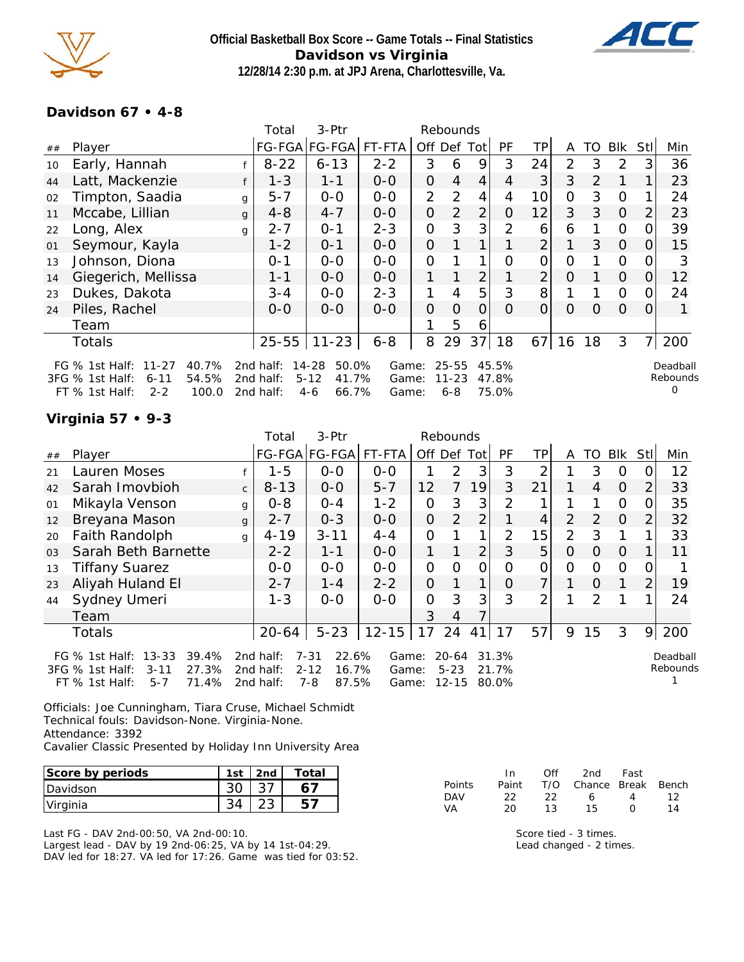

**Official Basketball Box Score -- Game Totals -- Final Statistics Davidson vs Virginia 12/28/14 2:30 p.m. at JPJ Arena, Charlottesville, Va.**



## **Davidson 67 • 4-8**

|    |                                                                                                                    |              | Total                               | 3-Ptr                                                   |                         |                | Rebounds                          |                |                         |                |               |          |                |          |                                  |
|----|--------------------------------------------------------------------------------------------------------------------|--------------|-------------------------------------|---------------------------------------------------------|-------------------------|----------------|-----------------------------------|----------------|-------------------------|----------------|---------------|----------|----------------|----------|----------------------------------|
| ## | Player                                                                                                             |              |                                     | FG-FGA FG-FGA                                           | FT-FTA                  |                |                                   | Off Def Tot    | <b>PF</b>               | ΤP             | A             | TO.      | Blk            | Stll     | Min                              |
| 10 | Early, Hannah                                                                                                      |              | $8 - 22$                            | $6 - 13$                                                | $2 - 2$                 | 3              | 6                                 | 9              | 3                       | 24             | 2             | 3        | $\overline{2}$ | 3        | 36                               |
| 44 | Latt, Mackenzie                                                                                                    |              | $1 - 3$                             | $1 - 1$                                                 | $O-O$                   | $\overline{O}$ | 4                                 | 4              | 4                       | 3              | 3             | 2        |                |          | 23                               |
| 02 | Timpton, Saadia                                                                                                    | g            | $5 - 7$                             | $0-0$                                                   | $0-0$                   | $\overline{2}$ | 2                                 | 4              | 4                       | 10             | 0             | 3        | $\Omega$       |          | 24                               |
| 11 | Mccabe, Lillian                                                                                                    | $\mathbf{q}$ | $4 - 8$                             | $4 - 7$                                                 | $0 - 0$                 | $\overline{O}$ | $\overline{2}$                    | $\overline{2}$ | 0                       | 12             | 3             | 3        | $\overline{O}$ | 2        | 23                               |
| 22 | Long, Alex                                                                                                         | g            | $2 - 7$                             | $O - 1$                                                 | $2 - 3$                 | 0              | 3                                 | 3              | 2                       | 6              | 6             |          | $\Omega$       |          | 39                               |
| 01 | Seymour, Kayla                                                                                                     |              | $1 - 2$                             | $O - 1$                                                 | $0-0$                   | $\Omega$       |                                   |                |                         | $\overline{2}$ | 1             | 3        | $\overline{O}$ | $\Omega$ | 15                               |
| 13 | Johnson, Diona                                                                                                     |              | $0 - 1$                             | $0-0$                                                   | $O-O$                   | $\overline{O}$ |                                   | 1              | $\Omega$                | 0              | $\mathcal{O}$ |          | $\mathbf{O}$   |          | 3                                |
| 14 | Giegerich, Mellissa                                                                                                |              | $1 - 1$                             | $0-0$                                                   | $0-0$                   | 1              |                                   | $\overline{2}$ |                         | $\overline{2}$ | 0             |          | $\overline{O}$ | O        | 12                               |
| 23 | Dukes, Dakota                                                                                                      |              | $3 - 4$                             | $0 - 0$                                                 | $2 - 3$                 | 1.             | $\overline{4}$                    | 5              | 3                       | 8              |               |          | $\Omega$       | 0        | 24                               |
| 24 | Piles, Rachel                                                                                                      |              | $O-O$                               | $O-O$                                                   | $0 - 0$                 | $\overline{O}$ | 0                                 | $\Omega$       | 0                       | 0              | 0             | $\Omega$ | $\Omega$       | $\Omega$ |                                  |
|    | Team                                                                                                               |              |                                     |                                                         |                         |                | 5                                 | 6              |                         |                |               |          |                |          |                                  |
|    | <b>Totals</b>                                                                                                      |              | $25 - 55$                           | $11 - 23$                                               | $6 - 8$                 | 8              | 29                                | 37             | 18                      | 67             | 16            | 18       | 3              |          | 200                              |
|    | 40.7%<br>FG % 1st Half:<br>$11 - 27$<br>3FG % 1st Half:<br>54.5%<br>$6 - 11$<br>FT % 1st Half:<br>100.0<br>$2 - 2$ |              | 2nd half:<br>2nd half:<br>2nd half: | 14-28<br>50.0%<br>$5 - 12$<br>41.7%<br>66.7%<br>$4 - 6$ | Game:<br>Game:<br>Game: |                | $25 - 55$<br>$11 - 23$<br>$6 - 8$ |                | 45.5%<br>47.8%<br>75.0% |                |               |          |                |          | Deadball<br>Rebounds<br>$\Omega$ |

# **Virginia 57 • 9-3**

|                |                                                                                                                      |              | Total                               | $3-Ptr$                                                    |                         | Rebounds       |                                    |                 |                         |                |                |               |          |                |                      |
|----------------|----------------------------------------------------------------------------------------------------------------------|--------------|-------------------------------------|------------------------------------------------------------|-------------------------|----------------|------------------------------------|-----------------|-------------------------|----------------|----------------|---------------|----------|----------------|----------------------|
| ##             | Player                                                                                                               |              |                                     | FG-FGA FG-FGA                                              | FT-FTA                  | Off Def        |                                    | Totl            | <b>PF</b>               | <b>TP</b>      | A              | TO            | Blk      | Stll           | Min                  |
| 21             | Lauren Moses                                                                                                         |              | $1 - 5$                             | $0-0$                                                      | $0-0$                   |                | 2                                  | 3               | 3                       | 2              |                | 3             | O        | 0              | 12                   |
| 42             | Sarah Imovbioh                                                                                                       | $\mathsf{C}$ | $8 - 13$                            | $0-0$                                                      | $5 - 7$                 | 12             | 7                                  | 19 <sup>1</sup> | 3                       | 21             |                | 4             | O        | $\overline{2}$ | 33                   |
| 01             | Mikayla Venson                                                                                                       | g            | $0 - 8$                             | $O - 4$                                                    | $1 - 2$                 | $\mathcal{O}$  | 3                                  | 3               | $\overline{2}$          |                |                |               | $\Omega$ | 0              | 35                   |
| 12             | Breyana Mason                                                                                                        | g            | $2 - 7$                             | $0 - 3$                                                    | $0-0$                   | $\overline{O}$ | 2                                  | $\overline{2}$  |                         | 4              | $\overline{2}$ | 2             | 0        | 2              | 32                   |
| 20             | Faith Randolph                                                                                                       | g            | $4 - 19$                            | $3 - 11$                                                   | $4 - 4$                 | $\mathcal{O}$  |                                    | $\mathbf{1}$    | $\overline{2}$          | 15             | $\overline{2}$ | 3             |          |                | 33                   |
| 0 <sub>3</sub> | Sarah Beth Barnette                                                                                                  |              | $2 - 2$                             | $1 - 1$                                                    | $0-0$                   | 1              |                                    | $\overline{2}$  | 3                       | 5              | $\Omega$       | $\Omega$      | $\Omega$ |                | 11                   |
| 13             | Tiffany Suarez                                                                                                       |              | $0-0$                               | $0-0$                                                      | $0-0$                   | $\mathcal{O}$  | $\Omega$                           | 0               | O                       | 0              | O              | 0             | $\circ$  | $\Omega$       |                      |
| 23             | Aliyah Huland El                                                                                                     |              | $2 - 7$                             | $1 - 4$                                                    | $2 - 2$                 | $\overline{O}$ |                                    | 1.              | O                       | $\overline{7}$ |                | $\Omega$      |          | 2              | 19                   |
| 44             | Sydney Umeri                                                                                                         |              | $1 - 3$                             | $0 - 0$                                                    | $0 - 0$                 | $\Omega$       | 3                                  | 3               | 3                       | 2              |                | $\mathcal{P}$ |          |                | 24                   |
|                | Team                                                                                                                 |              |                                     |                                                            |                         | 3              | 4                                  |                 |                         |                |                |               |          |                |                      |
|                | <b>Totals</b>                                                                                                        |              | 20-64                               | $5 - 23$                                                   | $12 - 15$               | 17             | 24                                 | 41              | 17                      | 57             | 9              | 15            | 3        | 9              | 200                  |
|                | $13 - 33$<br>FG % 1st Half:<br>39.4%<br>27.3%<br>3FG % 1st Half:<br>$3 - 11$<br>71.4%<br>$5 - 7$<br>$FT$ % 1st Half: |              | 2nd half:<br>2nd half:<br>2nd half: | 22.6%<br>$7 - 31$<br>16.7%<br>$2 - 12$<br>$7 - 8$<br>87.5% | Game:<br>Game:<br>Game: |                | $20 - 64$<br>$5 - 23$<br>$12 - 15$ |                 | 31.3%<br>21.7%<br>80.0% |                |                |               |          |                | Deadball<br>Rebounds |

Officials: Joe Cunningham, Tiara Cruse, Michael Schmidt Technical fouls: Davidson-None. Virginia-None. Attendance: 3392 Cavalier Classic Presented by Holiday Inn University Area

| Score by periods | 1st | 2nd | Total |
|------------------|-----|-----|-------|
| <b>IDavidson</b> |     |     |       |
| Virginia         |     |     |       |

Last FG - DAV 2nd-00:50, VA 2nd-00:10. Largest lead - DAV by 19 2nd-06:25, VA by 14 1st-04:29. DAV led for 18:27. VA led for 17:26. Game was tied for 03:52.

|            | In.   | Off  | 2nd                    | Fast             |    |
|------------|-------|------|------------------------|------------------|----|
| Points     | Paint |      | T/O Chance Break Bench |                  |    |
| <b>DAV</b> | フフ    | -22. | 6.                     | 4                | 12 |
| VA.        | 20.   | 13.  | 15.                    | $\left( \right)$ | 14 |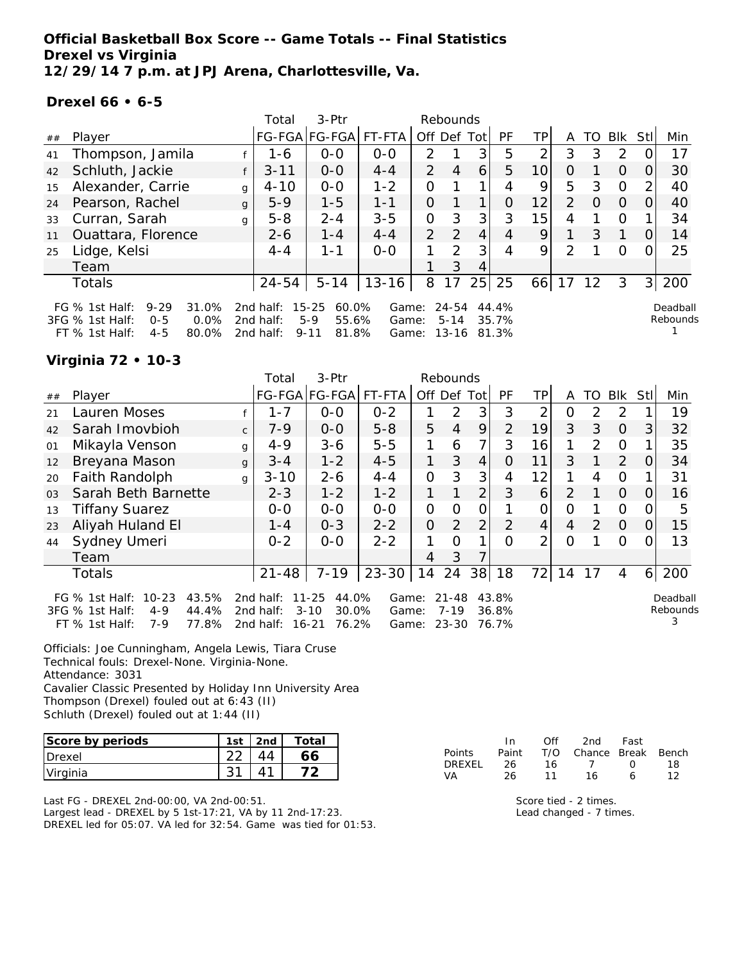**Official Basketball Box Score -- Game Totals -- Final Statistics Drexel vs Virginia 12/29/14 7 p.m. at JPJ Arena, Charlottesville, Va.**

### **Drexel 66 • 6-5**

|    |                                                                                                                        |   | Total                                  | $3-Ptr$                                                   |                         |                | Rebounds                       |    |                         |                 |               |          |               |                |                      |
|----|------------------------------------------------------------------------------------------------------------------------|---|----------------------------------------|-----------------------------------------------------------|-------------------------|----------------|--------------------------------|----|-------------------------|-----------------|---------------|----------|---------------|----------------|----------------------|
| ## | Player                                                                                                                 |   |                                        | FG-FGA FG-FGA                                             | FT-FTA                  | Off Def Tot    |                                |    | <b>PF</b>               | TPI             | A             | TO       | Blk           | Stll           | Min                  |
| 41 | Thompson, Jamila                                                                                                       |   | 1-6                                    | $0 - 0$                                                   | $0 - 0$                 | $\mathcal{P}$  |                                | 3  | 5                       | 2               | 3             | 3        | $\mathcal{P}$ |                | 17                   |
| 42 | Schluth, Jackie                                                                                                        |   | $3 - 11$                               | $0 - 0$                                                   | $4 - 4$                 | $\mathcal{P}$  | 4                              | 6  | 5                       | 10 <sup>1</sup> | $\Omega$      |          | $\Omega$      | $\Omega$       | 30                   |
| 15 | Alexander, Carrie                                                                                                      | g | $4 - 10$                               | $0 - 0$                                                   | $1 - 2$                 | 0              |                                |    | 4                       | 9               | 5             | 3        | $\Omega$      | 2              | 40                   |
| 24 | Pearson, Rachel                                                                                                        | g | $5-9$                                  | $1 - 5$                                                   | $1 - 1$                 | $\overline{O}$ |                                |    | $\Omega$                | 12              | $\mathcal{P}$ | $\Omega$ | $\Omega$      | $\Omega$       | 40                   |
| 33 | Curran, Sarah                                                                                                          | g | $5 - 8$                                | $2 - 4$                                                   | $3 - 5$                 | 0              | 3                              | 3  | 3                       | 15              | 4             |          | $\Omega$      |                | 34                   |
| 11 | Ouattara, Florence                                                                                                     |   | $2 - 6$                                | $1 - 4$                                                   | $4 - 4$                 | $\overline{2}$ | $\mathcal{P}$                  | 4  | 4                       | 9               |               | 3        |               | 0              | 14                   |
| 25 | Lidge, Kelsi                                                                                                           |   | $4 - 4$                                | $1 - 1$                                                   | $0 - 0$                 |                | $\mathcal{P}$                  | 3  | 4                       | 9               | $\mathcal{P}$ |          | O             |                | 25                   |
|    | Team                                                                                                                   |   |                                        |                                                           |                         |                | 3                              | 4  |                         |                 |               |          |               |                |                      |
|    | Totals                                                                                                                 |   | 24-54                                  | $5 - 14$                                                  | $13 - 16$               | 8              | 17                             | 25 | 25                      | 66              | 17            | -12      | 3             | 3 <sup>1</sup> | 200                  |
|    | 31.0%<br>FG $%$ 1st Half:<br>$9 - 29$<br>3FG % 1st Half:<br>$0.0\%$<br>$0 - 5$<br>$4 - 5$<br>80.0%<br>$FT$ % 1st Half: |   | 2nd half:<br>2 $nd$ half:<br>2nd half: | $15 - 25$<br>60.0%<br>$5-9$<br>55.6%<br>81.8%<br>$9 - 11$ | Game:<br>Game:<br>Game: |                | $24 - 54$<br>$5 - 14$<br>13-16 |    | 44.4%<br>35.7%<br>81.3% |                 |               |          |               |                | Deadball<br>Rebounds |

### **Virginia 72 • 10-3**

|                |                                                                                                                 |              | Total                               | 3-Ptr                                                     |                         |                | Rebounds                           |                |                         |               |                |               |               |                  |                           |
|----------------|-----------------------------------------------------------------------------------------------------------------|--------------|-------------------------------------|-----------------------------------------------------------|-------------------------|----------------|------------------------------------|----------------|-------------------------|---------------|----------------|---------------|---------------|------------------|---------------------------|
| ##             | Player                                                                                                          |              |                                     | FG-FGA FG-FGA                                             | FT-FTA                  | Off Def        |                                    | Totl           | PF                      | TP            | A              | TO            | <b>Blk</b>    | Stll             | Min                       |
| 21             | Lauren Moses                                                                                                    |              | $1 - 7$                             | $0-0$                                                     | $0 - 2$                 |                | 2                                  | 3 <sup>1</sup> | 3                       | 2             | 0              | 2             | 2             |                  | 19                        |
| 42             | Sarah Imovbioh                                                                                                  | $\mathsf{C}$ | $7 - 9$                             | $0 - 0$                                                   | $5 - 8$                 | 5              | 4                                  | 9              | 2                       | 19            | 3              | 3             | $\Omega$      | 3                | 32                        |
| 01             | Mikayla Venson                                                                                                  | g            | $4 - 9$                             | $3 - 6$                                                   | $5 - 5$                 |                | 6                                  | 7              | 3                       | 16            |                | 2             | O             |                  | 35                        |
| 12             | Breyana Mason                                                                                                   | $\mathbf{q}$ | $3 - 4$                             | $1 - 2$                                                   | $4 - 5$                 | 1              | 3                                  | 4              | $\Omega$                | 11            | 3              |               | 2             | O                | 34                        |
| 20             | Faith Randolph                                                                                                  | $\mathbf{q}$ | $3 - 10$                            | $2 - 6$                                                   | $4 - 4$                 | $\overline{O}$ | 3                                  | 3              | 4                       | 12            | 1              | 4             | $\mathcal{O}$ |                  | 31                        |
| 0 <sub>3</sub> | Sarah Beth Barnette                                                                                             |              | $2 - 3$                             | $1 - 2$                                                   | $1 - 2$                 | 1              |                                    | $\overline{2}$ | 3                       | 6             | $\overline{2}$ |               | $\Omega$      | $\Omega$         | 16                        |
| 13             | <b>Tiffany Suarez</b>                                                                                           |              | $0-0$                               | $0-0$                                                     | $0-0$                   | 0              | $\Omega$                           | 0              |                         | 0             | O              |               | $\Omega$      | $\left( \right)$ | 5                         |
| 23             | Aliyah Huland El                                                                                                |              | $1 - 4$                             | $0 - 3$                                                   | $2 - 2$                 | $\Omega$       | $\mathcal{P}$                      | 2              | $\mathcal{P}$           | 4             | 4              | $\mathcal{P}$ | $\Omega$      | O                | 15                        |
| 44             | Sydney Umeri                                                                                                    |              | $0 - 2$                             | $0 - 0$                                                   | $2 - 2$                 | 1              | $\Omega$                           | 1              | $\Omega$                | $\mathcal{P}$ | $\Omega$       |               | $\Omega$      | O                | 13                        |
|                | Team                                                                                                            |              |                                     |                                                           |                         | 4              | 3                                  |                |                         |               |                |               |               |                  |                           |
|                | Totals                                                                                                          |              | $21 - 48$                           | $7 - 19$                                                  | $23 - 30$               | 14             | 24                                 | 38             | 18                      | 72 l          | 14             | 17            | 4             | $6 \mid$         | 200                       |
|                | $10 - 23$<br>43.5%<br>FG $%$ 1st Half:<br>3FG % 1st Half:<br>44.4%<br>$4 - 9$<br>77.8%<br>FT % 1st Half:<br>7-9 |              | 2nd half:<br>2nd half:<br>2nd half: | $11 - 25$<br>44.0%<br>$3 - 10$<br>30.0%<br>76.2%<br>16-21 | Game:<br>Game:<br>Game: |                | $21 - 48$<br>$7 - 19$<br>$23 - 30$ |                | 43.8%<br>36.8%<br>76.7% |               |                |               |               |                  | Deadball<br>Rebounds<br>3 |

Officials: Joe Cunningham, Angela Lewis, Tiara Cruse Technical fouls: Drexel-None. Virginia-None. Attendance: 3031 Cavalier Classic Presented by Holiday Inn University Area Thompson (Drexel) fouled out at 6:43 (II)

Schluth (Drexel) fouled out at 1:44 (II)

| Score by periods | 1st | 2 <sub>nd</sub> | Total |
|------------------|-----|-----------------|-------|
| Drexel           |     |                 |       |
| Virginia         |     |                 |       |

Last FG - DREXEL 2nd-00:00, VA 2nd-00:51. Largest lead - DREXEL by 5 1st-17:21, VA by 11 2nd-17:23. DREXEL led for 05:07. VA led for 32:54. Game was tied for 01:53.

|               | In.   | ∩ff | 2nd                    | Fast        |    |
|---------------|-------|-----|------------------------|-------------|----|
| <b>Points</b> | Paint |     | T/O Chance Break Bench |             |    |
| DREXEL        | 26.   | 16. |                        | $^{\prime}$ | 18 |
| VA            | 26.   | 11  | 16                     | А           | 12 |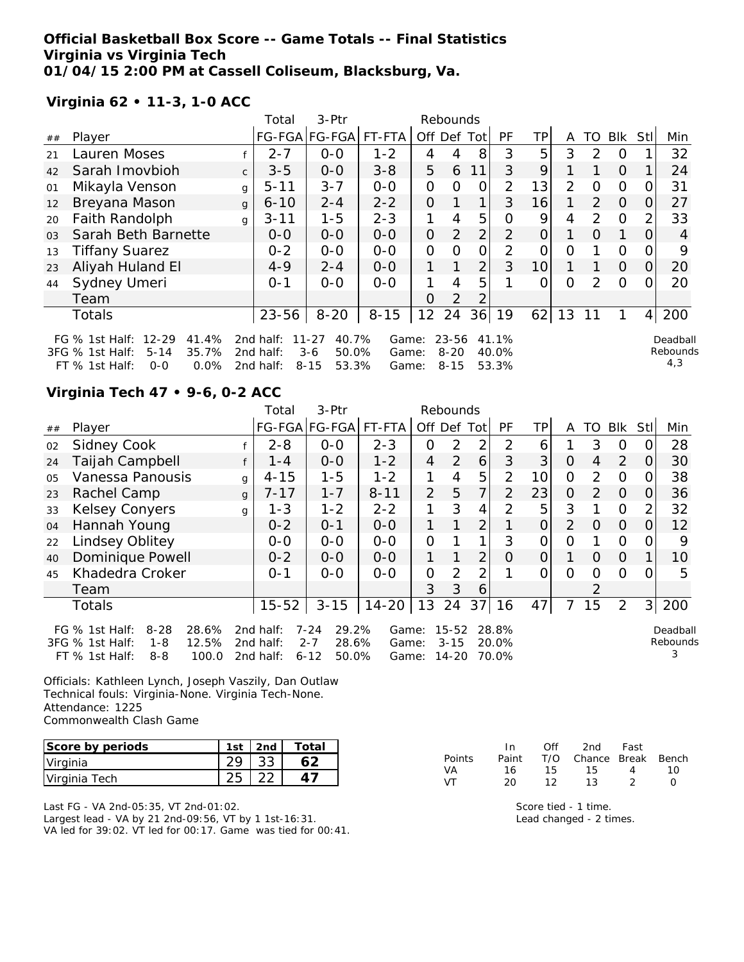## **Official Basketball Box Score -- Game Totals -- Final Statistics Virginia vs Virginia Tech 01/04/15 2:00 PM at Cassell Coliseum, Blacksburg, Va.**

# **Virginia 62 • 11-3, 1-0 ACC**

|                |                                                                                                                                        |              | Total                                  | $3-$ Ptr                                                          |                        | Rebounds       |                               |                |                                |                 |    |               |          |                |                             |
|----------------|----------------------------------------------------------------------------------------------------------------------------------------|--------------|----------------------------------------|-------------------------------------------------------------------|------------------------|----------------|-------------------------------|----------------|--------------------------------|-----------------|----|---------------|----------|----------------|-----------------------------|
| ##             | Player                                                                                                                                 |              |                                        | FG-FGA FG-FGA                                                     | FT-FTA                 | Off            | Def                           | Totl           | <b>PF</b>                      | TP.             | A  | TO            | Blk      | Stl            | Min                         |
| 21             | Lauren Moses                                                                                                                           |              | $2 - 7$                                | $0 - 0$                                                           | $1 - 2$                | 4              | 4                             | 8              | 3                              | 5               | 3  | 2             | O        |                | 32                          |
| 42             | Sarah Imovbioh                                                                                                                         | $\mathsf{C}$ | $3 - 5$                                | $0 - 0$                                                           | $3 - 8$                | 5              | 6                             | 11             | 3                              | 9               |    |               | $\Omega$ |                | 24                          |
| 01             | Mikayla Venson                                                                                                                         | g            | $5 - 11$                               | $3 - 7$                                                           | $0-0$                  | 0              | Ω                             | 0              | 2                              | 13              | 2  | Ω             | 0        |                | 31                          |
| 12             | Breyana Mason                                                                                                                          | $\mathbf{q}$ | $6 - 10$                               | $2 - 4$                                                           | $2 - 2$                | $\Omega$       |                               | 1              | 3                              | 16              |    | $\mathcal{P}$ | $\Omega$ | O              | 27                          |
| 20             | Faith Randolph                                                                                                                         | q            | $3 - 11$                               | $1 - 5$                                                           | $2 - 3$                | 1              | 4                             | 5              | 0                              | 9               | 4  | 2             | $\Omega$ | 2              | 33                          |
| 0 <sub>3</sub> | Sarah Beth Barnette                                                                                                                    |              | $0 - 0$                                | $0-0$                                                             | $0-0$                  | $\overline{O}$ | $\overline{2}$                | 2              | $\overline{2}$                 | 0               |    | $\Omega$      |          |                | 4                           |
| 13             | <b>Tiffany Suarez</b>                                                                                                                  |              | $0 - 2$                                | $0 - 0$                                                           | $0 - 0$                | 0              | 0                             | 0              | $\mathcal{P}$                  | Ω               | Ω  |               | $\Omega$ | O              | 9                           |
| 23             | Aliyah Huland El                                                                                                                       |              | $4 - 9$                                | $2 - 4$                                                           | $0 - 0$                |                |                               | $\overline{2}$ | 3                              | 10 <sup>1</sup> |    |               | $\Omega$ | 0              | 20                          |
| 44             | Sydney Umeri                                                                                                                           |              | $0 - 1$                                | $0 - 0$                                                           | $0 - 0$                |                | 4                             | 5              |                                | Ω               | Ω  | 2             | $\Omega$ |                | 20                          |
|                | Team                                                                                                                                   |              |                                        |                                                                   |                        | Ο              | $\mathcal{P}$                 | 2              |                                |                 |    |               |          |                |                             |
|                | Totals                                                                                                                                 |              | $23 - 56$                              | $8 - 20$                                                          | $8 - 15$               | 12 24          |                               | 36             | 19                             | 62              | 13 | 11            |          | $\overline{4}$ | 200                         |
|                | $12 - 29$<br>41.4%<br>FG $\%$ 1st Half:<br>35.7%<br>3FG % 1st Half:<br>$5 - 14$<br><u>ሰ በ% በ</u><br>$FT \,$ % 1ct Half $\cdot$<br>_റ_റ |              | 2nd half:<br>2 $nd$ half:<br>2nd half: | $11 - 27$<br>40.7%<br>$3-6$<br>50.0%<br>$9 - 15$<br><b>E3 30Y</b> | Game:<br>Game:<br>Game |                | 23-56<br>$8 - 20$<br>$9 - 15$ |                | 41.1%<br>40.0%<br><b>E330X</b> |                 |    |               |          |                | Deadball<br>Rebounds<br>4.3 |

2nd half: 8-15 53.3% Game: 8-15 53.3%

## **Virginia Tech 47 • 9-6, 0-2 ACC**

FT  $%$  1st Half: 0-0

|                |                                                                                                                  |              | Total                               | $3-Ptr$                                                    |                         |                | Rebounds                           |                |                         |                 |                |          |                |                |                           |
|----------------|------------------------------------------------------------------------------------------------------------------|--------------|-------------------------------------|------------------------------------------------------------|-------------------------|----------------|------------------------------------|----------------|-------------------------|-----------------|----------------|----------|----------------|----------------|---------------------------|
| ##             | Player                                                                                                           |              |                                     | FG-FGA FG-FGA FT-FTA                                       |                         | Off Def Tot    |                                    |                | <b>PF</b>               | TPI             | A              | TO       | <b>BIK</b>     | <b>Stll</b>    | Min                       |
| 02             | Sidney Cook                                                                                                      |              | $2 - 8$                             | $0 - 0$                                                    | $2 - 3$                 | 0              | 2                                  | 2              | 2                       | 6               |                | 3        | O              | O              | 28                        |
| 24             | Taijah Campbell                                                                                                  |              | $1 - 4$                             | $0-0$                                                      | $1 - 2$                 | $\overline{4}$ | 2                                  | 6              | 3                       | 3               | $\overline{O}$ | 4        | 2              | $\Omega$       | 30                        |
| O <sub>5</sub> | Vanessa Panousis                                                                                                 | g            | $4 - 15$                            | $1 - 5$                                                    | $1 - 2$                 | $\mathbf{1}$   | 4                                  | 5              | 2                       | 10 <sup>1</sup> | $\overline{O}$ | 2        | $\Omega$       | 0              | 38                        |
| 23             | Rachel Camp                                                                                                      | $\mathbf{q}$ | $7 - 17$                            | $1 - 7$                                                    | $8 - 11$                | $\overline{2}$ | 5                                  | $\overline{7}$ | 2                       | 23              | $\Omega$       | 2        | $\overline{O}$ | 0              | 36                        |
| 33             | <b>Kelsey Conyers</b>                                                                                            | g            | $1 - 3$                             | $1 - 2$                                                    | $2 - 2$                 | 1              | 3                                  | 4              | $\mathfrak{D}$          | 5               | 3              |          | $\Omega$       | $\overline{2}$ | 32                        |
| 04             | Hannah Young                                                                                                     |              | $0 - 2$                             | $O - 1$                                                    | $O - O$                 | $\mathbf{1}$   | 1                                  | $\overline{2}$ |                         | $\overline{O}$  | $\overline{2}$ | $\Omega$ | $\Omega$       | 0              | 12                        |
| 22             | Lindsey Oblitey                                                                                                  |              | $0-0$                               | $0 - 0$                                                    | $0 - 0$                 | 0              |                                    | 1              | 3                       | 0               | O              |          | O              | O              | 9                         |
| 40             | Dominique Powell                                                                                                 |              | $0 - 2$                             | $0-0$                                                      | $0-0$                   | 1              |                                    | 2              | $\Omega$                | $\Omega$        |                | $\Omega$ | $\Omega$       |                | 10                        |
| 45             | Khadedra Croker                                                                                                  |              | $O - 1$                             | $0-0$                                                      | $0-0$                   | $\overline{O}$ | 2                                  | $\overline{2}$ |                         | $\Omega$        | $\Omega$       | O        | $\Omega$       | 0              | 5                         |
|                | Team                                                                                                             |              |                                     |                                                            |                         | 3              | 3                                  | 6              |                         |                 |                |          |                |                |                           |
|                | <b>Totals</b>                                                                                                    |              | $15 - 52$                           | $3 - 15$                                                   | $14 - 20$               | 13             | 24                                 | 37             | 16                      | 47              | 7              | 15       | 2              | 3 <sup>1</sup> | 200                       |
|                | FG % 1st Half:<br>$8 - 28$<br>28.6%<br>12.5%<br>3FG % 1st Half:<br>$1 - 8$<br>FT % 1st Half:<br>$8 - 8$<br>100.0 |              | 2nd half:<br>2nd half:<br>2nd half: | 29.2%<br>$7 - 24$<br>$2 - 7$<br>28.6%<br>50.0%<br>$6 - 12$ | Game:<br>Game:<br>Game: |                | $15 - 52$<br>$3 - 15$<br>$14 - 20$ |                | 28.8%<br>20.0%<br>70.0% |                 |                |          |                |                | Deadball<br>Rebounds<br>3 |

Officials: Kathleen Lynch, Joseph Vaszily, Dan Outlaw Technical fouls: Virginia-None. Virginia Tech-None. Attendance: 1225 Commonwealth Clash Game

| Score by periods | 1st | 2nd | Total |
|------------------|-----|-----|-------|
| Virginia         |     |     |       |
| Virginia Tech    |     |     |       |

Last FG - VA 2nd-05:35, VT 2nd-01:02. Largest lead - VA by 21 2nd-09:56, VT by 1 1st-16:31. VA led for 39:02. VT led for 00:17. Game was tied for 00:41.

|               | In In | Off | 2nd                    | Fast |    |
|---------------|-------|-----|------------------------|------|----|
| <b>Points</b> | Paint |     | T/O Chance Break Bench |      |    |
| VA            | 16.   | 15. | 15.                    | 4    | 10 |
| ۱Æ            | 20    | 12  | 13.                    |      |    |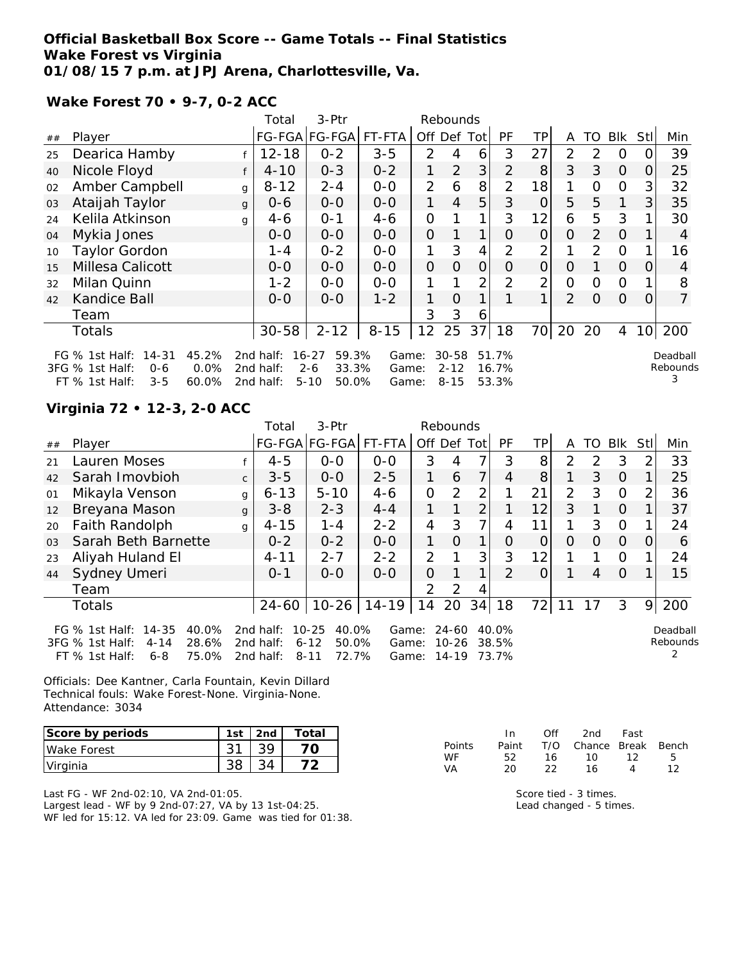## **Official Basketball Box Score -- Game Totals -- Final Statistics Wake Forest vs Virginia 01/08/15 7 p.m. at JPJ Arena, Charlottesville, Va.**

**Wake Forest 70 • 9-7, 0-2 ACC**

|    |                                                             |               | Total                  | 3-Ptr                                  |                |                | Rebounds              |     |                |                |                |          |                |                 |                      |
|----|-------------------------------------------------------------|---------------|------------------------|----------------------------------------|----------------|----------------|-----------------------|-----|----------------|----------------|----------------|----------|----------------|-----------------|----------------------|
| ## | Player                                                      |               |                        | FG-FGA FG-FGA                          | FT-FTA         | Off            | Def                   | Tot | PF             | TP.            | A              | TO       | <b>BIK</b>     | Stll            | Min                  |
| 25 | Dearica Hamby                                               |               | $12 - 18$              | $0 - 2$                                | $3 - 5$        | 2              |                       | 6   | 3              | 27             | $\overline{2}$ | 2        | O              |                 | 39                   |
| 40 | Nicole Floyd                                                |               | $4 - 10$               | $0 - 3$                                | $0 - 2$        | 1              | 2                     | 3   | $\overline{2}$ | 8              | 3              | 3        | $\Omega$       | O               | 25                   |
| 02 | Amber Campbell                                              | g             | $8 - 12$               | $2 - 4$                                | $0-0$          | $\overline{2}$ | 6                     | 8   | $\overline{2}$ | 18             | 1              | Ο        | 0              | 3               | 32                   |
| 03 | Ataijah Taylor                                              | $\mathbf{q}$  | $0 - 6$                | $0-0$                                  | $O-O$          | 1.             | $\overline{4}$        | 5   | 3              | 0              | 5              | 5        | $\mathbf{1}$   | 3               | 35                   |
| 24 | Kelila Atkinson                                             | g             | $4 - 6$                | $O - 1$                                | $4 - 6$        | $\overline{O}$ |                       | 1   | 3              | 12             | 6              | 5        | 3              |                 | 30                   |
| 04 | Mykia Jones                                                 |               | $O-O$                  | $0-0$                                  | $O-O$          | $\overline{O}$ |                       | 1   | 0              | $\Omega$       | $\circ$        | 2        | $\Omega$       |                 | 4                    |
| 10 | <b>Taylor Gordon</b>                                        |               | $1 - 4$                | $0 - 2$                                | $O-O$          | 1              | 3                     | 4   | $\overline{2}$ | $\overline{2}$ |                | 2        | $\Omega$       |                 | 16                   |
| 15 | Millesa Calicott                                            |               | $0 - 0$                | $0-0$                                  | $0-0$          | $\overline{O}$ | 0                     | 0   | O              | 0              | Ο              |          | $\Omega$       | $\Omega$        | 4                    |
| 32 | Milan Quinn                                                 |               | $1 - 2$                | $0 - 0$                                | $0-0$          |                |                       | 2   | 2              | 2              | O              | 0        | $\overline{O}$ |                 | 8                    |
| 42 | Kandice Ball                                                |               | $O-O$                  | $0 - 0$                                | $1 - 2$        | 1              | O                     | 1   |                |                | $\overline{2}$ | $\Omega$ | $\Omega$       | 0               | 7                    |
|    | Team                                                        |               |                        |                                        |                | 3              | 3                     | 6   |                |                |                |          |                |                 |                      |
|    | <b>Totals</b>                                               |               | $30 - 58$              | $2 - 12$                               | $8 - 15$       | 12             | 25                    | 37  | 18             | 70             | 20             | 20       | 4              | 10 <sup>1</sup> | 200                  |
|    | FG $%$ 1st Half:<br>$14 - 31$<br>3FG % 1st Half:<br>$0 - 6$ | 45.2%<br>0.0% | 2nd half:<br>2nd half: | 59.3%<br>$16 - 27$<br>33.3%<br>$2 - 6$ | Game:<br>Game: |                | $30 - 58$<br>$2 - 12$ |     | 51.7%<br>16.7% |                |                |          |                |                 | Deadball<br>Rebounds |
|    | FT % 1st Half:<br>$3 - 5$                                   | 60.0%         | 2nd half:              | $5 - 10$<br>50.0%                      | Game:          |                | $8 - 15$              |     | 53.3%          |                |                |          |                |                 | 3                    |

# **Virginia 72 • 12-3, 2-0 ACC**

|                |                                                                                                                    |              | Total                               | 3-Ptr                                                        |                         |               | Rebounds                    |                |                         |     |               |               |            |               |                      |
|----------------|--------------------------------------------------------------------------------------------------------------------|--------------|-------------------------------------|--------------------------------------------------------------|-------------------------|---------------|-----------------------------|----------------|-------------------------|-----|---------------|---------------|------------|---------------|----------------------|
| ##             | Player                                                                                                             |              |                                     | FG-FGA FG-FGA                                                | FT-FTA                  |               |                             | Off Def Tot    | PF                      | TPI | A             | TO.           | <b>Blk</b> | Stll          | Min                  |
| 21             | Lauren Moses                                                                                                       |              | $4 - 5$                             | $0-0$                                                        | $O-O$                   | 3             | 4                           | 7              | 3                       | 8   | $\mathcal{P}$ | $\mathcal{D}$ | 3          | $\mathcal{P}$ | 33                   |
| 42             | Sarah Imovbioh                                                                                                     | $\mathsf{C}$ | $3 - 5$                             | $0 - 0$                                                      | $2 - 5$                 |               | 6                           | 7              | 4                       | 8   |               | 3             | $\Omega$   |               | 25                   |
| 01             | Mikayla Venson                                                                                                     | g            | $6 - 13$                            | $5 - 10$                                                     | $4 - 6$                 | $\Omega$      | $\mathcal{P}$               | 2              |                         | 21  | 2             | 3             | $\Omega$   | $\mathcal{P}$ | 36                   |
| 12             | Breyana Mason                                                                                                      | $\mathbf{q}$ | $3 - 8$                             | $2 - 3$                                                      | $4 - 4$                 |               |                             | $\overline{2}$ |                         | 12  | 3             |               | 0          |               | 37                   |
| 20             | Faith Randolph                                                                                                     | g            | $4 - 15$                            | $1 - 4$                                                      | $2 - 2$                 | 4             | 3                           | $\overline{7}$ | 4                       | 11  | 1             | 3             | $\Omega$   |               | 24                   |
| 0 <sub>3</sub> | Sarah Beth Barnette                                                                                                |              | $0 - 2$                             | $0 - 2$                                                      | $O-O$                   |               | $\Omega$                    | 1              | $\Omega$                | 0   | $\Omega$      | 0             | $\Omega$   | O             | 6                    |
| 23             | Aliyah Huland El                                                                                                   |              | $4 - 11$                            | $2 - 7$                                                      | $2 - 2$                 | $\mathcal{P}$ |                             | 3              | 3                       | 12  |               |               | $\Omega$   |               | 24                   |
| 44             | Sydney Umeri                                                                                                       |              | $0 - 1$                             | $0 - 0$                                                      | $0 - 0$                 | $\Omega$      |                             | 1              | $\mathcal{P}$           | 0   |               | 4             | $\Omega$   |               | 15                   |
|                | Team                                                                                                               |              |                                     |                                                              |                         | $\mathcal{P}$ | $\mathcal{D}$               | 4              |                         |     |               |               |            |               |                      |
|                | <b>Totals</b>                                                                                                      |              | $24 - 60$                           |                                                              | $10-26$   14-19         | 14            | 20                          | 34             | 18                      | 72  |               | 17            | 3          | 9             | 200                  |
|                | FG $%$ 1st Half:<br>14-35<br>40.0%<br>28.6%<br>3FG % 1st Half:<br>$4 - 14$<br>75.0%<br>$FT$ % 1st Half:<br>$6 - 8$ |              | 2nd half:<br>2nd half:<br>2nd half: | 40.0%<br>$10 - 25$<br>50.0%<br>$6 - 12$<br>72.7%<br>$8 - 11$ | Game:<br>Game:<br>Game: |               | 24-60<br>$10 - 26$<br>14-19 |                | 40.0%<br>38.5%<br>73.7% |     |               |               |            |               | Deadball<br>Rebounds |

Officials: Dee Kantner, Carla Fountain, Kevin Dillard Technical fouls: Wake Forest-None. Virginia-None. Attendance: 3034

| Score by periods | 1st | 2 <sub>nd</sub> | Total |
|------------------|-----|-----------------|-------|
| Wake Forest      |     |                 |       |
| Virginia         |     |                 |       |

Last FG - WF 2nd-02:10, VA 2nd-01:05. Largest lead - WF by 9 2nd-07:27, VA by 13 1st-04:25. WF led for 15:12. VA led for 23:09. Game was tied for 01:38.

|               | -In   | Off | 2nd                    | Fast |    |
|---------------|-------|-----|------------------------|------|----|
| <b>Points</b> | Paint |     | T/O Chance Break Bench |      |    |
| <b>WF</b>     | 52.   | 16. | 1 O                    | 12   | Б. |
| VA.           | 20    | フフ  | 16.                    | Δ    | 12 |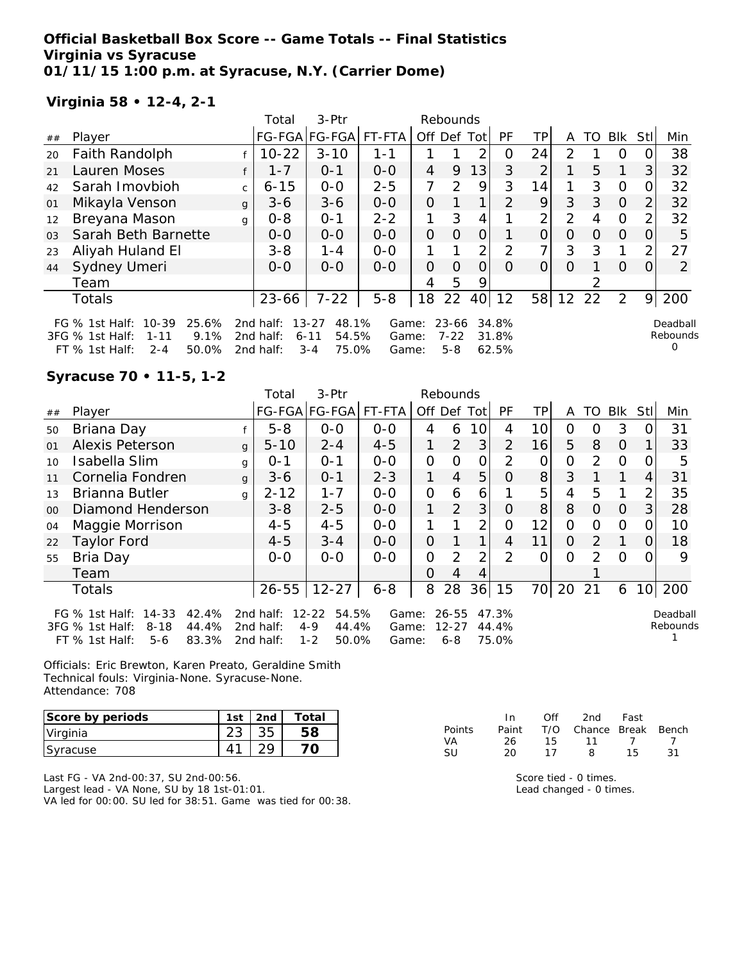## **Official Basketball Box Score -- Game Totals -- Final Statistics Virginia vs Syracuse 01/11/15 1:00 p.m. at Syracuse, N.Y. (Carrier Dome)**

# **Virginia 58 • 12-4, 2-1**

|                |                                                                                                                        |              | Total                               | 3-Ptr                                                       |                         |             | Rebounds                         |                |                         |                |                |          |          |          |                           |
|----------------|------------------------------------------------------------------------------------------------------------------------|--------------|-------------------------------------|-------------------------------------------------------------|-------------------------|-------------|----------------------------------|----------------|-------------------------|----------------|----------------|----------|----------|----------|---------------------------|
| ##             | Player                                                                                                                 |              |                                     | FG-FGA FG-FGA                                               | FT-FTA                  | Off Def Tot |                                  |                | PF                      | ΤP             | A              | TO       | Blk      | Stll     | Min                       |
| 20             | Faith Randolph                                                                                                         |              | $10 - 22$                           | $3 - 10$                                                    | $1 - 1$                 |             |                                  | っ              | O                       | 24             | $\mathcal{P}$  |          | $\Omega$ |          | 38                        |
| 21             | Lauren Moses                                                                                                           |              | $1 - 7$                             | $0 - 1$                                                     | $0 - 0$                 | 4           | 9                                | 13             | 3                       | 2              |                | 5        |          | 3        | 32                        |
| 42             | Sarah Imovbioh                                                                                                         | $\mathsf{C}$ | $6 - 15$                            | $0 - 0$                                                     | $2 - 5$                 | 7           | $\mathcal{D}$                    | 9              | 3                       | 14             |                | 3        | $\Omega$ |          | 32                        |
| 01             | Mikayla Venson                                                                                                         | g            | $3-6$                               | $3-6$                                                       | $O-O$                   | 0           |                                  | 1 <sub>1</sub> | $\mathcal{P}$           | 9              | 3              | 3        | $\Omega$ | 2        | 32                        |
| 12             | Breyana Mason                                                                                                          | g            | $0 - 8$                             | $O - 1$                                                     | $2 - 2$                 | 1           | 3                                | 4              |                         | 2 <sub>1</sub> | $\overline{2}$ | 4        | $\Omega$ |          | 32                        |
| 0 <sub>3</sub> | Sarah Beth Barnette                                                                                                    |              | $0 - 0$                             | $0-0$                                                       | $0-0$                   | 0           | O                                | 0              |                         | $\overline{O}$ | 0              | $\Omega$ | $\Omega$ | $\Omega$ | 5                         |
| 23             | Aliyah Huland El                                                                                                       |              | $3 - 8$                             | $1 - 4$                                                     | $0 - 0$                 |             |                                  | 2 <sub>1</sub> | $\mathcal{P}$           | 7 <sub>1</sub> | 3              | 3        |          | 2        | 27                        |
| 44             | Sydney Umeri                                                                                                           |              | $O-O$                               | $0 - 0$                                                     | $0 - 0$                 | O           | $\Omega$                         | Ω              | O                       | 0              | 0              |          | $\Omega$ |          | $\overline{2}$            |
|                | Team                                                                                                                   |              |                                     |                                                             |                         | 4           | 5                                | 9              |                         |                |                |          |          |          |                           |
|                | Totals                                                                                                                 |              | 23-66                               | $7 - 22$                                                    | $5 - 8$                 | 18          | 22                               | 40             | 12                      | 58             | 12             | 22       | 2        | 9        | 200                       |
|                | $10 - 39$<br>25.6%<br>FG $\%$ 1st Half:<br>9.1%<br>3FG % 1st Half:<br>$1 - 11$<br>50.0%<br>FT $%$ 1st Half:<br>$2 - 4$ |              | 2nd half:<br>2nd half:<br>2nd half: | 48.1%<br>$13 - 27$<br>54.5%<br>$6 - 11$<br>75.0%<br>$3 - 4$ | Game:<br>Game:<br>Game: |             | $23 - 66$<br>$7 - 22$<br>$5 - 8$ |                | 34.8%<br>31.8%<br>62.5% |                |                |          |          |          | Deadball<br>Rebounds<br>∩ |

# **Syracuse 70 • 11-5, 1-2**

|        |                                                                                                                            |              | Total                               | 3-Ptr                                                      |                         |             | Rebounds                      |                 |                         |                 |          |               |                |          |                      |
|--------|----------------------------------------------------------------------------------------------------------------------------|--------------|-------------------------------------|------------------------------------------------------------|-------------------------|-------------|-------------------------------|-----------------|-------------------------|-----------------|----------|---------------|----------------|----------|----------------------|
| $\#\#$ | Player                                                                                                                     |              |                                     | FG-FGA FG-FGA                                              | FT-FTA                  | Off Def Tot |                               |                 | <b>PF</b>               | TPI             | A        | TO.           | Blk            | Stll     | Min                  |
| 50     | Briana Day                                                                                                                 |              | $5 - 8$                             | $0 - 0$                                                    | $0 - 0$                 | 4           | 6                             | 10 <sup>1</sup> | 4                       | 10 <sup>1</sup> | 0        | O             | 3              | 0        | 31                   |
| 01     | <b>Alexis Peterson</b>                                                                                                     | $\mathbf{q}$ | $5 - 10$                            | $2 - 4$                                                    | $4 - 5$                 |             | $\overline{2}$                | 3               | $\overline{2}$          | 16              | 5        | 8             | $\overline{O}$ |          | 33                   |
| 10     | Isabella Slim                                                                                                              | g            | $O - 1$                             | $O - 1$                                                    | $0 - 0$                 | $\Omega$    | $\Omega$                      | 0               | $\mathcal{P}$           | $\Omega$        | 0        | $\mathcal{P}$ | $\Omega$       | $\Omega$ | 5                    |
| 11     | Cornelia Fondren                                                                                                           | $\mathbf{q}$ | $3 - 6$                             | $O - 1$                                                    | $2 - 3$                 | 1.          | $\overline{4}$                | 5               | $\Omega$                | 8 <sup>1</sup>  | 3        |               | 1              | 4        | 31                   |
| 1.3    | Brianna Butler                                                                                                             | g            | $2 - 12$                            | $1 - 7$                                                    | $0 - 0$                 | 0           | 6                             | 6               |                         | 5               | 4        | 5             |                | 2        | 35                   |
| $00\,$ | Diamond Henderson                                                                                                          |              | $3 - 8$                             | $2 - 5$                                                    | $0 - 0$                 | 1.          | 2                             | 3               | $\Omega$                | 8 <sup>1</sup>  | 8        | $\Omega$      | $\Omega$       | 3        | 28                   |
| 04     | Maggie Morrison                                                                                                            |              | $4 - 5$                             | $4 - 5$                                                    | $0-0$                   |             |                               | $\overline{2}$  | 0                       | 12              | $\Omega$ | $\Omega$      | $\Omega$       | 0        | 10                   |
| 22     | Taylor Ford                                                                                                                |              | $4 - 5$                             | $3 - 4$                                                    | $0 - 0$                 | $\Omega$    |                               | 1               | $\overline{4}$          | 11              | 0        | 2             |                | O        | 18                   |
| 55     | Bria Day                                                                                                                   |              | $0 - 0$                             | $0 - 0$                                                    | $0 - 0$                 | 0           | 2                             | $\overline{2}$  | 2                       | 0               | $\Omega$ | 2             | $\Omega$       | 0        | 9                    |
|        | Team                                                                                                                       |              |                                     |                                                            |                         | $\Omega$    | 4                             | 4               |                         |                 |          |               |                |          |                      |
|        | Totals                                                                                                                     |              | $26 - 55$                           | $12 - 27$                                                  | $6 - 8$                 | 8           | 28                            | 36              | 15                      | 70              | 20       | 21            | 6              |          | 10 200               |
|        | $14 - 33$<br>42.4%<br>FG $\%$ 1st Half:<br>44.4%<br>$3FG \%$ 1st Half:<br>$8 - 18$<br>83.3%<br>$FT$ % 1st Half:<br>$5 - 6$ |              | 2nd half:<br>2nd half:<br>2nd half: | $12 - 22$<br>54.5%<br>$4 - 9$<br>44.4%<br>$1 - 2$<br>50.0% | Game:<br>Game:<br>Game: |             | 26-55<br>$12 - 27$<br>$6 - 8$ |                 | 47.3%<br>44.4%<br>75.0% |                 |          |               |                |          | Deadball<br>Rebounds |

Officials: Eric Brewton, Karen Preato, Geraldine Smith Technical fouls: Virginia-None. Syracuse-None. Attendance: 708

| Score by periods | $1c+$ | 2nd | ™ota⊧ |
|------------------|-------|-----|-------|
| Virginia         |       |     |       |
| Syracuse         |       |     |       |

Last FG - VA 2nd-00:37, SU 2nd-00:56. Largest lead - VA None, SU by 18 1st-01:01. VA led for 00:00. SU led for 38:51. Game was tied for 00:38.

|           | In.   | ∩ff | 2nd                    | Fast |                |
|-----------|-------|-----|------------------------|------|----------------|
| Points    | Paint |     | T/O Chance Break Bench |      |                |
| VA.       | 26    | 15  | 11 7                   |      | $\overline{7}$ |
| <b>SU</b> | 20    | 17  | 8                      | 15.  | -31            |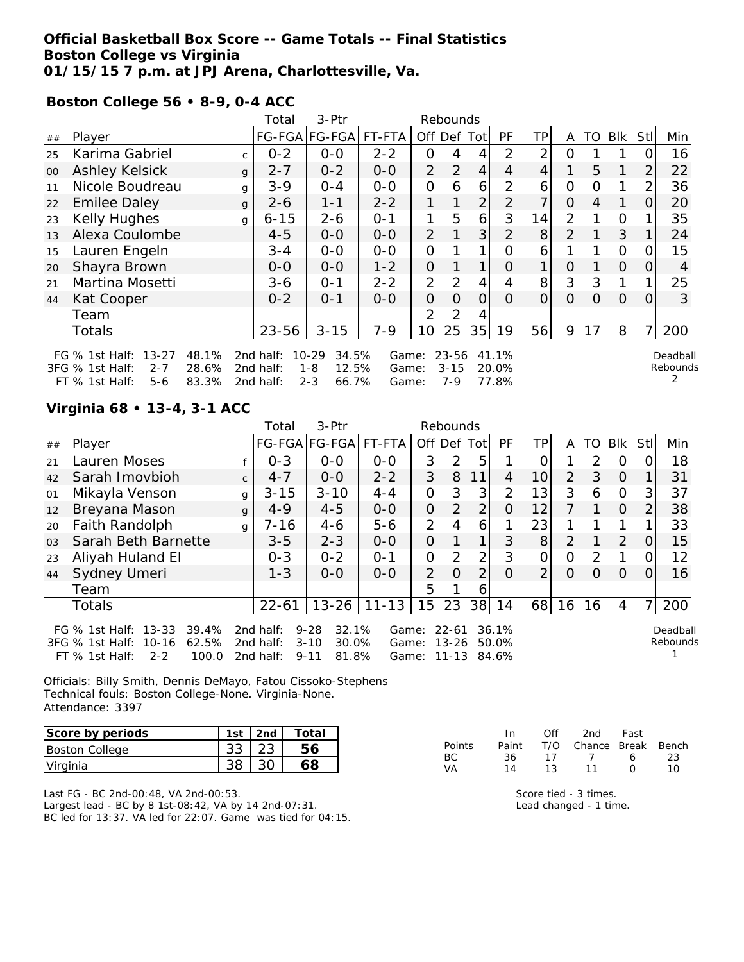## **Official Basketball Box Score -- Game Totals -- Final Statistics Boston College vs Virginia 01/15/15 7 p.m. at JPJ Arena, Charlottesville, Va.**

**Boston College 56 • 8-9, 0-4 ACC**

|                      |                                                                |              | Total    | 3-Ptr                               |                                 |                                           |                         |                    |                                           |                         |          |          |                |                |                      |
|----------------------|----------------------------------------------------------------|--------------|----------|-------------------------------------|---------------------------------|-------------------------------------------|-------------------------|--------------------|-------------------------------------------|-------------------------|----------|----------|----------------|----------------|----------------------|
| Player               |                                                                |              |          |                                     | FT-FTA                          |                                           |                         |                    | PF                                        | TP.                     | A        | TO       | <b>Blk</b>     | StII           | Min                  |
| Karima Gabriel       |                                                                | C.           | $0 - 2$  | $0-0$                               | $2 - 2$                         | 0                                         |                         |                    | 2                                         | 2                       | ი        |          |                |                | 16                   |
| Ashley Kelsick       |                                                                | $\mathbf{q}$ | $2 - 7$  | $0 - 2$                             | $O-O$                           | 2                                         | 2                       | 4                  | $\overline{4}$                            | 4                       |          | 5        | 1              | 2              | 22                   |
| Nicole Boudreau      |                                                                | g            | $3 - 9$  | $O - 4$                             | $0-0$                           | 0                                         | 6                       | 6                  | 2                                         | 6                       | 0        | Ω        |                | 2              | 36                   |
| <b>Emilee Daley</b>  |                                                                | $\mathbf{q}$ | $2 - 6$  | $1 - 1$                             | $2 - 2$                         | 1.                                        |                         | $\overline{2}$     | $\overline{2}$                            | ᄀ                       | O        | 4        | 1              | 0              | 20                   |
| Kelly Hughes         |                                                                | g            | $6 - 15$ | $2 - 6$                             | $O - 1$                         | 1                                         | 5                       | 6                  | 3                                         | 14                      | 2        |          | $\Omega$       |                | 35                   |
| Alexa Coulombe       |                                                                |              | $4 - 5$  | $O-O$                               | $0-0$                           | 2                                         | 1                       | 3                  | $\overline{2}$                            | 8                       | 2        |          | 3              |                | 24                   |
| Lauren Engeln        |                                                                |              | $3 - 4$  | $O-O$                               | $O-O$                           | 0                                         |                         | 1                  | 0                                         | 6                       |          |          | $\overline{O}$ |                | 15                   |
| Shayra Brown         |                                                                |              | $0 - 0$  | $0-0$                               | $1 - 2$                         | $\overline{O}$                            |                         | 1                  | O                                         | 1                       | Ο        |          | $\overline{O}$ | $\Omega$       | 4                    |
| Martina Mosetti      |                                                                |              | 3-6      | $0 - 1$                             | $2 - 2$                         | $\overline{2}$                            | 2                       | 4                  |                                           | 8                       | 3        | 3        | $\mathbf{1}$   |                | 25                   |
| Kat Cooper           |                                                                |              | $0 - 2$  | $0 - 1$                             | $0 - 0$                         | $\Omega$                                  | $\Omega$                | 0                  | $\Omega$                                  | O                       | $\Omega$ | $\Omega$ | $\Omega$       | 0              | 3                    |
| Team                 |                                                                |              |          |                                     |                                 | $\overline{2}$                            | 2                       |                    |                                           |                         |          |          |                |                |                      |
| <b>Totals</b>        |                                                                |              | 23-56    | $3 - 15$                            | $7 - 9$                         | 10                                        | 25                      | 35                 | 19                                        | 56                      | 9        | 17       | 8              | $\overline{7}$ | 200                  |
| $13 - 27$<br>$2 - 7$ | 48.1%<br>28.6%                                                 |              |          |                                     |                                 |                                           |                         |                    |                                           |                         |          |          |                |                | Deadball<br>Rebounds |
|                      | FG $%$ 1st Half:<br>3FG % 1st Half:<br>$FT$ % 1st Half:<br>5-6 | 83.3%        |          | 2nd half:<br>2nd half:<br>2nd half: | $10 - 29$<br>$1 - 8$<br>$2 - 3$ | FG-FGA FG-FGA <br>34.5%<br>12.5%<br>66.7% | Game:<br>Game:<br>Game: | Off Def<br>$7 - 9$ | Rebounds<br>Totl<br>$23 - 56$<br>$3 - 15$ | 41.1%<br>20.0%<br>77.8% |          |          |                |                |                      |

# **Virginia 68 • 13-4, 3-1 ACC**

|    |                                                                                                            |              | Total                               | $3-Ptr$                                                     |                         |                | Rebounds                        |                |                         |                 |    |               |          |                |                      |
|----|------------------------------------------------------------------------------------------------------------|--------------|-------------------------------------|-------------------------------------------------------------|-------------------------|----------------|---------------------------------|----------------|-------------------------|-----------------|----|---------------|----------|----------------|----------------------|
| ## | Player                                                                                                     |              |                                     | FG-FGA FG-FGA                                               | FT-FTA                  | Off Def Tot    |                                 |                | PF                      | TPI             | A  | TO            | Blk      | Stll           | Min                  |
| 21 | Lauren Moses                                                                                               |              | $0 - 3$                             | $0 - 0$                                                     | $0 - 0$                 | 3              | $\mathcal{D}$                   | 5              |                         | Ω               |    | $\mathcal{D}$ | $\Omega$ | 0              | 18                   |
| 42 | Sarah Imovbioh                                                                                             | $\mathsf{C}$ | $4 - 7$                             | $O-O$                                                       | $2 - 2$                 | 3              | 8                               | 11             | 4                       | 10 <sup>1</sup> | 2  | 3             | $\Omega$ |                | 31                   |
| 01 | Mikayla Venson                                                                                             | g            | $3 - 15$                            | $3 - 10$                                                    | $4 - 4$                 | $\mathbf{O}$   | 3                               | 3              | $\overline{2}$          | 13              | 3  | 6             | $\Omega$ | 31             | 37                   |
| 12 | Breyana Mason                                                                                              | g            | $4 - 9$                             | $4 - 5$                                                     | $0-0$                   | 0              | 2                               | $\overline{2}$ | 0                       | 12              |    |               | $\Omega$ | 2              | 38                   |
| 20 | Faith Randolph                                                                                             | g            | $7 - 16$                            | $4 - 6$                                                     | $5 - 6$                 | 2              | 4                               | 6              |                         | 23              |    |               |          |                | 33                   |
| 03 | Sarah Beth Barnette                                                                                        |              | $3 - 5$                             | $2 - 3$                                                     | $0-0$                   | 0              |                                 | 1              | 3                       | 8               | 2  |               | 2        | O              | 15                   |
| 23 | Aliyah Huland El                                                                                           |              | $0 - 3$                             | $0 - 2$                                                     | $O - 1$                 | $\Omega$       | $\mathcal{P}$                   | 2 <sub>1</sub> | 3                       | 0               | 0  | $\mathcal{P}$ |          | 0              | 12                   |
| 44 | Sydney Umeri                                                                                               |              | $1 - 3$                             | $0-0$                                                       | $0 - 0$                 | $\overline{2}$ | $\Omega$                        | $\overline{2}$ | $\Omega$                | $\overline{2}$  | 0  | $\Omega$      | $\Omega$ | $\Omega$       | 16                   |
|    | Team                                                                                                       |              |                                     |                                                             |                         | 5              |                                 | 6              |                         |                 |    |               |          |                |                      |
|    | <b>Totals</b>                                                                                              |              | $22 - 61$                           | $13 - 26$                                                   | $11 - 13$               | 15 23          |                                 |                | 38   14                 | 68              | 16 | 16            | 4        | 7 <sup>1</sup> | 200                  |
|    | FG % 1st Half: 13-33<br>39.4%<br>62.5%<br>3FG % 1st Half:<br>10-16<br>100.0<br>$FT$ % 1st Half:<br>$2 - 2$ |              | 2nd half:<br>2nd half:<br>2nd half: | 32.1%<br>$9 - 28$<br>30.0%<br>$3 - 10$<br>81.8%<br>$9 - 11$ | Game:<br>Game:<br>Game: |                | $22 - 61$<br>$13 - 26$<br>11-13 |                | 36.1%<br>50.0%<br>84.6% |                 |    |               |          |                | Deadball<br>Rebounds |

Officials: Billy Smith, Dennis DeMayo, Fatou Cissoko-Stephens Technical fouls: Boston College-None. Virginia-None. Attendance: 3397

| Score by periods      | 1st | 2 <sub>nd</sub> | Total |
|-----------------------|-----|-----------------|-------|
| <b>Boston College</b> |     |                 | 56    |
| Virginia              |     |                 |       |

Last FG - BC 2nd-00:48, VA 2nd-00:53. Largest lead - BC by 8 1st-08:42, VA by 14 2nd-07:31. BC led for 13:37. VA led for 22:07. Game was tied for 04:15.

|               | In.   | $\bigcap \{f\}$ | 2nd                    | Fast             |    |
|---------------|-------|-----------------|------------------------|------------------|----|
| <b>Points</b> | Paint |                 | T/O Chance Break Bench |                  |    |
| BC.           | 36.   | 17              | $\overline{7}$         | 6                | 23 |
| VA            | 14    | 13              | 11                     | $\left( \right)$ | 10 |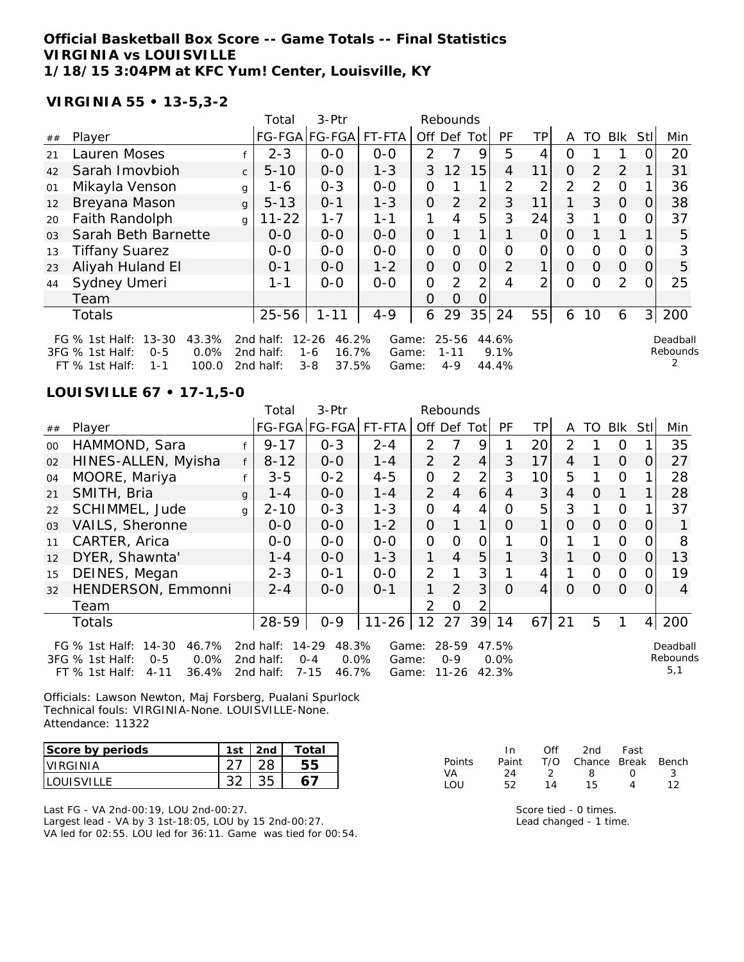### **Official Basketball Box Score -- Game Totals -- Final Statistics VIRGINIA vs LOUISVILLE 1/18/15 3:04PM at KFC Yum! Center, Louisville, KY**

FT % 1st Half: 1-1 100.0 2nd half: 3-8 37.5% Game: 4-9 44.4%

### **VIRGINIA 55 • 13-5,3-2**

|                |                                                                                                                                          |              | Total                                           | $3-Ptr$                                                    |                                     |               | Rebounds                     |                |                                                                         |                |          |               |               |                |                      |
|----------------|------------------------------------------------------------------------------------------------------------------------------------------|--------------|-------------------------------------------------|------------------------------------------------------------|-------------------------------------|---------------|------------------------------|----------------|-------------------------------------------------------------------------|----------------|----------|---------------|---------------|----------------|----------------------|
| ##             | Player                                                                                                                                   |              |                                                 | FG-FGA FG-FGA FT-FTA                                       |                                     | Off           | Def                          | Totl           | <b>PF</b>                                                               | TP             | A        | TO            | <b>Blk</b>    | Stl            | Min                  |
| 21             | Lauren Moses                                                                                                                             |              | $2 - 3$                                         | $O-O$                                                      | $0 - 0$                             | $\mathcal{P}$ |                              | 9              | 5                                                                       |                | 0        |               |               |                | 20                   |
| 42             | Sarah Imovbioh                                                                                                                           | $\mathsf{C}$ | $5 - 10$                                        | $0 - 0$                                                    | $1 - 3$                             | 3             | 12                           | 15             | $\overline{4}$                                                          | 11             | $\Omega$ | $\mathcal{P}$ | $\mathcal{L}$ |                | 31                   |
| 01             | Mikayla Venson                                                                                                                           | $\mathsf{q}$ | 1-6                                             | $0 - 3$                                                    | $0 - 0$                             | 0             |                              |                | 2                                                                       | $\overline{2}$ | 2        | $\mathcal{P}$ | $\Omega$      |                | 36                   |
| 12             | Breyana Mason                                                                                                                            | $\mathsf{q}$ | $5 - 13$                                        | $0 - 1$                                                    | $1 - 3$                             | 0             | 2                            | $\overline{2}$ | 3                                                                       | 11             |          | 3             | $\Omega$      | 0              | 38                   |
| 20             | Faith Randolph                                                                                                                           | $\alpha$     | $11 - 22$                                       | $1 - 7$                                                    | 1-1                                 |               | 4                            | 5              | 3                                                                       | 24             | 3        |               | $\Omega$      |                | 37                   |
| 0 <sub>3</sub> | Sarah Beth Barnette                                                                                                                      |              | $0 - 0$                                         | $0-0$                                                      | $0 - 0$                             | 0             |                              |                |                                                                         | 0              | 0        |               |               |                | 5                    |
| 13             | <b>Tiffany Suarez</b>                                                                                                                    |              | $0 - 0$                                         | $0 - 0$                                                    | $0 - 0$                             | 0             | $\Omega$                     | $\Omega$       | 0                                                                       | $\Omega$       | $\Omega$ | 0             | $\Omega$      |                |                      |
| 23             | Aliyah Huland El                                                                                                                         |              | $0 - 1$                                         | $0-0$                                                      | $1 - 2$                             | 0             | $\Omega$                     | $\Omega$       | $\mathcal{P}$                                                           | $\mathbf{1}$   | $\Omega$ | $\Omega$      | $\Omega$      | $\Omega$       | 5                    |
| 44             | Sydney Umeri                                                                                                                             |              | 1-1                                             | $0-0$                                                      | $0 - 0$                             | 0             | 2                            | $\overline{2}$ | 4                                                                       | $\overline{2}$ | $\Omega$ | 0             | 2             | $\Omega$       | 25                   |
|                | Team                                                                                                                                     |              |                                                 |                                                            |                                     | O             | $\Omega$                     | 0              |                                                                         |                |          |               |               |                |                      |
|                | <b>Totals</b>                                                                                                                            |              | $25 - 56$                                       | $1 - 11$                                                   | $4 - 9$                             | 6             | 29                           | 35             | 24                                                                      | 55             | 6        | 10            | 6             | 3 <sup>1</sup> | 200                  |
|                | $13 - 30$<br>43.3%<br>FG $\%$ 1st Half:<br>3FG % 1st Half:<br>$0.0\%$<br>$O - 5$<br>100. $\cap$<br>$FT \,$ % 1ct Half $\cdot$<br>$1 - 1$ |              | 2nd half:<br>2nd half:<br>2nd half <sup>.</sup> | $12 - 26$<br>46.2%<br>16.7%<br>$1 - 6$<br>$2 - R$<br>27.5% | Game:<br>Game:<br>Game <sup>.</sup> |               | 25-56<br>$1 - 11$<br>$A - Q$ |                | 44.6%<br>9.1%<br>$\Lambda\Lambda$ $\Lambda$ <sup>o</sup> / <sub>2</sub> |                |          |               |               |                | Deadball<br>Rebounds |

### **LOUISVILLE 67 • 17-1,5-0**

|                |                                                                                                                      |              | Total                                  | 3-Ptr                                                         |                         |                | Rebounds                  |                |                           |                 |                |          |                |                |                             |
|----------------|----------------------------------------------------------------------------------------------------------------------|--------------|----------------------------------------|---------------------------------------------------------------|-------------------------|----------------|---------------------------|----------------|---------------------------|-----------------|----------------|----------|----------------|----------------|-----------------------------|
| ##             | Player                                                                                                               |              |                                        | FG-FGA FG-FGA                                                 | FT-FTA                  | Off Def Tot    |                           |                | <b>PF</b>                 | TPI             | A              | TO       | <b>Blk</b>     | Stll           | Min                         |
| $00\,$         | HAMMOND, Sara                                                                                                        |              | $9 - 17$                               | $0 - 3$                                                       | $2 - 4$                 | 2              |                           | 9              |                           | 20              | 2              |          | O              |                | 35                          |
| 02             | HINES-ALLEN, Myisha                                                                                                  |              | $8 - 12$                               | $0 - 0$                                                       | $1 - 4$                 | $\mathcal{P}$  | 2                         | $\overline{4}$ | 3                         | 17              | 4              |          | $\Omega$       | $\Omega$       | 27                          |
| 04             | MOORE, Mariya                                                                                                        |              | $3 - 5$                                | $0 - 2$                                                       | $4 - 5$                 | $\mathcal{O}$  | 2                         | 2              | 3                         | 10 <sup>1</sup> | 5              |          | O              |                | 28                          |
| 21             | SMITH, Bria                                                                                                          | $\mathbf{q}$ | $1 - 4$                                | $0 - 0$                                                       | $1 - 4$                 | $\overline{2}$ | 4                         | 6              | 4                         | 3               | $\overline{4}$ | 0        |                |                | 28                          |
| 22             | SCHIMMEL, Jude                                                                                                       | g            | $2 - 10$                               | $0 - 3$                                                       | $1 - 3$                 | 0              | 4                         | 4              | $\Omega$                  | 5               | 3              |          | 0              |                | 37                          |
| 0 <sub>3</sub> | <b>VAILS, Sheronne</b>                                                                                               |              | $0-0$                                  | $0 - 0$                                                       | $1 - 2$                 | $\overline{O}$ |                           | 1              | $\Omega$                  | 1               | $\Omega$       | 0        | $\Omega$       | $\Omega$       |                             |
| 11             | CARTER, Arica                                                                                                        |              | $0-0$                                  | $0-0$                                                         | $0-0$                   | $\mathbf{O}$   | $\Omega$                  | 0              |                           | 0               |                |          | $\Omega$       | $\Omega$       | 8                           |
| 12             | DYER, Shawnta'                                                                                                       |              | $1 - 4$                                | $0-0$                                                         | $1 - 3$                 | 1              | $\overline{4}$            | 5              |                           | 3               |                | $\Omega$ | $\overline{O}$ | $\Omega$       | 13                          |
| 15             | DEINES, Megan                                                                                                        |              | $2 - 3$                                | $O - 1$                                                       | $0-0$                   | $\overline{2}$ |                           | 3              |                           | 4               |                | $\Omega$ | $\Omega$       | 0              | 19                          |
| 32             | HENDERSON, Emmonni                                                                                                   |              | $2 - 4$                                | $0 - 0$                                                       | $0 - 1$                 | $\mathbf 1$    | 2                         | 3              | $\Omega$                  | $\overline{4}$  | $\Omega$       | Ω        | $\Omega$       | $\Omega$       | 4                           |
|                | Team                                                                                                                 |              |                                        |                                                               |                         | $\mathcal{P}$  | O                         | 2              |                           |                 |                |          |                |                |                             |
|                | Totals                                                                                                               |              | 28-59                                  | $0 - 9$                                                       | $11 - 26$               | 12 27          |                           |                | $39$ 14                   | 67              | 21             | 5        |                | 4 <sup>1</sup> | 200                         |
|                | $14 - 30$<br>46.7%<br>FG % 1st Half:<br>3FG % 1st Half:<br>0.0%<br>$O - 5$<br>36.4%<br>FT $\%$ 1st Half:<br>$4 - 11$ |              | 2nd half:<br>2 $nd$ half:<br>2nd half: | $14 - 29$<br>48.3%<br>$0 - 4$<br>$0.0\%$<br>$7 - 15$<br>46.7% | Game:<br>Game:<br>Game: |                | 28-59<br>$O - 9$<br>11-26 |                | 47.5%<br>$0.0\%$<br>42.3% |                 |                |          |                |                | Deadball<br>Rebounds<br>5,1 |

Officials: Lawson Newton, Maj Forsberg, Pualani Spurlock Technical fouls: VIRGINIA-None. LOUISVILLE-None. Attendance: 11322

| Score by periods  | 1 <sub>ct</sub> | 2nd | Total |
|-------------------|-----------------|-----|-------|
| <b>IVIRGINIA</b>  |                 |     |       |
| <b>LOUISVILLE</b> |                 |     |       |

Last FG - VA 2nd-00:19, LOU 2nd-00:27. Largest lead - VA by 3 1st-18:05, LOU by 15 2nd-00:27. VA led for 02:55. LOU led for 36:11. Game was tied for 00:54.

|        | In In | Off           | 2nd                    | Fast       |    |
|--------|-------|---------------|------------------------|------------|----|
| Points | Paint |               | T/O Chance Break Bench |            |    |
| VA.    | 24    | $\mathcal{P}$ | -8                     | $^{\circ}$ | -3 |
| $1$ OU | 52    | 14            | 15.                    |            |    |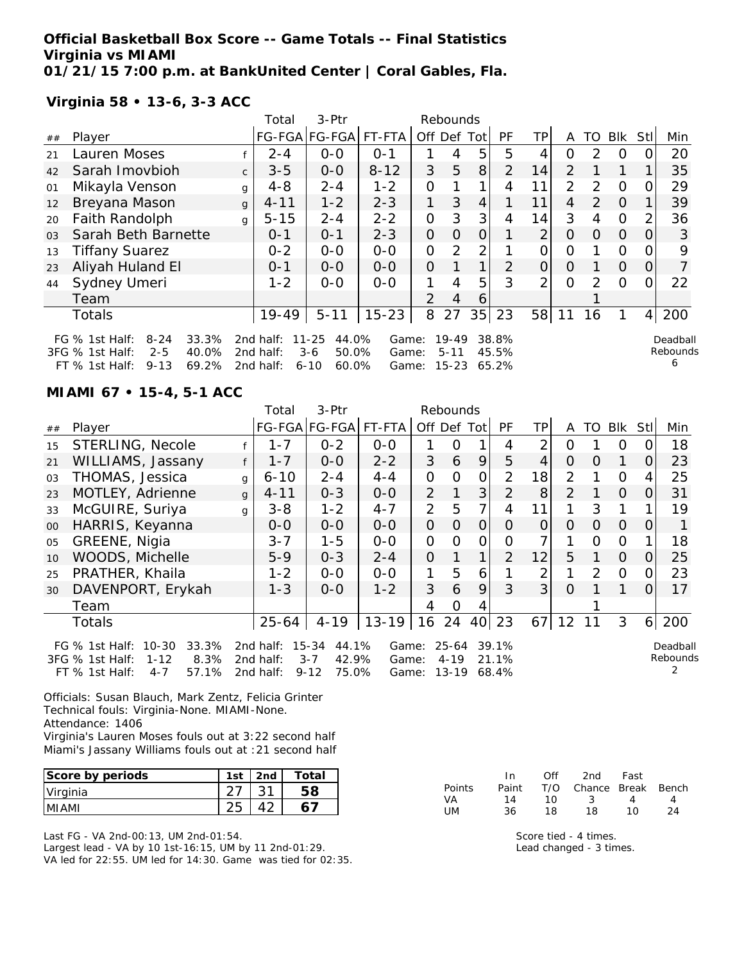**Official Basketball Box Score -- Game Totals -- Final Statistics Virginia vs MIAMI 01/21/15 7:00 p.m. at BankUnited Center | Coral Gables, Fla.**

FT % 1st Half: 9-13 69.2% 2nd half: 6-10 60.0% Game: 15-23 65.2%

**Virginia 58 • 13-6, 3-3 ACC**

|                |                                                                              |              | Total                  | $3-Ptr$                                |                |                | Rebounds          |                |                |     |                |                |            |                |                      |
|----------------|------------------------------------------------------------------------------|--------------|------------------------|----------------------------------------|----------------|----------------|-------------------|----------------|----------------|-----|----------------|----------------|------------|----------------|----------------------|
| ##             | Player                                                                       |              |                        | FG-FGA FG-FGA                          | FT-FTA         | Off Def        |                   | Tot            | <b>PF</b>      | TP. | A              | TO             | <b>BIK</b> | Stl            | Min                  |
| 21             | Lauren Moses                                                                 |              | $2 - 4$                | $0 - 0$                                | $O - 1$        |                | 4                 | 5              | 5              | 4   | 0              | $\mathcal{P}$  | O          |                | 20                   |
| 42             | Sarah Imovbioh                                                               | $\mathsf{C}$ | $3 - 5$                | $0-0$                                  | $8 - 12$       | 3              | 5                 | 8              | $\overline{2}$ | 14  | $\overline{2}$ |                |            |                | 35                   |
| 01             | Mikayla Venson                                                               | g            | $4 - 8$                | $2 - 4$                                | $1 - 2$        | 0              |                   | 1              | 4              | 11  | 2              | $\mathcal{P}$  | $\Omega$   |                | 29                   |
| 12             | Breyana Mason                                                                | g            | $4 - 11$               | $1 - 2$                                | $2 - 3$        | 1.             | 3                 | $\overline{4}$ |                | 11  | 4              | $\overline{2}$ | $\Omega$   |                | 39                   |
| 20             | Faith Randolph                                                               | g            | $5 - 15$               | $2 - 4$                                | $2 - 2$        | 0              | 3                 | 3              | 4              | 14  | 3              | 4              | 0          |                | 36                   |
| 0 <sub>3</sub> | Sarah Beth Barnette                                                          |              | $0 - 1$                | $0 - 1$                                | $2 - 3$        | $\overline{O}$ | $\Omega$          | 0              |                | ⌒   | 0              | $\Omega$       | $\Omega$   | 0              | 3                    |
| 13             | <b>Tiffany Suarez</b>                                                        |              | $0 - 2$                | $0-0$                                  | $0-0$          | 0              | 2                 | 2              |                |     | ი              |                | 0          |                | 9                    |
| 23             | Aliyah Huland El                                                             |              | $0 - 1$                | $0-0$                                  | $0 - 0$        | $\Omega$       |                   | 1              | $\overline{2}$ | 0   | 0              |                | $\Omega$   | 0              |                      |
| 44             | Sydney Umeri                                                                 |              | $1 - 2$                | $0-0$                                  | $0 - 0$        |                | 4                 | 5              | 3              | っ   | Ω              | 2              | $\Omega$   |                | 22                   |
|                | Team                                                                         |              |                        |                                        |                | $\mathcal{P}$  | 4                 | 6              |                |     |                |                |            |                |                      |
|                | Totals                                                                       |              | $19 - 49$              | $5 - 11$                               | $15 - 23$      | 8              | 27                | 35             | 23             | 58  | 11             | 16             |            | $\overline{4}$ | 200                  |
|                | 33.3%<br>FG $%$ 1st Half:<br>$8 - 24$<br>40.0%<br>3FG % 1st Half:<br>$2 - 5$ |              | 2nd half:<br>2nd half: | $11 - 25$<br>44.0%<br>50.0%<br>$3 - 6$ | Game:<br>Game: |                | 19-49<br>$5 - 11$ |                | 38.8%<br>45.5% |     |                |                |            |                | Deadball<br>Rebounds |

**MIAMI 67 • 15-4, 5-1 ACC**

|    |                                                                                                                     |              | Total                               | 3-Ptr                                                   |                         |                | Rebounds                           |                |                         |    |                |               |                |                |                      |
|----|---------------------------------------------------------------------------------------------------------------------|--------------|-------------------------------------|---------------------------------------------------------|-------------------------|----------------|------------------------------------|----------------|-------------------------|----|----------------|---------------|----------------|----------------|----------------------|
| ## | Player                                                                                                              |              | FG-FGA FG-FGA                       |                                                         | FT-FTA                  | Off Def Tot    |                                    |                | <b>PF</b>               | TP | A              | TO            | <b>Blk</b>     | Stl            | Min                  |
| 15 | <b>STERLING, Necole</b>                                                                                             |              | 1-7                                 | $0 - 2$                                                 | $O-O$                   |                | O                                  |                | 4                       | 2  | O              |               | 0              | Ő              | 18                   |
| 21 | WILLIAMS, Jassany                                                                                                   | f            | $1 - 7$                             | $0 - 0$                                                 | $2 - 2$                 | 3              | 6                                  | 9              | 5                       | 4  | $\Omega$       | O             |                | 0              | 23                   |
| 03 | THOMAS, Jessica                                                                                                     | $\mathbf{q}$ | $6 - 10$                            | $2 - 4$                                                 | $4 - 4$                 | $\mathcal{O}$  | 0                                  | $\mathcal{O}$  | $\overline{2}$          | 18 | $\overline{2}$ |               | $\Omega$       | 4              | 25                   |
| 23 | MOTLEY, Adrienne                                                                                                    | $\mathbf{q}$ | $4 - 11$                            | $0 - 3$                                                 | $0-0$                   | $\overline{2}$ | 1                                  | 3              | $\overline{2}$          | 8  | 2              |               | $\overline{O}$ | $\overline{O}$ | 31                   |
| 33 | McGUIRE, Suriya                                                                                                     | g            | $3 - 8$                             | $1 - 2$                                                 | $4 - 7$                 | $\overline{2}$ | 5                                  | $\overline{7}$ | 4                       | 11 | 1              | 3             | 1              |                | 19                   |
| 00 | HARRIS, Keyanna                                                                                                     |              | 0-0                                 | $0-0$                                                   | $O-O$                   | $\overline{O}$ | $\Omega$                           | $\overline{O}$ | $\Omega$                | O  | $\Omega$       | $\Omega$      | $\Omega$       | 0              |                      |
| 05 | GREENE, Nigia                                                                                                       |              | $3 - 7$                             | $1 - 5$                                                 | $0-0$                   | $\mathbf{O}$   | $\Omega$                           | $\Omega$       | 0                       |    |                | 0             | $\Omega$       |                | 18                   |
| 10 | WOODS, Michelle                                                                                                     |              | $5 - 9$                             | $0 - 3$                                                 | $2 - 4$                 | $\overline{O}$ |                                    | 1              | $\overline{2}$          | 12 | 5              | 1             | $\Omega$       | O              | 25                   |
| 25 | PRATHER, Khaila                                                                                                     |              | $1 - 2$                             | $0-0$                                                   | $0-0$                   | 1              | 5                                  | 6              |                         | 2  |                | $\mathcal{P}$ | $\Omega$       | 0              | 23                   |
| 30 | DAVENPORT, Erykah                                                                                                   |              | $1 - 3$                             | $0-0$                                                   | $1 - 2$                 | 3              | 6                                  | 9              | 3                       | 3  | $\Omega$       |               |                | 0              | 17                   |
|    | Team                                                                                                                |              |                                     |                                                         |                         | 4              | $\Omega$                           | 4              |                         |    |                |               |                |                |                      |
|    | <b>Totals</b>                                                                                                       |              | 25-64                               | $4 - 19$                                                | $13 - 19$               | 16 24          |                                    | 40             | 23                      | 67 | 12             |               | 3              |                | 6 200                |
|    | $10 - 30$<br>33.3%<br>FG % 1st Half:<br>8.3%<br>3FG % 1st Half:<br>$1 - 12$<br>57.1%<br>$FT$ % 1st Half:<br>$4 - 7$ |              | 2nd half:<br>2nd half:<br>2nd half: | 15-34<br>44.1%<br>$3 - 7$<br>42.9%<br>$9 - 12$<br>75.0% | Game:<br>Game:<br>Game: |                | $25 - 64$<br>$4 - 19$<br>$13 - 19$ |                | 39.1%<br>21.1%<br>68.4% |    |                |               |                |                | Deadball<br>Rebounds |

Officials: Susan Blauch, Mark Zentz, Felicia Grinter Technical fouls: Virginia-None. MIAMI-None. Attendance: 1406 Virginia's Lauren Moses fouls out at 3:22 second half Miami's Jassany Williams fouls out at :21 second half

| Score by periods | 1st | 2nd | Total |
|------------------|-----|-----|-------|
| Virginia         |     |     |       |
| IMI AMI          |     |     |       |

Last FG - VA 2nd-00:13, UM 2nd-01:54. Largest lead - VA by 10 1st-16:15, UM by 11 2nd-01:29. VA led for 22:55. UM led for 14:30. Game was tied for 02:35.

|           | In.   | ∩ff | 2nd                    | Fast |    |
|-----------|-------|-----|------------------------|------|----|
| Points    | Paint |     | T/O Chance Break Bench |      |    |
| VA        | 14    | 10. | - 3-                   | 4    | 4  |
| <b>UM</b> | 36.   | 18. | 18                     | 10   | 24 |

6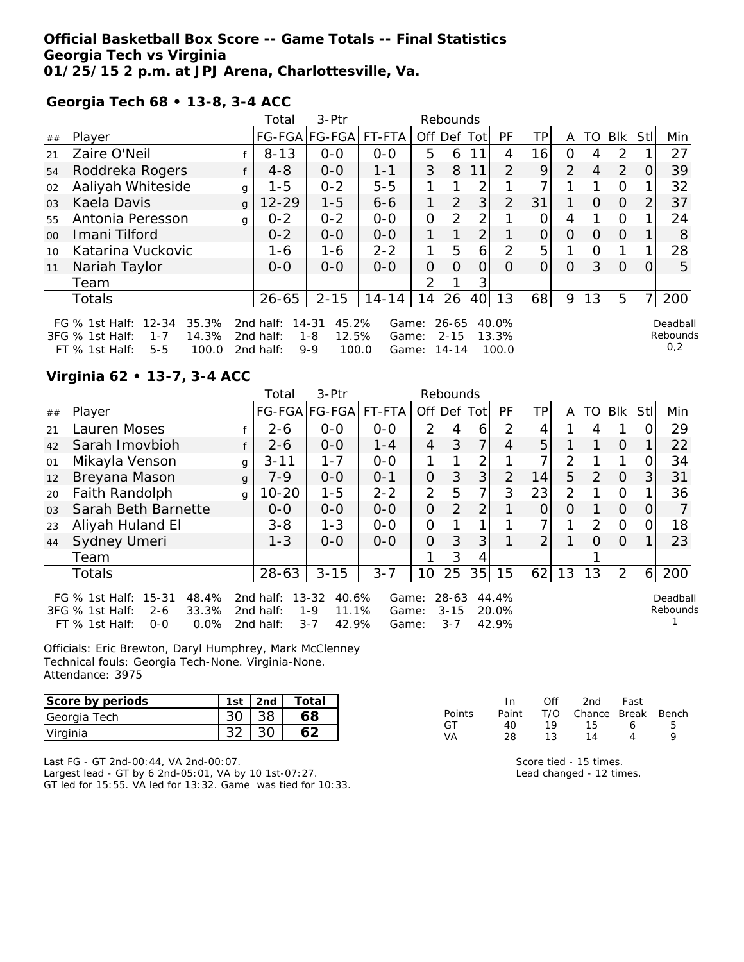## **Official Basketball Box Score -- Game Totals -- Final Statistics Georgia Tech vs Virginia 01/25/15 2 p.m. at JPJ Arena, Charlottesville, Va.**

**Georgia Tech 68 • 13-8, 3-4 ACC**

|                 |                                                                                                            |              | Total                               | $3-Ptr$                                                |                         |               | Rebounds                       |                |                         |          |          |                |          |      |                             |
|-----------------|------------------------------------------------------------------------------------------------------------|--------------|-------------------------------------|--------------------------------------------------------|-------------------------|---------------|--------------------------------|----------------|-------------------------|----------|----------|----------------|----------|------|-----------------------------|
| ##              | Player                                                                                                     |              |                                     | FG-FGA FG-FGA                                          | FT-FTA                  |               |                                | Off Def Tot    | PF                      | TPI      | A        | TO.            | Blk      | Stll | Min                         |
| 21              | Zaire O'Neil                                                                                               |              | $8 - 13$                            | $0 - 0$                                                | $0 - 0$                 | 5             | 6                              | 11             | 4                       | 16       | $\Omega$ | 4              | 2        |      | 27                          |
| 54              | Roddreka Rogers                                                                                            |              | $4 - 8$                             | $0 - 0$                                                | $1 - 1$                 | 3             | 8                              | 11             | $\mathcal{P}$           | 9        | 2        | $\overline{4}$ | 2        |      | 39                          |
| 02              | Aaliyah Whiteside                                                                                          | $\mathbf{q}$ | $1 - 5$                             | $0 - 2$                                                | $5-5$                   | 1             |                                | 2              |                         | 7        |          |                | $\Omega$ |      | 32                          |
| 03              | Kaela Davis                                                                                                | $\mathsf{q}$ | $12 - 29$                           | $1 - 5$                                                | $6 - 6$                 | 1             | 2                              | 3              | 2                       | 31       |          | $\Omega$       | $\Omega$ |      | 37                          |
| 55              | Antonia Peresson                                                                                           | $\mathbf{q}$ | $0 - 2$                             | $0 - 2$                                                | $0 - 0$                 | $\Omega$      | 2                              | $\mathcal{P}$  |                         | $\Omega$ | 4        |                | $\Omega$ |      | 24                          |
| 00 <sup>2</sup> | Imani Tilford                                                                                              |              | $0 - 2$                             | $O-O$                                                  | $0 - 0$                 | 1             |                                | 2 <sub>1</sub> |                         | 0        | 0        | $\Omega$       | $\Omega$ |      | 8                           |
| 10              | Katarina Vuckovic                                                                                          |              | 1-6                                 | 1-6                                                    | $2 - 2$                 | 1             | 5                              | 6              | $\mathcal{P}$           | 5        |          | $\Omega$       |          |      | 28                          |
| 11              | Nariah Taylor                                                                                              |              | $0 - 0$                             | $0 - 0$                                                | $0 - 0$                 | O             | $\Omega$                       | O              | 0                       | 0        | 0        | 3              | $\Omega$ |      | 5                           |
|                 | Team                                                                                                       |              |                                     |                                                        |                         | $\mathcal{D}$ |                                | 3              |                         |          |          |                |          |      |                             |
|                 | <b>Totals</b>                                                                                              |              | 26-65                               | $2 - 15$                                               | $14 - 14$               | 14            | 26                             | 40             | 13                      | 68       | 9        | 13             | 5        |      | 200                         |
|                 | FG % 1st Half: 12-34<br>35.3%<br>3FG % 1st Half:<br>14.3%<br>$1 - 7$<br>100.0<br>FT % 1st Half:<br>$5 - 5$ |              | 2nd half:<br>2nd half:<br>2nd half: | 45.2%<br>14-31<br>12.5%<br>$1 - 8$<br>100.0<br>$9 - 9$ | Game:<br>Game:<br>Game: |               | $26 - 65$<br>$2 - 15$<br>14-14 |                | 40.0%<br>13.3%<br>100.0 |          |          |                |          |      | Deadball<br>Rebounds<br>0,2 |

### **Virginia 62 • 13-7, 3-4 ACC**

|                |                                                                                                                    |          | Total                               | $3-Ptr$                                                |                         |                | Rebounds                     |                |                         |               |                |               |          |          |                      |
|----------------|--------------------------------------------------------------------------------------------------------------------|----------|-------------------------------------|--------------------------------------------------------|-------------------------|----------------|------------------------------|----------------|-------------------------|---------------|----------------|---------------|----------|----------|----------------------|
| ##             | Player                                                                                                             |          |                                     | FG-FGA FG-FGA                                          | FT-FTA                  | Off Def Tot    |                              |                | PF                      | TP            | A              | TO.           | Blk      | Stll     | Min                  |
| 21             | Lauren Moses                                                                                                       |          | $2 - 6$                             | $0 - 0$                                                | $0 - 0$                 | $\mathcal{P}$  | 4                            | 6              | $\mathcal{P}$           | 4             |                | 4             |          | $\Omega$ | 29                   |
| 42             | Sarah Imovbioh                                                                                                     |          | $2 - 6$                             | $0-0$                                                  | $1 - 4$                 | $\overline{4}$ | 3                            | 7              | 4                       | 5             |                |               | $\Omega$ |          | 22                   |
| 01             | Mikayla Venson                                                                                                     | g        | $3 - 11$                            | $1 - 7$                                                | $0 - 0$                 |                |                              | 2              |                         |               | $\overline{2}$ |               |          | $\Omega$ | 34                   |
| 12             | Breyana Mason                                                                                                      | g        | $7 - 9$                             | $0 - 0$                                                | $0 - 1$                 | $\Omega$       | 3                            | 3              | 2                       | 14            | 5              | $\mathcal{P}$ | $\Omega$ | 3        | 31                   |
| 20             | <b>Faith Randolph</b>                                                                                              | $\alpha$ | $10 - 20$                           | $1 - 5$                                                | $2 - 2$                 | $\overline{2}$ | 5                            | 7              | 3                       | 23            | 2              |               | O        |          | 36                   |
| 0 <sub>3</sub> | Sarah Beth Barnette                                                                                                |          | $0 - 0$                             | $0 - 0$                                                | $0 - 0$                 | $\Omega$       | 2                            | $\overline{2}$ |                         | $\Omega$      | $\Omega$       |               | $\Omega$ | 0        |                      |
| 23             | Aliyah Huland El                                                                                                   |          | $3 - 8$                             | $1 - 3$                                                | $O-O$                   | $\mathcal{O}$  |                              |                |                         |               |                | 2             | $\Omega$ | 0        | 18                   |
| 44             | Sydney Umeri                                                                                                       |          | $1 - 3$                             | $0 - 0$                                                | $0 - 0$                 | $\Omega$       | 3                            | 3              |                         | $\mathcal{P}$ |                | $\Omega$      | $\Omega$ |          | 23                   |
|                | Team                                                                                                               |          |                                     |                                                        |                         |                | 3                            | 4              |                         |               |                |               |          |          |                      |
|                | <b>Totals</b>                                                                                                      |          | 28-63                               | $3 - 15$                                               | $3 - 7$                 | 10             | 25                           | 35             | 15                      | 62            | 13             | 13            | 2        | $6 \mid$ | 200                  |
|                | $15 - 31$<br>48.4%<br>FG $%$ 1st Half:<br>3FG % 1st Half:<br>33.3%<br>$2 - 6$<br>0.0%<br>$FT$ % 1st Half:<br>$O-O$ |          | 2nd half:<br>2nd half:<br>2nd half: | 13-32<br>40.6%<br>$1 - 9$<br>11.1%<br>$3 - 7$<br>42.9% | Game:<br>Game:<br>Game: |                | 28-63<br>$3 - 15$<br>$3 - 7$ |                | 44.4%<br>20.0%<br>42.9% |               |                |               |          |          | Deadball<br>Rebounds |

Officials: Eric Brewton, Daryl Humphrey, Mark McClenney Technical fouls: Georgia Tech-None. Virginia-None. Attendance: 3975

| Score by periods | 1st | 2 <sub>nd</sub> | Total |
|------------------|-----|-----------------|-------|
| Georgia Tech     |     |                 | 68    |
| Virginia         |     |                 |       |

Last FG - GT 2nd-00:44, VA 2nd-00:07. Largest lead - GT by 6 2nd-05:01, VA by 10 1st-07:27. GT led for 15:55. VA led for 13:32. Game was tied for 10:33.

|        | In.   | ∩ff | 2nd                    | Fast |   |
|--------|-------|-----|------------------------|------|---|
| Points | Paint |     | T/O Chance Break Bench |      |   |
| GT.    | 4∩    | 19  | 15.                    | 6    | 5 |
| VA     | 28    | 13  | 14                     | Δ    | Q |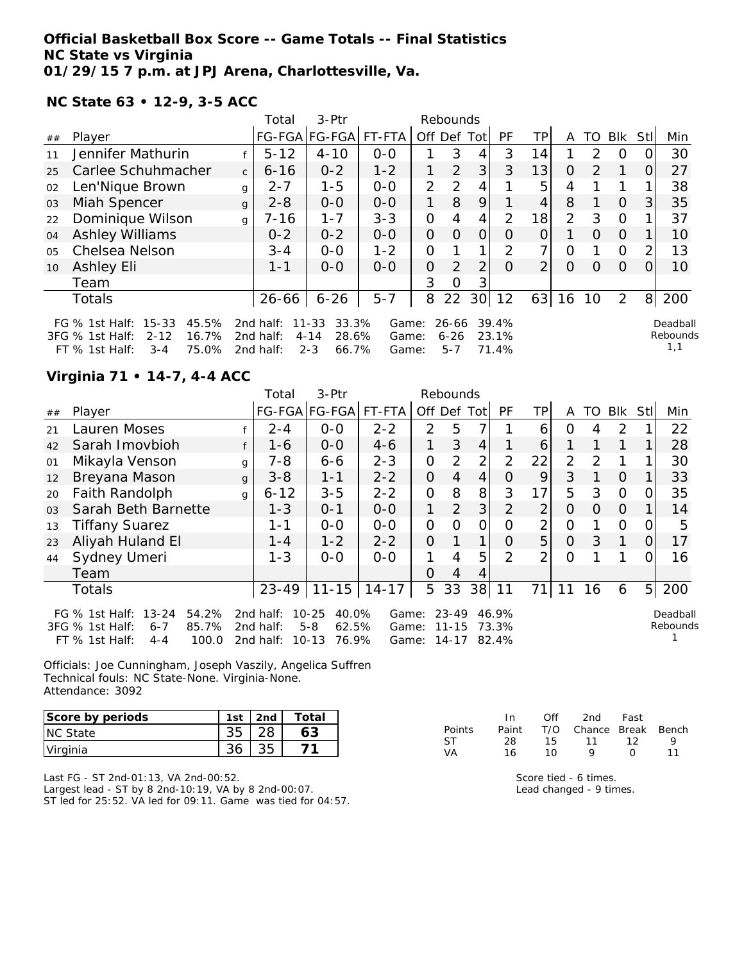## **Official Basketball Box Score -- Game Totals -- Final Statistics NC State vs Virginia 01/29/15 7 p.m. at JPJ Arena, Charlottesville, Va.**

**NC State 63 • 12-9, 3-5 ACC**

|                |                                                                                                                        |              | Total                               | 3-Ptr                                                       |                         |                | Rebounds                     |                 |                         |                |                |               |          |      |                             |
|----------------|------------------------------------------------------------------------------------------------------------------------|--------------|-------------------------------------|-------------------------------------------------------------|-------------------------|----------------|------------------------------|-----------------|-------------------------|----------------|----------------|---------------|----------|------|-----------------------------|
| ##             | Player                                                                                                                 |              |                                     | FG-FGA FG-FGA                                               | FT-FTA                  |                | Off Def Tot                  |                 | PF                      | ΤP             | A              | TO            | Blk      | Stll | Min                         |
| 11             | Jennifer Mathurin                                                                                                      |              | $5 - 12$                            | $4 - 10$                                                    | $0 - 0$                 |                | 3                            | 4               | 3                       | 14             |                | $\mathcal{P}$ | $\Omega$ |      | 30                          |
| 25             | Carlee Schuhmacher                                                                                                     | $\mathsf{C}$ | $6 - 16$                            | $0 - 2$                                                     | $1 - 2$                 |                | 2                            | 3               | 3                       | 13             | $\Omega$       | $\mathcal{P}$ |          | 0    | 27                          |
| 02             | Len'Nique Brown                                                                                                        | g            | $2 - 7$                             | $1 - 5$                                                     | $0 - 0$                 | $\overline{2}$ | $\mathcal{P}$                | 4               |                         | 5              | 4              |               |          |      | 38                          |
| 03             | Miah Spencer                                                                                                           | g            | $2 - 8$                             | $0-0$                                                       | $0 - 0$                 | 1              | 8                            | 9               |                         | 4              | 8              |               | $\Omega$ | 3    | 35                          |
| 22             | Dominique Wilson                                                                                                       | g            | $7 - 16$                            | $1 - 7$                                                     | $3 - 3$                 | 0              | 4                            | 4               | $\mathcal{P}$           | 18             | $\overline{2}$ | 3             | $\Omega$ |      | 37                          |
| 04             | <b>Ashley Williams</b>                                                                                                 |              | $0 - 2$                             | $0 - 2$                                                     | $0-0$                   | $\mathcal{O}$  | $\Omega$                     | $\Omega$        | O                       | $\overline{O}$ |                | $\Omega$      | $\Omega$ |      | 10                          |
| 0 <sub>5</sub> | Chelsea Nelson                                                                                                         |              | $3 - 4$                             | $0 - 0$                                                     | $1 - 2$                 | 0              |                              | 1.              | $\mathcal{D}$           | 7 <sub>1</sub> | $\Omega$       |               | $\Omega$ |      | 13                          |
| 10             | Ashley Eli                                                                                                             |              | $1 - 1$                             | $0 - 0$                                                     | $0 - 0$                 | 0              | 2                            | $\overline{2}$  | $\Omega$                | 2 <sub>1</sub> | $\Omega$       | $\Omega$      | $\Omega$ |      | 10                          |
|                | Team                                                                                                                   |              |                                     |                                                             |                         | 3              | O                            | 3               |                         |                |                |               |          |      |                             |
|                | Totals                                                                                                                 |              | 26-66                               | $6 - 26$                                                    | $5 - 7$                 | 8              | 22                           | 30 <sup>l</sup> | 12                      | 63             | 16             | 10            | 2        | 8    | 200                         |
|                | $15 - 33$<br>45.5%<br>FG $%$ 1st Half:<br>16.7%<br>3FG % 1st Half:<br>$2 - 12$<br>75.0%<br>$FT$ % 1st Half:<br>$3 - 4$ |              | 2nd half:<br>2nd half:<br>2nd half: | 33.3%<br>$11 - 33$<br>$4 - 14$<br>28.6%<br>$2 - 3$<br>66.7% | Game:<br>Game:<br>Game: |                | 26-66<br>$6 - 26$<br>$5 - 7$ |                 | 39.4%<br>23.1%<br>71.4% |                |                |               |          |      | Deadball<br>Rebounds<br>1,1 |

# **Virginia 71 • 14-7, 4-4 ACC**

|                |                                                                                                                        |   | 3-Ptr<br>Total<br>Rebounds          |                                                              |                         |                |                             |                 |                         |                |                |               |                |      |                      |
|----------------|------------------------------------------------------------------------------------------------------------------------|---|-------------------------------------|--------------------------------------------------------------|-------------------------|----------------|-----------------------------|-----------------|-------------------------|----------------|----------------|---------------|----------------|------|----------------------|
| ##             | Player                                                                                                                 |   |                                     | FG-FGA FG-FGA                                                | FT-FTA                  | Off Def Tot    |                             |                 | <b>PF</b>               | TPI            | A              | TO.           | Blk            | Stll | Min                  |
| 21             | Lauren Moses                                                                                                           |   | $2 - 4$                             | $0 - 0$                                                      | $2 - 2$                 | $\mathcal{P}$  | 5                           | 7               |                         | 6              | 0              | 4             | $\mathcal{P}$  |      | 22                   |
| 42             | Sarah Imovbioh                                                                                                         |   | $1 - 6$                             | $0-0$                                                        | $4 - 6$                 |                | 3                           | $\overline{4}$  |                         | 6              |                |               |                |      | 28                   |
| 01             | Mikayla Venson                                                                                                         | g | $7 - 8$                             | $6 - 6$                                                      | $2 - 3$                 | $\overline{O}$ | 2                           | 2               | $\overline{2}$          | 22             | $\overline{2}$ | $\mathcal{P}$ |                |      | 30                   |
| 12             | Breyana Mason                                                                                                          | g | $3 - 8$                             | $1 - 1$                                                      | $2 - 2$                 | $\Omega$       | $\overline{4}$              | $\overline{4}$  | $\Omega$                | 9              | 3              |               | $\overline{O}$ |      | 33                   |
| 20             | Faith Randolph                                                                                                         | g | $6 - 12$                            | $3 - 5$                                                      | $2 - 2$                 | $\Omega$       | 8                           | 8               | 3                       | 17             | 5              | 3             | $\Omega$       | 0    | 35                   |
| 0 <sub>3</sub> | Sarah Beth Barnette                                                                                                    |   | $1 - 3$                             | $0 - 1$                                                      | $0-0$                   | 1              | 2                           | 3               | $\overline{2}$          | $\overline{2}$ | $\Omega$       | $\Omega$      | $\overline{O}$ |      | 14                   |
| 13             | <b>Tiffany Suarez</b>                                                                                                  |   | 1-1                                 | $0-0$                                                        | $0 - 0$                 | $\mathbf{O}$   | O                           | 0               | O                       | $\overline{2}$ | $\Omega$       |               | $\Omega$       | O.   | 5                    |
| 23             | Aliyah Huland El                                                                                                       |   | $1 - 4$                             | $1 - 2$                                                      | $2 - 2$                 | $\Omega$       | 1                           | 1               | $\Omega$                | 5              | $\Omega$       | 3             | 1              | 0    | 17                   |
| 44             | Sydney Umeri                                                                                                           |   | $1 - 3$                             | $0 - 0$                                                      | $0-0$                   |                | $\overline{4}$              | 5               | $\mathcal{P}$           | $\overline{2}$ | 0              |               |                | 0    | 16                   |
|                | Team                                                                                                                   |   |                                     |                                                              |                         | $\Omega$       | 4                           | 4               |                         |                |                |               |                |      |                      |
|                | <b>Totals</b>                                                                                                          |   | $23 - 49$                           | $11 - 15$                                                    | $14 - 17$               | 5              | 33                          | 38 <sup>l</sup> | 11                      | 71             | 11             | 16            | 6              |      | 5 200                |
|                | $13 - 24$<br>FG $\%$ 1st Half:<br>54.2%<br>3FG % 1st Half:<br>85.7%<br>$6 - 7$<br>$FT$ % 1st Half:<br>100.0<br>$4 - 4$ |   | 2nd half:<br>2nd half:<br>2nd half: | 40.0%<br>$10 - 25$<br>$5 - 8$<br>62.5%<br>$10 - 13$<br>76.9% | Game:<br>Game:<br>Game: |                | 23-49<br>$11 - 15$<br>14-17 |                 | 46.9%<br>73.3%<br>82.4% |                |                |               |                |      | Deadball<br>Rebounds |

Officials: Joe Cunningham, Joseph Vaszily, Angelica Suffren Technical fouls: NC State-None. Virginia-None. Attendance: 3092

| Score by periods | 1st | 2nd | $\tau$ otal |
|------------------|-----|-----|-------------|
| <b>NC State</b>  |     |     |             |
| Virginia         |     |     |             |

Last FG - ST 2nd-01:13, VA 2nd-00:52. Largest lead - ST by 8 2nd-10:19, VA by 8 2nd-00:07. ST led for 25:52. VA led for 09:11. Game was tied for 04:57.

|               | In.   | Off | 2nd                    | Fast |    |
|---------------|-------|-----|------------------------|------|----|
| <b>Points</b> | Paint |     | T/O Chance Break Bench |      |    |
| ST.           | -28   | 15  | 11                     | 12   | O  |
| VA            | 16    | 1 O | Q                      | n    | 11 |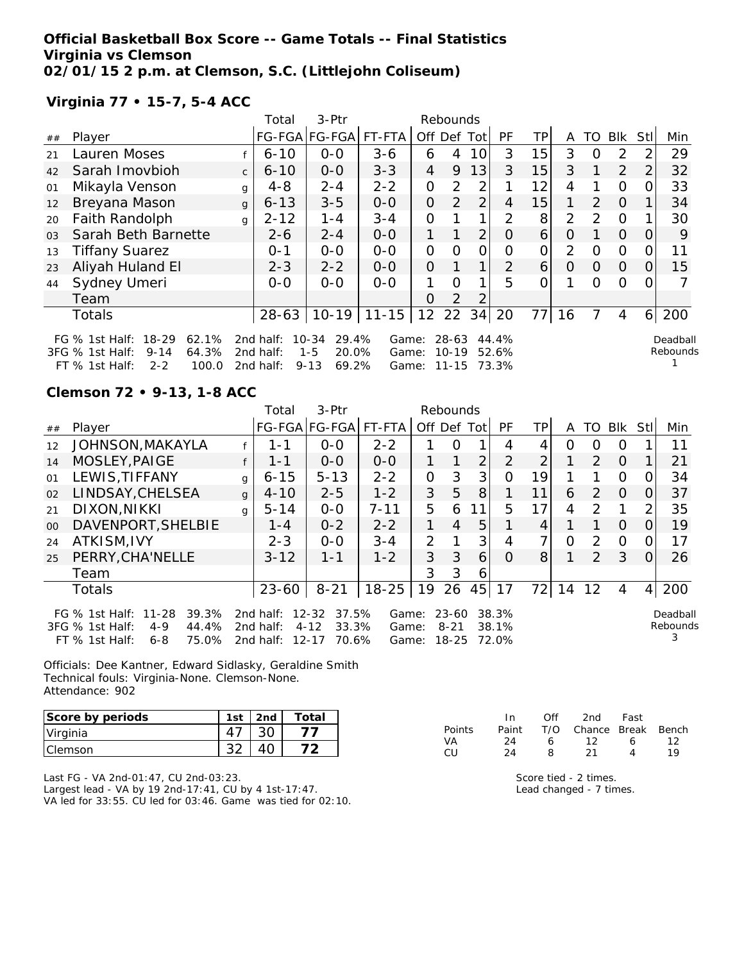# **Official Basketball Box Score -- Game Totals -- Final Statistics Virginia vs Clemson 02/01/15 2 p.m. at Clemson, S.C. (Littlejohn Coliseum)**

FT % 1st Half: 2-2 100.0 2nd half: 9-13 69.2% Game: 11-15 73.3%

# **Virginia 77 • 15-7, 5-4 ACC**

|                |                                                                                                                                      |              | Total                                 | $3-Ptr$                                                       |                | Rebounds            |                    |                |                |          |               |               |               |               |                      |
|----------------|--------------------------------------------------------------------------------------------------------------------------------------|--------------|---------------------------------------|---------------------------------------------------------------|----------------|---------------------|--------------------|----------------|----------------|----------|---------------|---------------|---------------|---------------|----------------------|
| ##             | Player                                                                                                                               |              |                                       | FG-FGA FG-FGA                                                 | FT-FTA         | Off Def             |                    | Totl           | <b>PF</b>      | TP.      | A             | TO            | Blk           | Stl           | Min                  |
| 21             | Lauren Moses                                                                                                                         |              | $6 - 10$                              | $0-0$                                                         | $3-6$          | 6                   | 4                  | 10             | 3              | 15       | 3             | O             | 2             |               | 29                   |
| 42             | Sarah Imovbioh                                                                                                                       | $\mathsf{C}$ | $6 - 10$                              | $0 - 0$                                                       | $3 - 3$        | 4                   | 9                  | 13             | 3              | 15       | 3             | 1             | $\mathcal{P}$ | $\mathcal{P}$ | 32                   |
| 01             | Mikayla Venson                                                                                                                       | g            | $4 - 8$                               | $2 - 4$                                                       | $2 - 2$        | O                   | $\mathcal{P}$      | $\overline{2}$ |                | 12       | 4             |               | 0             |               | 33                   |
| 12             | Breyana Mason                                                                                                                        | $\mathsf{q}$ | $6 - 13$                              | $3 - 5$                                                       | $0 - 0$        | $\Omega$            | 2                  | $\overline{2}$ | 4              | 15       |               | $\mathcal{P}$ | $\Omega$      |               | 34                   |
| 20             | Faith Randolph                                                                                                                       | q            | $2 - 12$                              | $1 - 4$                                                       | $3 - 4$        | 0                   |                    | 1              | 2              | 8        | 2             | 2             | $\Omega$      |               | 30                   |
| 0 <sub>3</sub> | Sarah Beth Barnette                                                                                                                  |              | $2 - 6$                               | $2 - 4$                                                       | $0-0$          |                     |                    | $\overline{2}$ | O              | 6        | O             |               | $\Omega$      |               | 9                    |
| 13             | <b>Tiffany Suarez</b>                                                                                                                |              | $0 - 1$                               | $0 - 0$                                                       | $0 - 0$        | 0                   | $\Omega$           | $\Omega$       | 0              | $\Omega$ | $\mathcal{P}$ | 0             | $\Omega$      |               | 11                   |
| 23             | Aliyah Huland El                                                                                                                     |              | $2 - 3$                               | $2 - 2$                                                       | $0 - 0$        | 0                   |                    | 1              | 2              | 6        | $\Omega$      | $\Omega$      | $\Omega$      | 0             | 15                   |
| 44             | Sydney Umeri                                                                                                                         |              | $0 - 0$                               | $0 - 0$                                                       | $0 - 0$        |                     | 0                  |                | 5              | Ω        |               | Ω             | $\Omega$      |               |                      |
|                | Team                                                                                                                                 |              |                                       |                                                               |                | Ω                   | $\mathcal{P}$      | 2              |                |          |               |               |               |               |                      |
|                | Totals                                                                                                                               |              |                                       | $28-63$   10-19                                               | $11 - 15$      | 12 22               |                    | 34             | 20             | 77       | 16            |               | 4             | 6             | 200                  |
|                | $18-29$<br>62.1%<br>FG $%$ 1st Half:<br>64.3%<br>$3FG \%$ 1st Half:<br>$9 - 14$<br>100 $\cap$<br>$2-2$<br>$FT \,$ % 1ct Half $\cdot$ |              | 2nd half:<br>2nd half:<br>$2nd$ half: | $10 - 34$<br>29.4%<br>20.0%<br>$1 - 5$<br>60, 206<br>$Q - 12$ | Game:<br>Game: | $Gama: 11.15$ 73.3% | 28-63<br>$10 - 19$ |                | 44.4%<br>52.6% |          |               |               |               |               | Deadball<br>Rebounds |

**Clemson 72 • 9-13, 1-8 ACC**

|    |                                                                                                              |              | Total                               | 3-Ptr                                                         |                         |                | Rebounds                           |             |                         |                |    |               |          |                |                           |
|----|--------------------------------------------------------------------------------------------------------------|--------------|-------------------------------------|---------------------------------------------------------------|-------------------------|----------------|------------------------------------|-------------|-------------------------|----------------|----|---------------|----------|----------------|---------------------------|
| ## | Player                                                                                                       |              |                                     | FG-FGA FG-FGA                                                 | FT-FTA                  |                |                                    | Off Def Tot | PF                      | TPI            | A  | TO            | Blk      | Stll           | Min                       |
| 12 | <b>JOHNSON, MAKAYLA</b>                                                                                      |              | 1-1                                 | $0 - 0$                                                       | $2 - 2$                 |                | $\Omega$                           |             | 4                       | 4              | 0  | $\Omega$      | $\Omega$ |                | 11                        |
| 14 | MOSLEY, PAIGE                                                                                                |              | $1 - 1$                             | $0 - 0$                                                       | $O - O$                 | 1.             |                                    | 2           | 2                       | $\overline{2}$ |    | $\mathcal{P}$ | $\Omega$ |                | 21                        |
| 01 | LEWIS, TIFFANY                                                                                               | g            | $6 - 15$                            | $5 - 13$                                                      | $2 - 2$                 | O              | 3                                  | 3           | 0                       | 19             |    |               | $\Omega$ | 0              | 34                        |
| 02 | LINDSAY, CHELSEA                                                                                             | $\mathbf{q}$ | $4 - 10$                            | $2 - 5$                                                       | $1 - 2$                 | 3              | 5                                  | 8           |                         | 11             | 6  | $\mathcal{P}$ | $\Omega$ | $\overline{O}$ | 37                        |
| 21 | DIXON, NIKKI                                                                                                 | $\mathsf{q}$ | $5 - 14$                            | $0-0$                                                         | $7 - 11$                | 5              | 6                                  |             | 5                       | 17             | 4  | 2             |          | 2              | 35                        |
| 00 | DAVENPORT, SHELBIE                                                                                           |              | $1 - 4$                             | $0 - 2$                                                       | $2 - 2$                 | 1              | 4                                  | 5           |                         | 4              |    |               | $\Omega$ | $\Omega$       | 19                        |
| 24 | ATKISM, IVY                                                                                                  |              | $2 - 3$                             | $0 - 0$                                                       | $3 - 4$                 | $\overline{2}$ |                                    | 3           | 4                       | 7              | 0  | $\mathcal{P}$ | $\Omega$ | $\Omega$       | 17                        |
| 25 | PERRY, CHA'NELLE                                                                                             |              | $3 - 12$                            | $1 - 1$                                                       | $1 - 2$                 | 3              | 3                                  | 6           | $\Omega$                | 8 <sup>1</sup> |    | 2             | 3        | $\Omega$       | 26                        |
|    | Team                                                                                                         |              |                                     |                                                               |                         | 3              | 3                                  | 6           |                         |                |    |               |          |                |                           |
|    | Totals                                                                                                       |              | $23 - 60$                           | $8 - 21$                                                      | $18 - 25$               | 19             | 26                                 | 45          | 17                      | 72             | 14 | 12            | 4        | $\overline{4}$ | 200                       |
|    | 39.3%<br>FG % 1st Half: 11-28<br>3FG % 1st Half:<br>$4 - 9$<br>44.4%<br>$FT$ % 1st Half:<br>$6 - 8$<br>75.0% |              | 2nd half:<br>2nd half:<br>2nd half: | 37.5%<br>$12 - 32$<br>33.3%<br>$4 - 12$<br>$12 - 17$<br>70.6% | Game:<br>Game:<br>Game: |                | $23 - 60$<br>$8 - 21$<br>$18 - 25$ |             | 38.3%<br>38.1%<br>72.0% |                |    |               |          |                | Deadball<br>Rebounds<br>3 |

Officials: Dee Kantner, Edward Sidlasky, Geraldine Smith Technical fouls: Virginia-None. Clemson-None. Attendance: 902

| Score by periods | 1st | 2nd | Total |
|------------------|-----|-----|-------|
| Virginia         |     |     |       |
| I Clemson        |     |     |       |

Last FG - VA 2nd-01:47, CU 2nd-03:23. Largest lead - VA by 19 2nd-17:41, CU by 4 1st-17:47. VA led for 33:55. CU led for 03:46. Game was tied for 02:10.

|        | In    | Off | 2nd                    | Fast |    |
|--------|-------|-----|------------------------|------|----|
| Points | Paint |     | T/O Chance Break Bench |      |    |
| VA     | 24.   | 6   | 12                     | 6    | 12 |
| -CH    | 24    | 8   | 21                     | Δ.   | 10 |

Score tied - 2 times. Lead changed - 7 times.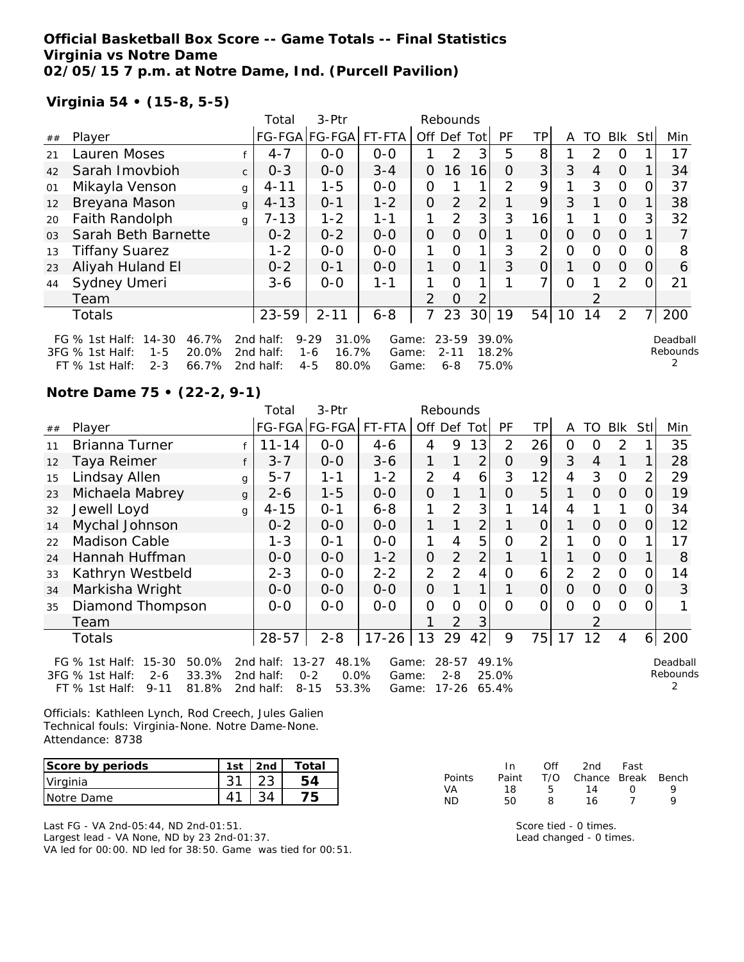# **Official Basketball Box Score -- Game Totals -- Final Statistics Virginia vs Notre Dame 02/05/15 7 p.m. at Notre Dame, Ind. (Purcell Pavilion)**

# **Virginia 54 • (15-8, 5-5)**

|                |                                                                           |              | Total                  | 3-Ptr                                 |                |                | Rebounds              |                 |                |                |          |               |                |          |                      |
|----------------|---------------------------------------------------------------------------|--------------|------------------------|---------------------------------------|----------------|----------------|-----------------------|-----------------|----------------|----------------|----------|---------------|----------------|----------|----------------------|
| ##             | Player                                                                    |              |                        | FG-FGA FG-FGA                         | FT-FTA         | Off            | Def                   | Totl            | PF             | ΤP             | A        | TO            | Blk            | Stl      | Min                  |
| 21             | Lauren Moses                                                              |              | $4 - 7$                | $0 - 0$                               | $0 - 0$        |                | 2                     | 3               | 5              | 8              |          | $\mathcal{P}$ | $\Omega$       |          | 17                   |
| 42             | Sarah Imovbioh                                                            | $\mathsf{C}$ | $0 - 3$                | $0 - 0$                               | $3 - 4$        | 0              | 16                    | 16              | 0              | 3              | 3        | 4             | $\Omega$       |          | 34                   |
| 01             | Mikayla Venson                                                            | $\mathbf{q}$ | $4 - 11$               | $1 - 5$                               | $0 - 0$        | 0              |                       |                 | 2              | 9              | 1        | 3             | $\Omega$       |          | 37                   |
| 12             | Breyana Mason                                                             | $\mathbf{q}$ | $4 - 13$               | $O - 1$                               | $1 - 2$        | 0              | $\overline{2}$        | $\overline{2}$  |                | 9              | 3        |               | $\Omega$       |          | 38                   |
| 20             | Faith Randolph                                                            | $\mathsf{q}$ | $7 - 13$               | $1 - 2$                               | 1-1            | 1              | 2                     | 3               | 3              | 16             |          |               | $\Omega$       | 3        | 32                   |
| 0 <sub>3</sub> | Sarah Beth Barnette                                                       |              | $0 - 2$                | $0 - 2$                               | $0 - 0$        | $\Omega$       | $\Omega$              | $\Omega$        |                | 0              | $\Omega$ | $\Omega$      | $\Omega$       |          |                      |
| 13             | <b>Tiffany Suarez</b>                                                     |              | $1 - 2$                | $0 - 0$                               | $0 - 0$        |                | $\Omega$              |                 | 3              | 2              | 0        | 0             | $\Omega$       |          | 8                    |
| 23             | Aliyah Huland El                                                          |              | $0 - 2$                | $O - 1$                               | $0 - 0$        | 1              | $\Omega$              |                 | 3              | 0              |          | $\Omega$      | $\Omega$       | $\left($ | 6                    |
| 44             | Sydney Umeri                                                              |              | $3-6$                  | $0 - 0$                               | $1 - 1$        | 1              | $\Omega$              |                 |                | 7 <sub>1</sub> | $\Omega$ |               | $\mathcal{P}$  | O        | 21                   |
|                | Team                                                                      |              |                        |                                       |                | $\overline{2}$ | $\Omega$              | 2               |                |                |          |               |                |          |                      |
|                | Totals                                                                    |              | 23-59                  | $2 - 11$                              | $6 - 8$        |                | 23                    | 30 <sup>1</sup> | 19             | 54             | 10       | 14            | $\overline{2}$ |          | 200                  |
|                | 46.7%<br>FG $%$ 1st Half:<br>14-30<br>3FG % 1st Half:<br>20.0%<br>$1 - 5$ |              | 2nd half:<br>2nd half: | $9 - 29$<br>31.0%<br>16.7%<br>$1 - 6$ | Game:<br>Game: |                | $23 - 59$<br>$2 - 11$ |                 | 39.0%<br>18.2% |                |          |               |                |          | Deadball<br>Rebounds |
|                | 66.7%<br>$FT$ % 1st Half:<br>$2 - 3$                                      |              | 2nd half:              | $4 - 5$<br>80.0%                      | Game:          |                | $6 - 8$               |                 | 75.0%          |                |          |               |                |          |                      |

### **Notre Dame 75 • (22-2, 9-1)**

| 3-Ptr<br>Total<br>Rebounds |                                                                                                  |   |                        |                                                            |                |                |                           |             |                         |                |              |                |                |                |                      |
|----------------------------|--------------------------------------------------------------------------------------------------|---|------------------------|------------------------------------------------------------|----------------|----------------|---------------------------|-------------|-------------------------|----------------|--------------|----------------|----------------|----------------|----------------------|
| ##                         | Player                                                                                           |   |                        | FG-FGA FG-FGA                                              | FT-FTA         |                |                           | Off Def Tot | <b>PF</b>               | TP             | A            | TO             | <b>BIK</b>     | Stll           | Min                  |
| 11                         | Brianna Turner                                                                                   |   | $11 - 14$              | $0-0$                                                      | $4 - 6$        | 4              | 9                         | 13          | 2                       | 26             | $\mathbf{O}$ | 0              | 2              |                | 35                   |
| 12                         | Taya Reimer                                                                                      |   | $3 - 7$                | $0-0$                                                      | $3 - 6$        | 1              |                           | 2           | $\Omega$                | 9              | 3            | $\overline{4}$ | 1              |                | 28                   |
| 15                         | Lindsay Allen                                                                                    | g | $5 - 7$                | $1 - 1$                                                    | $1 - 2$        | 2              | 4                         | 6           | 3                       | 12             | 4            | 3              | $\Omega$       | 2              | 29                   |
| 23                         | Michaela Mabrey                                                                                  | g | $2 - 6$                | $1 - 5$                                                    | $0-0$          | $\overline{O}$ |                           | 1           | $\Omega$                | 5              | 1            | $\overline{O}$ | $\overline{O}$ | 0              | 19                   |
| 32                         | Jewell Loyd                                                                                      | g | $4 - 15$               | $0 - 1$                                                    | $6 - 8$        | 1              | 2                         | 3           |                         | 14             | 4            |                | 1              | O.             | 34                   |
| 14                         | Mychal Johnson                                                                                   |   | $0 - 2$                | $0 - 0$                                                    | $O - O$        | 1              | $\mathbf{1}$              | 2           |                         | $\overline{O}$ | 1            | $\Omega$       | $\overline{O}$ | 0              | 12                   |
| 22                         | Madison Cable                                                                                    |   | 1-3                    | $O - 1$                                                    | $0 - 0$        | 1              | $\overline{4}$            | 5           | $\Omega$                | $\overline{2}$ |              | $\Omega$       | $\Omega$       |                | 17                   |
| 24                         | Hannah Huffman                                                                                   |   | $0 - 0$                | $0-0$                                                      | $1 - 2$        | $\overline{O}$ | $\overline{2}$            | 2           |                         |                |              | $\Omega$       | $\Omega$       |                | 8                    |
| 33                         | Kathryn Westbeld                                                                                 |   | $2 - 3$                | $0-0$                                                      | $2 - 2$        | $\overline{2}$ | $\overline{2}$            | 4           | O                       | 6              | 2            | 2              | $\Omega$       | 0              | 14                   |
| 34                         | Markisha Wright                                                                                  |   | $0 - 0$                | $0-0$                                                      | $0 - 0$        | $\overline{O}$ |                           |             |                         | $\overline{O}$ | $\Omega$     | $\Omega$       | $\overline{O}$ | 0              | 3                    |
| 35                         | Diamond Thompson                                                                                 |   | $0-0$                  | $0 - 0$                                                    | $0 - 0$        | 0              | O                         | 0           | $\Omega$                | 0              | $\Omega$     | 0              | $\Omega$       | 0              |                      |
|                            | Team                                                                                             |   |                        |                                                            |                |                | $\overline{2}$            | 3           |                         |                |              |                |                |                |                      |
|                            | <b>Totals</b>                                                                                    |   | $28 - 57$              | $2 - 8$                                                    | $17 - 26$      | 13             | 29                        | 42          | 9                       | 75             | 17           | 12             | $\overline{4}$ | 6 <sup>1</sup> | 200                  |
|                            | 50.0%<br>FG % 1st Half:<br>$15 - 30$<br>33.3%<br>3FG % 1st Half:<br>$2 - 6$<br>81.8%<br>$9 - 11$ |   | 2nd half:<br>2nd half: | 48.1%<br>$13 - 27$<br>$0 - 2$<br>0.0%<br>53.3%<br>$8 - 15$ | Game:<br>Game: |                | 28-57<br>$2 - 8$<br>17-26 |             | 49.1%<br>25.0%<br>65.4% |                |              |                |                |                | Deadball<br>Rebounds |
|                            | FT % 1st Half:                                                                                   |   | 2nd half:              |                                                            | Game:          |                |                           |             |                         |                |              |                |                |                |                      |

Officials: Kathleen Lynch, Rod Creech, Jules Galien Technical fouls: Virginia-None. Notre Dame-None. Attendance: 8738

| Score by periods | 1st | 2nd | Total        |
|------------------|-----|-----|--------------|
| Virginia         |     |     |              |
| INotre Dame      |     |     | $\mathsf{F}$ |

Last FG - VA 2nd-05:44, ND 2nd-01:51.

Largest lead - VA None, ND by 23 2nd-01:37. VA led for 00:00. ND led for 38:50. Game was tied for 00:51.

|               | In.   | Off | 2nd                    | Fast             |   |
|---------------|-------|-----|------------------------|------------------|---|
| <b>Points</b> | Paint |     | T/O Chance Break Bench |                  |   |
| VA            | 18    | Б.  | 14                     | $\left( \right)$ | Q |
| ΝD            | 50    | 8   | 16                     |                  | Q |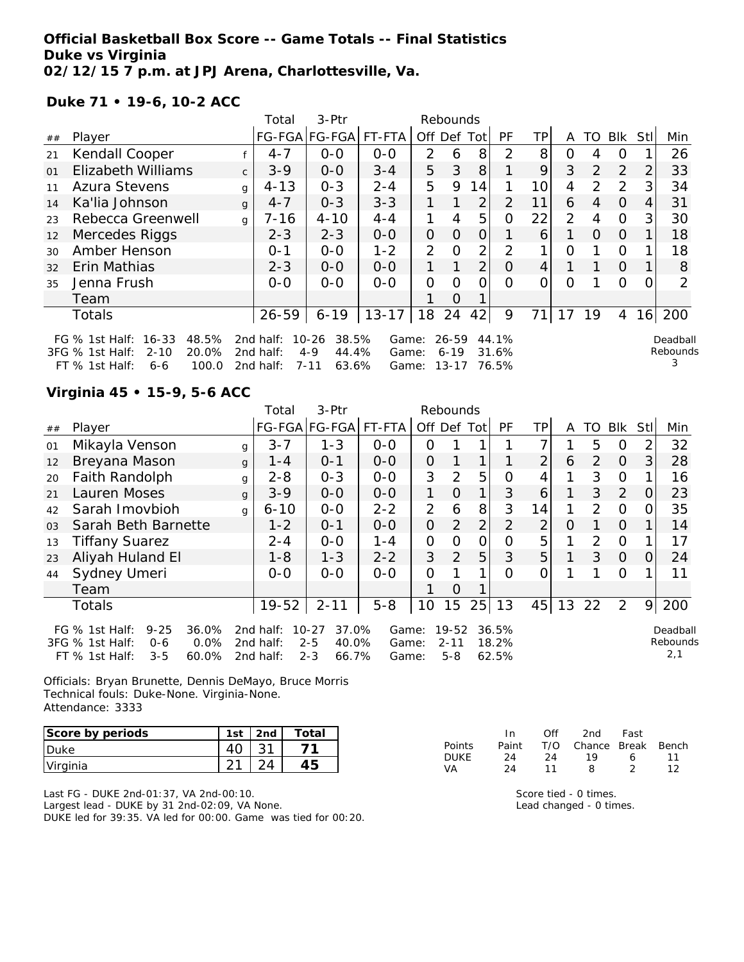## **Official Basketball Box Score -- Game Totals -- Final Statistics Duke vs Virginia 02/12/15 7 p.m. at JPJ Arena, Charlottesville, Va.**

**Duke 71 • 19-6, 10-2 ACC**

|                |                                                                                                                                                                                                                                       | $3-Ptr$<br>Total<br>Rebounds |           |               |           |                |             |                |           |           |     |          |          |                |     |
|----------------|---------------------------------------------------------------------------------------------------------------------------------------------------------------------------------------------------------------------------------------|------------------------------|-----------|---------------|-----------|----------------|-------------|----------------|-----------|-----------|-----|----------|----------|----------------|-----|
| ##             | Player                                                                                                                                                                                                                                |                              |           | FG-FGA FG-FGA | FT-FTA    |                | Off Def Tot |                | <b>PF</b> | <b>TP</b> | A   | TO       | Blk      | Stll           | Min |
| 21             | Kendall Cooper                                                                                                                                                                                                                        |                              | $4 - 7$   | $0 - 0$       | $0 - 0$   | 2              | 6           | 8              | 2         | 8         | O   | 4        | O        |                | 26  |
| O <sub>1</sub> | <b>Elizabeth Williams</b>                                                                                                                                                                                                             | $\mathsf{C}$                 | $3 - 9$   | $O - O$       | $3 - 4$   | 5              | 3           | 8              | 1         | 9         | 3   | 2        | 2        | 2              | 33  |
| 11             | <b>Azura Stevens</b>                                                                                                                                                                                                                  | g                            | $4 - 13$  | $O - 3$       | $2 - 4$   | 5              | 9           | 14             |           | 10        | 4   | 2        | 2        | 3 <sup>1</sup> | 34  |
| 14             | Ka'lia Johnson                                                                                                                                                                                                                        | $\mathbf{q}$                 | $4 - 7$   | $0 - 3$       | $3 - 3$   | 1              | 1           | $\overline{2}$ | 2         | 11        | 6   | 4        | $\Omega$ | 4              | 31  |
| 23             | Rebecca Greenwell                                                                                                                                                                                                                     | q                            | 7-16      | $4 - 10$      | $4 - 4$   | 1              | 4           | 5              | 0         | 22        | 2   | 4        | $\Omega$ | 3 <sub>l</sub> | 30  |
| 12             | Mercedes Riggs                                                                                                                                                                                                                        |                              | $2 - 3$   | $2 - 3$       | $0 - 0$   | $\Omega$       | $\Omega$    | 0              | 1         | 6         | 1   | $\Omega$ | $\Omega$ |                | 18  |
| 30             | Amber Henson                                                                                                                                                                                                                          |                              | $O - 1$   | $0 - 0$       | $1 - 2$   | 2              | $\Omega$    | 2              | 2         |           | Ω   |          | $\Omega$ |                | 18  |
| 32             | Erin Mathias                                                                                                                                                                                                                          |                              | $2 - 3$   | $0 - 0$       | $0 - 0$   | 1              | 1           | 2 <sub>1</sub> | $\Omega$  | 4         | 1   | 1        | $\Omega$ |                | 8   |
| 35             | Jenna Frush                                                                                                                                                                                                                           |                              | $0 - 0$   | $0-0$         | $0-0$     | $\overline{O}$ | $\Omega$    | Ω              | $\Omega$  | ი         | O   |          | $\Omega$ | 0              | 2   |
|                | Team                                                                                                                                                                                                                                  |                              |           |               |           |                | $\Omega$    |                |           |           |     |          |          |                |     |
|                | Totals                                                                                                                                                                                                                                |                              | $26 - 59$ | $6 - 19$      | $13 - 17$ | 18             | 24          | 42             | 9         |           | -17 | 19       | 4        | 16             | 200 |
|                | $16 - 33$<br>48.5%<br>38.5%<br>FG $%$ 1st Half:<br>2nd half:<br>$10 - 26$<br>$26 - 59$<br>44.1%<br>Game:<br>Deadbal<br>Rebound<br>20.0%<br>$4 - 9$<br>44.4%<br>3FG % 1st Half:<br>$2 - 10$<br>2nd half:<br>$6 - 19$<br>31.6%<br>Game: |                              |           |               |           |                |             |                |           |           |     |          |          |                |     |

2nd half: 7-11 63.6% Game: 13-17 76.5%

Deadball Rebounds 3

# **Virginia 45 • 15-9, 5-6 ACC**

FT  $%$  1st Half: 6-6

|                |                                                                                                                   |   | Total                               | 3-Ptr                                                      |                         |                | Rebounds                         |                |                         |                |          |                |            |                |                             |
|----------------|-------------------------------------------------------------------------------------------------------------------|---|-------------------------------------|------------------------------------------------------------|-------------------------|----------------|----------------------------------|----------------|-------------------------|----------------|----------|----------------|------------|----------------|-----------------------------|
| ##             | Player                                                                                                            |   |                                     | FG-FGA FG-FGA                                              | FT-FTA                  | Off Def Tot    |                                  |                | PF                      | TPI            | A        | TO             | <b>Blk</b> | <b>Stll</b>    | Min                         |
| 01             | Mikayla Venson                                                                                                    | g | $3 - 7$                             | $1 - 3$                                                    | $0-0$                   | O              |                                  |                |                         |                |          | 5              | O          | $\overline{2}$ | 32                          |
| 12             | Breyana Mason                                                                                                     | g | $1 - 4$                             | $0 - 1$                                                    | $0-0$                   | $\overline{O}$ |                                  |                |                         | 2              | 6        | 2              | $\Omega$   | 3              | 28                          |
| 20             | Faith Randolph                                                                                                    | g | $2 - 8$                             | $0 - 3$                                                    | $0-0$                   | 3              | 2                                | 5              | O                       | 4              |          | 3              | $\Omega$   |                | 16                          |
| 21             | Lauren Moses                                                                                                      | g | $3 - 9$                             | $0 - 0$                                                    | $0-0$                   | 1              | $\Omega$                         | 1              | 3                       | 6              |          | 3              | 2          | 0              | 23                          |
| 42             | Sarah Imovbioh                                                                                                    | g | $6 - 10$                            | $0-0$                                                      | $2 - 2$                 | 2              | 6                                | 8              | 3                       | 14             |          | $\mathcal{P}$  | $\Omega$   | O.             | 35                          |
| 0 <sub>3</sub> | Sarah Beth Barnette                                                                                               |   | $1 - 2$                             | $O - 1$                                                    | $O - O$                 | $\overline{O}$ | $\overline{2}$                   | $\overline{2}$ | $\overline{2}$          | $\overline{2}$ | $\Omega$ |                | $\Omega$   |                | 14                          |
| 13             | <b>Tiffany Suarez</b>                                                                                             |   | $2 - 4$                             | $0-0$                                                      | $1 - 4$                 | $\overline{O}$ | 0                                | O              | 0                       | 5              |          | $\overline{2}$ | $\Omega$   |                | 17                          |
| 23             | Aliyah Huland El                                                                                                  |   | $1 - 8$                             | $1 - 3$                                                    | $2 - 2$                 | 3              | 2                                | 5              | 3                       | 5              |          | 3              | $\Omega$   | O              | 24                          |
| 44             | Sydney Umeri                                                                                                      |   | $0 - 0$                             | $0 - 0$                                                    | $0 - 0$                 | $\Omega$       |                                  |                | $\Omega$                | 0              |          |                | $\circ$    |                | 11                          |
|                | Team                                                                                                              |   |                                     |                                                            |                         |                | 0                                |                |                         |                |          |                |            |                |                             |
|                | <b>Totals</b>                                                                                                     |   | 19-52                               | $2 - 11$                                                   | $5 - 8$                 | 10             | 15                               | 25             | 13                      | 45             | 13       | 22             | 2          | 9              | 200                         |
|                | $9 - 25$<br>36.0%<br>FG $%$ 1st Half:<br>3FG % 1st Half:<br>0.0%<br>$0 - 6$<br>60.0%<br>FT % 1st Half:<br>$3 - 5$ |   | 2nd half:<br>2nd half:<br>2nd half: | $10 - 27$<br>37.0%<br>$2 - 5$<br>40.0%<br>$2 - 3$<br>66.7% | Game:<br>Game:<br>Game: |                | $19 - 52$<br>$2 - 11$<br>$5 - 8$ |                | 36.5%<br>18.2%<br>62.5% |                |          |                |            |                | Deadball<br>Rebounds<br>2,1 |

Officials: Bryan Brunette, Dennis DeMayo, Bruce Morris Technical fouls: Duke-None. Virginia-None. Attendance: 3333

| Score by periods | 1st | 2nd | Total |
|------------------|-----|-----|-------|
| <b>Duke</b>      |     |     |       |
| Virginia         |     |     |       |

Last FG - DUKE 2nd-01:37, VA 2nd-00:10. Largest lead - DUKE by 31 2nd-02:09, VA None. DUKE led for 39:35. VA led for 00:00. Game was tied for 00:20.

|        | In.   | Off | 2nd                    | Fast |    |
|--------|-------|-----|------------------------|------|----|
| Points | Paint |     | T/O Chance Break Bench |      |    |
| DUKE   | 24.   | 24  | 1 Q                    | А    | 11 |
| VA     | 24    | 11  | 8                      |      | 12 |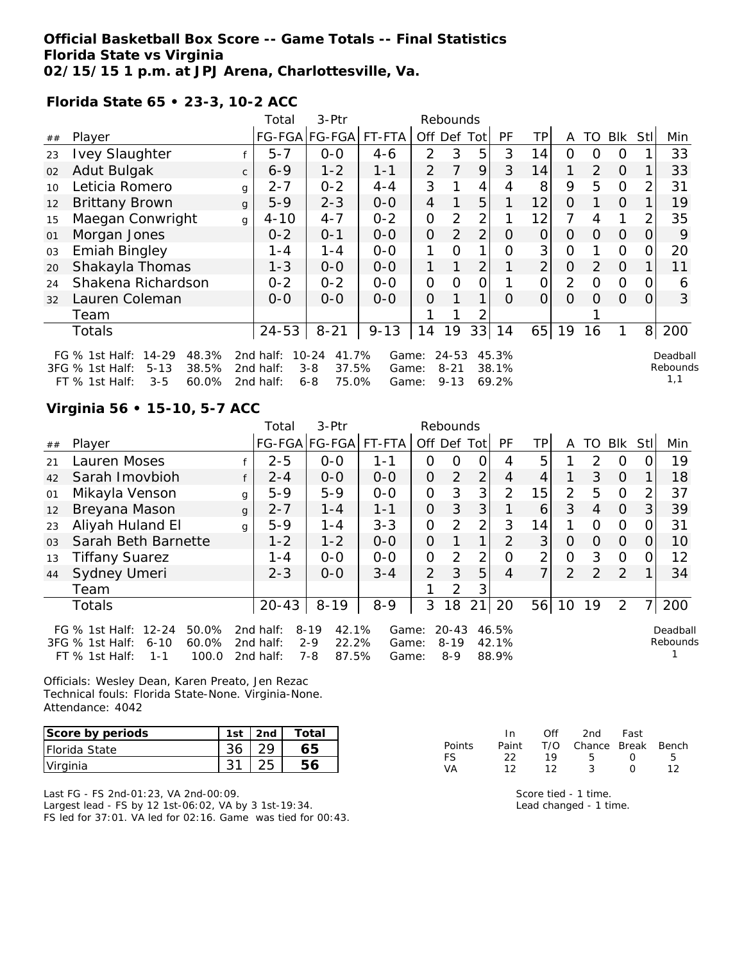## **Official Basketball Box Score -- Game Totals -- Final Statistics Florida State vs Virginia 02/15/15 1 p.m. at JPJ Arena, Charlottesville, Va.**

**Florida State 65 • 23-3, 10-2 ACC**

| 3-Ptr<br>Total<br>Rebounds |                                                                                                                      |              |                                     |                                                            |                         |                |                                   |                |                         |                |                |          |                |                |                             |
|----------------------------|----------------------------------------------------------------------------------------------------------------------|--------------|-------------------------------------|------------------------------------------------------------|-------------------------|----------------|-----------------------------------|----------------|-------------------------|----------------|----------------|----------|----------------|----------------|-----------------------------|
| ##                         | Player                                                                                                               |              |                                     | FG-FGA FG-FGA                                              | FT-FTA                  | Off            | Def                               | Tot            | PF                      | TP.            | A              | TO       | <b>BIK</b>     | StII           | Min                         |
| 23                         | <b>Ivey Slaughter</b>                                                                                                |              | $5 - 7$                             | $0 - 0$                                                    | $4 - 6$                 | $\overline{2}$ | 3                                 | 5              | 3                       | 14             | Ω              | O        | Ο              |                | 33                          |
| 02                         | Adut Bulgak                                                                                                          | $\mathsf{C}$ | $6 - 9$                             | $1 - 2$                                                    | $1 - 1$                 | 2              | 7                                 | 9              | 3                       | 14             | 1              | 2        | $\Omega$       |                | 33                          |
| 10                         | Leticia Romero                                                                                                       | g            | $2 - 7$                             | $0 - 2$                                                    | $4 - 4$                 | 3              |                                   | 4              | 4                       | 8              | 9              | 5        | $\overline{O}$ | 2              | 31                          |
| 12                         | <b>Brittany Brown</b>                                                                                                | $\mathbf{q}$ | $5 - 9$                             | $2 - 3$                                                    | $0 - 0$                 | 4              |                                   | 5              |                         | 12             | O              |          | $\Omega$       |                | 19                          |
| 15                         | Maegan Conwright                                                                                                     | $\mathsf{g}$ | $4 - 10$                            | $4 - 7$                                                    | $0 - 2$                 | 0              | $\overline{2}$                    | 2              |                         | 12             | 7              | 4        | 1              | 2              | 35                          |
| 01                         | Morgan Jones                                                                                                         |              | $0 - 2$                             | $0 - 1$                                                    | $0-0$                   | $\overline{O}$ | $\overline{2}$                    | $\overline{2}$ | $\Omega$                | $\Omega$       | Ο              | $\Omega$ | $\Omega$       | 0              | 9                           |
| 03                         | <b>Emiah Bingley</b>                                                                                                 |              | $1 - 4$                             | $1 - 4$                                                    | $O-O$                   | 1              | O                                 | 1              | 0                       | 3              | $\overline{O}$ |          | $\overline{O}$ | Ω              | 20                          |
| 20                         | Shakayla Thomas                                                                                                      |              | $1 - 3$                             | $0-0$                                                      | $0-0$                   |                |                                   | $\overline{2}$ |                         | $\overline{2}$ | 0              | 2        | $\Omega$       |                | 11                          |
| 24                         | Shakena Richardson                                                                                                   |              | $0 - 2$                             | $0 - 2$                                                    | $0-0$                   | $\mathcal{O}$  | O                                 | 0              |                         | 0              | 2              | 0        | $\overline{O}$ | Ω              | 6                           |
| 32                         | Lauren Coleman                                                                                                       |              | $O-O$                               | $O-O$                                                      | $0 - 0$                 | $\overline{O}$ |                                   | 1              | O                       | O              | Ω              | Ω        | $\Omega$       | 0              | 3                           |
|                            | Team                                                                                                                 |              |                                     |                                                            |                         |                |                                   | 2              |                         |                |                |          |                |                |                             |
|                            | <b>Totals</b>                                                                                                        |              | $24 - 53$                           | $8 - 21$                                                   | $9 - 13$                | 14             | 19                                | 33             | 14                      |                | $65$   19      | 16       | 1.             | 8 <sup>1</sup> | 200                         |
|                            | $14 - 29$<br>48.3%<br>FG $%$ 1st Half:<br>3FG % 1st Half:<br>$5 - 13$<br>38.5%<br>FT % 1st Half:<br>60.0%<br>$3 - 5$ |              | 2nd half:<br>2nd half:<br>2nd half: | $10 - 24$<br>41.7%<br>37.5%<br>$3 - 8$<br>75.0%<br>$6 - 8$ | Game:<br>Game:<br>Game: |                | $24 - 53$<br>$8 - 21$<br>$9 - 13$ |                | 45.3%<br>38.1%<br>69.2% |                |                |          |                |                | Deadball<br>Rebounds<br>1,1 |

# **Virginia 56 • 15-10, 5-7 ACC**

|                                                                                                                                                                                                                                                                                                                                           |                       |              | Total     | 3-Ptr         |         |                | Rebounds      |                |                |                |    |               |                |                |     |
|-------------------------------------------------------------------------------------------------------------------------------------------------------------------------------------------------------------------------------------------------------------------------------------------------------------------------------------------|-----------------------|--------------|-----------|---------------|---------|----------------|---------------|----------------|----------------|----------------|----|---------------|----------------|----------------|-----|
| ##                                                                                                                                                                                                                                                                                                                                        | Player                |              |           | FG-FGA FG-FGA | FT-FTA  | Off Def        |               | Totl           | PF             | <b>TP</b>      | A  | TO            | <b>BIK</b>     | Stll           | Min |
| 21                                                                                                                                                                                                                                                                                                                                        | Lauren Moses          |              | $2 - 5$   | $O-O$         | $1 - 1$ | 0              | Ω             | 0              | 4              | 5              |    | $\mathcal{P}$ | $\Omega$       |                | 19  |
| 42                                                                                                                                                                                                                                                                                                                                        | Sarah Imovbioh        |              | $2 - 4$   | $0 - 0$       | $0 - 0$ | $\Omega$       | 2             | $\overline{2}$ | $\overline{4}$ | 4              |    | 3             | $\Omega$       |                | 18  |
| 01                                                                                                                                                                                                                                                                                                                                        | Mikayla Venson        | g            | $5-9$     | $5 - 9$       | $0 - 0$ | $\mathcal{O}$  | 3             | 3              | $\overline{2}$ | 15             | 2  | 5             | $\Omega$       | 2              | 37  |
| 12                                                                                                                                                                                                                                                                                                                                        | Breyana Mason         | $\mathbf{q}$ | $2 - 7$   | $1 - 4$       | $1 - 1$ | $\overline{O}$ | 3             | 3              |                | 6              | 3  | 4             | $\Omega$       | 3              | 39  |
| 23                                                                                                                                                                                                                                                                                                                                        | Aliyah Huland El      | g            | $5-9$     | $1 - 4$       | $3 - 3$ | $\Omega$       | $\mathcal{P}$ | $\overline{2}$ | 3              | 14             |    | $\Omega$      | $\Omega$       |                | 31  |
| 0 <sub>3</sub>                                                                                                                                                                                                                                                                                                                            | Sarah Beth Barnette   |              | $1 - 2$   | $1 - 2$       | $O-O$   | 0              |               | 1              | $\mathcal{P}$  | 3              | Ο  | O             | $\Omega$       | $\Omega$       | 10  |
| 13                                                                                                                                                                                                                                                                                                                                        | <b>Tiffany Suarez</b> |              | $1 - 4$   | $0 - 0$       | $0 - 0$ | 0              | $\mathcal{P}$ | $\overline{2}$ | Ω              | 2              | O  | 3             | $\Omega$       | Ω              | 12  |
| 44                                                                                                                                                                                                                                                                                                                                        | Sydney Umeri          |              | $2 - 3$   | $0 - 0$       | $3 - 4$ | $\overline{2}$ | 3             | 5              | 4              | $\overline{7}$ | 2  | 2             | 2              |                | 34  |
|                                                                                                                                                                                                                                                                                                                                           | Team                  |              |           |               |         |                | 2             | 3              |                |                |    |               |                |                |     |
|                                                                                                                                                                                                                                                                                                                                           | <b>Totals</b>         |              | $20 - 43$ | $8 - 19$      | $8 - 9$ | 3              | 18            | 21             | 20             | 56             | 10 | 19            | $\overline{2}$ | 7 <sub>1</sub> | 200 |
| 42.1%<br>$12 - 24$<br>50.0%<br>$8 - 19$<br>$20 - 43$<br>FG $\%$ 1st Half:<br>2nd half:<br>46.5%<br>Game:<br>Deadball<br>Rebounds<br>$2 - 9$<br>22.2%<br>60.0%<br>$8 - 19$<br>42.1%<br>3FG % 1st Half:<br>$6 - 10$<br>2nd half:<br>Game:<br>$7 - 8$<br>87.5%<br>88.9%<br>$FT$ % 1st Half:<br>100.0<br>$8 - 9$<br>2nd half:<br>1-1<br>Game: |                       |              |           |               |         |                |               |                |                |                |    |               |                |                |     |

Officials: Wesley Dean, Karen Preato, Jen Rezac Technical fouls: Florida State-None. Virginia-None. Attendance: 4042

| Score by periods     | 1st | 2nd | Total |
|----------------------|-----|-----|-------|
| <b>Florida State</b> |     |     |       |
| Virginia             |     |     |       |

Last FG - FS 2nd-01:23, VA 2nd-00:09. Largest lead - FS by 12 1st-06:02, VA by 3 1st-19:34. FS led for 37:01. VA led for 02:16. Game was tied for 00:43.

|               | In In | ∩ff | 2nd                          | Fast             |    |
|---------------|-------|-----|------------------------------|------------------|----|
| <b>Points</b> |       |     | Paint T/O Chance Break Bench |                  |    |
| FS.           | フフ    | 19  | 5                            | $\left( \right)$ | Б. |
| VА            | 12.   | 12  | -2                           | $\left( \right)$ | 12 |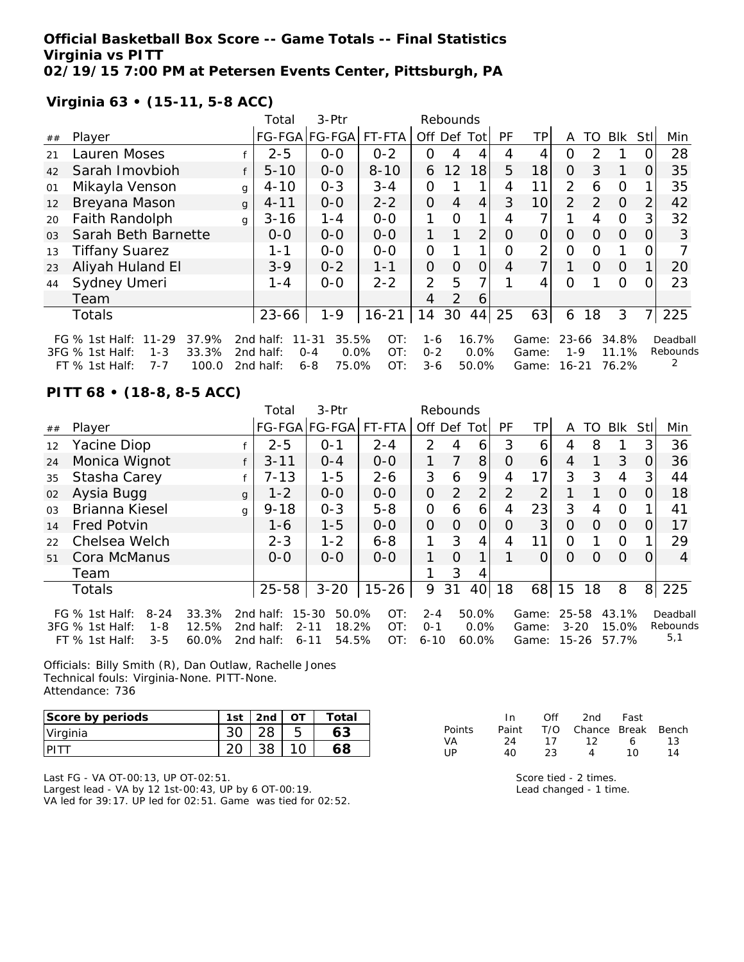**Official Basketball Box Score -- Game Totals -- Final Statistics Virginia vs PITT 02/19/15 7:00 PM at Petersen Events Center, Pittsburgh, PA**

**Virginia 63 • (15-11, 5-8 ACC)**

|                |                               |              | Total           | $3-Ptr$       |           |                | Rebounds       |                 |          |                 |          |               |            |          |          |
|----------------|-------------------------------|--------------|-----------------|---------------|-----------|----------------|----------------|-----------------|----------|-----------------|----------|---------------|------------|----------|----------|
| ##             | Player                        |              |                 | FG-FGA FG-FGA | FT-FTA    |                |                | Off Def Tot     | PF       | TPI             | A        | TO            | <b>BIK</b> | StII     | Min      |
| 21             | Lauren Moses                  |              | $2 - 5$         | $O-O$         | $0 - 2$   | $\Omega$       | 4              | 4               | 4        | 4               | 0        | 2             |            |          | 28       |
| 42             | Sarah Imovbioh                |              | $5 - 10$        | $0 - 0$       | $8 - 10$  | 6              | 12             | 18              | 5        | 18 <sup>1</sup> | $\Omega$ | 3             |            | 0        | 35       |
| 01             | Mikayla Venson                | g            | $4 - 10$        | $0 - 3$       | $3 - 4$   | $\Omega$       |                |                 | 4        | 11              | 2        | 6             | $\Omega$   |          | 35       |
| 12             | Breyana Mason                 | $\mathbf{q}$ | $4 - 11$        | $0 - 0$       | $2 - 2$   | $\Omega$       | 4              | $\overline{4}$  | 3        | 10l             | 2        | $\mathcal{L}$ | $\Omega$   | 2        | 42       |
| 20             | Faith Randolph                | q            | $3 - 16$        | $1 - 4$       | $0 - 0$   |                | $\Omega$       |                 | 4        |                 |          | 4             | $\Omega$   | 3        | 32       |
| 0 <sub>3</sub> | Sarah Beth Barnette           |              | $0-0$           | $0 - 0$       | $0-0$     |                |                | 2               | $\Omega$ | $\overline{O}$  | $\Omega$ | $\Omega$      | $\Omega$   | $\Omega$ | 3        |
| 13             | <b>Tiffany Suarez</b>         |              | $1 - 1$         | $0 - 0$       | $0 - 0$   | $\Omega$       |                |                 | $\Omega$ | $\overline{2}$  | $\Omega$ | $\Omega$      |            |          |          |
| 23             | Aliyah Huland El              |              | $3 - 9$         | $0 - 2$       | $1 - 1$   | $\overline{O}$ | $\Omega$       | $\Omega$        | 4        |                 |          | $\Omega$      | $\Omega$   |          | 20       |
| 44             | Sydney Umeri                  |              | $1 - 4$         | $0 - 0$       | $2 - 2$   | $\overline{2}$ | 5              |                 |          | 4               | $\Omega$ |               | $\Omega$   |          | 23       |
|                | Team                          |              |                 |               |           | 4              | $\overline{2}$ | 6               |          |                 |          |               |            |          |          |
|                | Totals                        |              | $23 - 66$       | $1 - 9$       | $16 - 21$ | 14             | 30             | 44 <sub>1</sub> | 25       | 63              | 6        | 18            | 3          |          | 225      |
|                | 37.9%<br>FG % 1st Half: 11-29 |              | 2nd half: 11-31 | 35.5%         | OT:       | 1-6            |                | 16.7%           |          | Game: 23-66     |          |               | 34.8%      |          | Deadball |

3FG % 1st Half: 1-3 FT % 1st Half: 7-7 2nd half: 0-4 0.0% 2nd half: 6-8 75.0% OT: 0-2 0.0% OT: 3-6 50.0% Game: 1-9 11.1% Game: 16-21 76.2% Rebounds 2

### **PITT 68 • (18-8, 8-5 ACC)**

|                |                                                                                       |                         | Total                               | 3-Ptr                                                    |                   |                                | Rebounds       |                        |                |                         |                                    |          |                         |     |                             |
|----------------|---------------------------------------------------------------------------------------|-------------------------|-------------------------------------|----------------------------------------------------------|-------------------|--------------------------------|----------------|------------------------|----------------|-------------------------|------------------------------------|----------|-------------------------|-----|-----------------------------|
| ##             | Player                                                                                |                         |                                     | FG-FGA FG-FGA                                            | FT-FTA            | Off Def                        |                | Tot                    | PF             | ΤP                      | A                                  | TO       | <b>BIK</b>              | Stl | Min                         |
| 12             | Yacine Diop                                                                           |                         | $2 - 5$                             | $O - 1$                                                  | $2 - 4$           | $\mathcal{P}$                  | 4              | 6                      | 3              | 6                       | 4                                  | 8        |                         | 3   | 36                          |
| 24             | Monica Wignot                                                                         |                         | $3 - 11$                            | $0 - 4$                                                  | $0 - 0$           |                                | 7              | 8                      | Ο              | 6                       | 4                                  |          | 3                       | 0   | 36                          |
| 35             | Stasha Carey                                                                          |                         | 7-13                                | $1 - 5$                                                  | $2 - 6$           | 3                              | 6              | 9                      | 4              | 17                      | 3                                  | 3        | 4                       | 3   | 44                          |
| 02             | Aysia Bugg                                                                            | $\mathbf{q}$            | $1 - 2$                             | $0 - 0$                                                  | $0 - 0$           | 0                              | $\overline{2}$ | $\overline{2}$         | $\overline{2}$ | $\overline{2}$          |                                    |          | $\Omega$                | 0   | 18                          |
| 0 <sub>3</sub> | Brianna Kiesel                                                                        | $\mathbf{q}$            | $9 - 18$                            | $0 - 3$                                                  | $5 - 8$           | 0                              | 6              | 6                      | 4              | 23                      | 3                                  | 4        | 0                       |     | 41                          |
| 14             | <b>Fred Potvin</b>                                                                    |                         | $1 - 6$                             | $1 - 5$                                                  | $0 - 0$           | 0                              | $\Omega$       | O                      | O              | 3                       | $\circ$                            | $\Omega$ | $\Omega$                | 0   | 17                          |
| 22             | Chelsea Welch                                                                         |                         | $2 - 3$                             | $1 - 2$                                                  | $6 - 8$           |                                | 3              | 4                      | 4              | 11                      | Ω                                  |          | 0                       |     | 29                          |
| 51             | Cora McManus                                                                          |                         | $0 - 0$                             | $0 - 0$                                                  | $0 - 0$           | 1                              | $\Omega$       | 1                      |                | Ω                       | $\Omega$                           | $\Omega$ | $\Omega$                | 0   | 4                           |
|                | Team                                                                                  |                         |                                     |                                                          |                   |                                | 3              | 4                      |                |                         |                                    |          |                         |     |                             |
|                | <b>Totals</b>                                                                         |                         | $25 - 58$                           | $3 - 20$                                                 | $15 - 26$         | 9                              | 31             | 40 <sub>l</sub>        | 18             | 68                      | 15                                 | 18       | 8                       | 8   | 225                         |
|                | $8 - 24$<br>FG $%$ 1st Half:<br>3FG % 1st Half:<br>1-8<br>$FT$ % 1st Half:<br>$3 - 5$ | 33.3%<br>12.5%<br>60.0% | 2nd half:<br>2nd half:<br>2nd half: | 50.0%<br>15-30<br>$2 - 11$<br>18.2%<br>54.5%<br>$6 - 11$ | OT:<br>OT:<br>OT: | $2 - 4$<br>$O - 1$<br>$6 - 10$ |                | 50.0%<br>0.0%<br>60.0% |                | Game:<br>Game:<br>Game: | $25 - 58$<br>$3 - 20$<br>$15 - 26$ |          | 43.1%<br>15.0%<br>57.7% |     | Deadball<br>Rebounds<br>5,1 |

Officials: Billy Smith (R), Dan Outlaw, Rachelle Jones Technical fouls: Virginia-None. PITT-None. Attendance: 736

| Score by periods | 1st | 2nd | Total |
|------------------|-----|-----|-------|
| Virginia         |     |     |       |
|                  |     |     |       |

Last FG - VA OT-00:13, UP OT-02:51. Largest lead - VA by 12 1st-00:43, UP by 6 OT-00:19. VA led for 39:17. UP led for 02:51. Game was tied for 02:52.

|        | In.   | Off | 2nd                    | Fast     |     |
|--------|-------|-----|------------------------|----------|-----|
| Points | Paint |     | T/O Chance Break Bench |          |     |
| VA     | 24    | 17  | 12                     | $\sim$ 6 | 1.3 |
| l IP   | 4Ο.   | 23. | 4                      | 1 O      | 14  |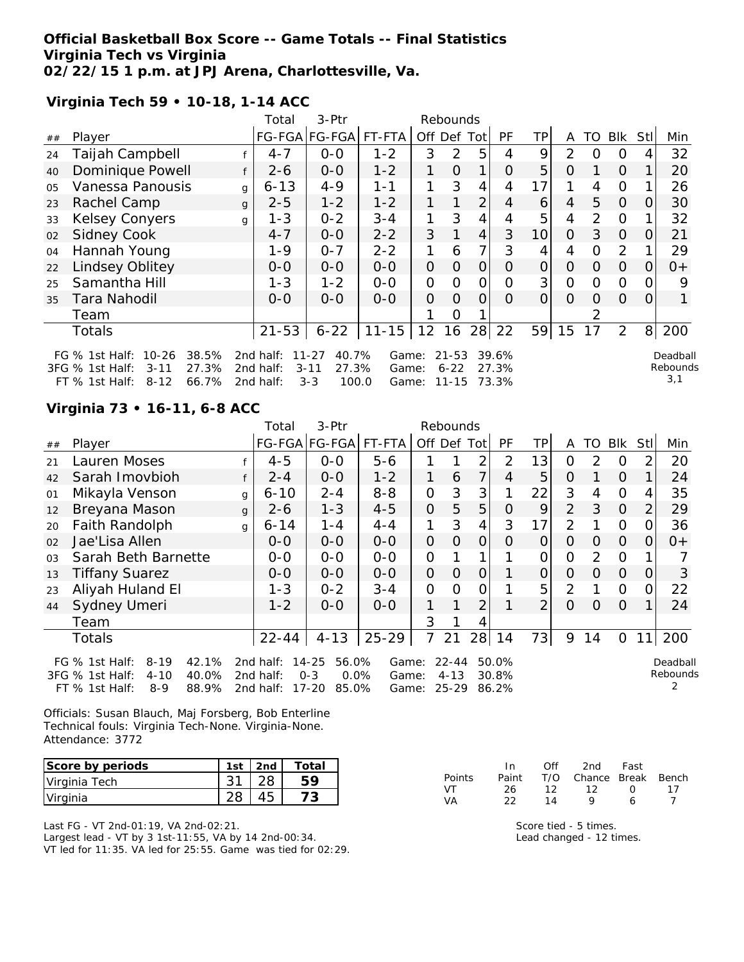## **Official Basketball Box Score -- Game Totals -- Final Statistics Virginia Tech vs Virginia 02/22/15 1 p.m. at JPJ Arena, Charlottesville, Va.**

**Virginia Tech 59 • 10-18, 1-14 ACC**

| 3-Ptr<br>Total<br>Rebounds |                                                                                                                         |              |                                     |                                                             |                         |                |                                |                |                         |    |          |          |                |          |                             |
|----------------------------|-------------------------------------------------------------------------------------------------------------------------|--------------|-------------------------------------|-------------------------------------------------------------|-------------------------|----------------|--------------------------------|----------------|-------------------------|----|----------|----------|----------------|----------|-----------------------------|
| ##                         | Player                                                                                                                  |              |                                     | FG-FGA FG-FGA                                               | FT-FTA                  | Off Def Tot    |                                |                | PF                      | ΤP | A        | TO       | <b>Blk</b>     | Stll     | Min                         |
| 24                         | Taijah Campbell                                                                                                         |              | $4 - 7$                             | $O-O$                                                       | $1 - 2$                 | 3              | 2                              | 5              | 4                       | 9  | 2        | O        | 0              |          | 32                          |
| 40                         | Dominique Powell                                                                                                        |              | $2 - 6$                             | $0 - 0$                                                     | $1 - 2$                 | 1              | $\Omega$                       | 1              | $\Omega$                | 5  | O        |          | $\Omega$       |          | 20                          |
| 05                         | Vanessa Panousis                                                                                                        | g            | $6 - 13$                            | $4 - 9$                                                     | $1 - 1$                 |                | 3                              | 4              | 4                       | 17 |          | 4        | $\Omega$       |          | 26                          |
| 23                         | Rachel Camp                                                                                                             | $\mathbf{q}$ | $2 - 5$                             | $1 - 2$                                                     | $1 - 2$                 |                |                                | $\overline{2}$ | 4                       | 6  | 4        | 5        | $\overline{O}$ | O        | 30                          |
| 33                         | <b>Kelsey Conyers</b>                                                                                                   | g            | $1 - 3$                             | $0 - 2$                                                     | $3 - 4$                 | 1              | 3                              | $\overline{4}$ | 4                       | 5  | 4        | 2        | $\Omega$       |          | 32                          |
| 02                         | <b>Sidney Cook</b>                                                                                                      |              | $4 - 7$                             | $0-0$                                                       | $2 - 2$                 | 3              | 1                              | $\overline{4}$ | 3                       | 10 | $\Omega$ | 3        | $\Omega$       | $\Omega$ | 21                          |
| 04                         | Hannah Young                                                                                                            |              | $1 - 9$                             | $0 - 7$                                                     | $2 - 2$                 |                | 6                              | $\overline{7}$ | 3                       | 4  | 4        | $\Omega$ | 2              |          | 29                          |
| 22                         | Lindsey Oblitey                                                                                                         |              | $0 - 0$                             | $0-0$                                                       | $0-0$                   | $\mathcal{O}$  | $\Omega$                       | 0              | O                       | 0  | $\Omega$ | O        | 0              | 0        | $0+$                        |
| 25                         | Samantha Hill                                                                                                           |              | $1 - 3$                             | $1 - 2$                                                     | $0-0$                   | $\mathbf{O}$   | $\Omega$                       | $\mathcal{O}$  | $\overline{O}$          | 3  | $\Omega$ | 0        | $\Omega$       | 0        | 9                           |
| 35                         | Tara Nahodil                                                                                                            |              | $O - O$                             | $0 - 0$                                                     | $0-0$                   | $\overline{O}$ | $\Omega$                       | 0              | $\Omega$                | 0  | $\Omega$ | 0        | $\Omega$       | $\Omega$ |                             |
|                            | Team                                                                                                                    |              |                                     |                                                             |                         |                | O                              |                |                         |    |          | 2        |                |          |                             |
|                            | <b>Totals</b>                                                                                                           |              | $21 - 53$                           | $6 - 22$                                                    | $11 - 15$               | 12             | 16                             |                | 28 22                   | 59 | 15       | 17       | 2              |          | 8 200                       |
|                            | $10 - 26$<br>38.5%<br>FG $%$ 1st Half:<br>3FG % 1st Half:<br>27.3%<br>$3 - 11$<br>66.7%<br>$FT$ % 1st Half:<br>$8 - 12$ |              | 2nd half:<br>2nd half:<br>2nd half: | 40.7%<br>$11 - 27$<br>27.3%<br>$3 - 11$<br>$3 - 3$<br>100.0 | Game:<br>Game:<br>Game: |                | $21 - 53$<br>$6 - 22$<br>11-15 |                | 39.6%<br>27.3%<br>73.3% |    |          |          |                |          | Deadball<br>Rebounds<br>3,1 |

# **Virginia 73 • 16-11, 6-8 ACC**

| 3-Ptr<br>Total<br>Rebounds |                                                                               |              |                           |                                          |                |                |                       |                |                |                |                |    |                |                |                      |
|----------------------------|-------------------------------------------------------------------------------|--------------|---------------------------|------------------------------------------|----------------|----------------|-----------------------|----------------|----------------|----------------|----------------|----|----------------|----------------|----------------------|
| ##                         | Player                                                                        |              |                           | FG-FGA FG-FGA                            | FT-FTA         | Off Def Tot    |                       |                | PF             | TP             | A              | TO | <b>Blk</b>     | StII           | Min                  |
| 21                         | Lauren Moses                                                                  |              | $4 - 5$                   | $0-0$                                    | $5 - 6$        |                |                       | $\overline{2}$ | $\overline{2}$ | 13             | 0              | 2  | O              | $\overline{2}$ | 20                   |
| 42                         | Sarah Imovbioh                                                                |              | $2 - 4$                   | $0-0$                                    | $1 - 2$        | 1              | 6                     | 7              | 4              | 5              | $\Omega$       |    | 0              |                | 24                   |
| 01                         | Mikayla Venson                                                                | g            | $6 - 10$                  | $2 - 4$                                  | $8 - 8$        | $\overline{O}$ | 3                     | 3              |                | 22             | 3              | 4  | $\Omega$       | 4              | 35                   |
| 12                         | Breyana Mason                                                                 | $\mathbf{q}$ | $2 - 6$                   | $1 - 3$                                  | $4 - 5$        | $\overline{O}$ | 5                     | 5              | $\Omega$       | 9              | $\overline{2}$ | 3  | $\Omega$       | $\overline{2}$ | 29                   |
| 20                         | Faith Randolph                                                                | g            | $6 - 14$                  | $1 - 4$                                  | $4 - 4$        | 1              | 3                     | $\overline{4}$ | 3              | 17             | 2              |    | $\Omega$       | 0              | 36                   |
| 02                         | Jae'Lisa Allen                                                                |              | $0 - 0$                   | $0-0$                                    | $O - O$        | $\Omega$       | $\overline{O}$        | $\Omega$       | $\Omega$       | $\overline{O}$ | $\Omega$       | 0  | $\Omega$       | $\Omega$       | $0+$                 |
| 03                         | Sarah Beth Barnette                                                           |              | $0-0$                     | $0-0$                                    | $0-0$          | $\mathbf{O}$   |                       |                |                | $\overline{O}$ | $\overline{O}$ | 2  | $\Omega$       |                |                      |
| 13                         | <b>Tiffany Suarez</b>                                                         |              | $0-0$                     | $0-0$                                    | $0-0$          | $\overline{O}$ | $\overline{O}$        | $\overline{O}$ |                | $\Omega$       | $\Omega$       | 0  | $\overline{O}$ | $\Omega$       | 3                    |
| 23                         | Aliyah Huland El                                                              |              | $1 - 3$                   | $0 - 2$                                  | $3 - 4$        | $\mathbf{O}$   | 0                     | O              |                | 5              | 2              |    | $\Omega$       | 0              | 22                   |
| 44                         | Sydney Umeri                                                                  |              | $1 - 2$                   | $O-O$                                    | $0 - 0$        | 1              |                       | 2              |                | $\overline{2}$ | $\Omega$       | Ο  | $\Omega$       |                | 24                   |
|                            | Team                                                                          |              |                           |                                          |                | 3              |                       | 4              |                |                |                |    |                |                |                      |
|                            | <b>Totals</b>                                                                 |              | $22 - 44$                 | $4 - 13$                                 | $25 - 29$      | $\overline{7}$ | 21                    | 28             | 14             | 73             | 9              | 14 | $\Omega$       | 11             | 200                  |
|                            | $8 - 19$<br>42.1%<br>FG $%$ 1st Half:<br>3FG % 1st Half:<br>$4 - 10$<br>40.0% |              | 2nd half:<br>2 $nd$ half: | $14 - 25$<br>56.0%<br>$O - 3$<br>$0.0\%$ | Game:<br>Game: |                | $22 - 44$<br>$4 - 13$ |                | 50.0%<br>30.8% |                |                |    |                |                | Deadball<br>Rebounds |
|                            | 88.9%<br>$8 - 9$<br>$FT$ % 1st Half:                                          |              | 2nd half:                 | 17-20<br>85.0%                           | Game:          |                | $25 - 29$             |                | 86.2%          |                |                |    |                |                |                      |

Officials: Susan Blauch, Maj Forsberg, Bob Enterline Technical fouls: Virginia Tech-None. Virginia-None. Attendance: 3772

| Score by periods | 1st | 2nd | Total |
|------------------|-----|-----|-------|
| Virginia Tech    |     |     |       |
| Virginia         |     |     |       |

Last FG - VT 2nd-01:19, VA 2nd-02:21. Largest lead - VT by 3 1st-11:55, VA by 14 2nd-00:34. VT led for 11:35. VA led for 25:55. Game was tied for 02:29.

|               | In.   | ∩ff | 2nd                    | Fast       |    |
|---------------|-------|-----|------------------------|------------|----|
| <b>Points</b> | Paint |     | T/O Chance Break Bench |            |    |
| VT            | 26.   | 12. | 12                     | $\sqrt{2}$ | 17 |
| VA.           | つつ    | 14  | o                      | 6          |    |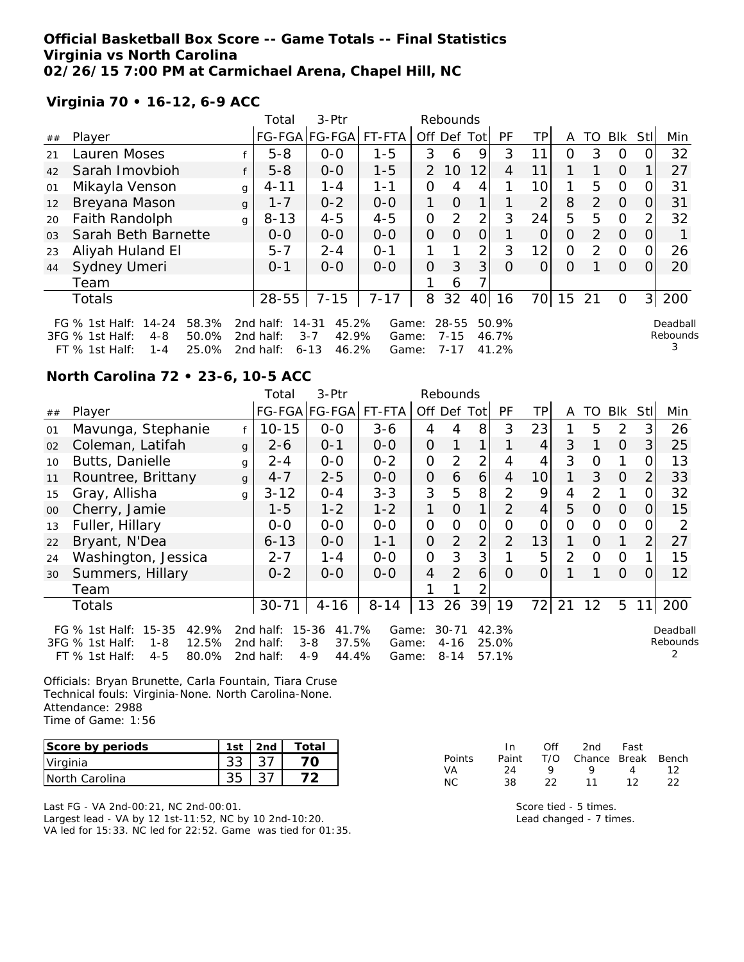## **Official Basketball Box Score -- Game Totals -- Final Statistics Virginia vs North Carolina 02/26/15 7:00 PM at Carmichael Arena, Chapel Hill, NC**

**Virginia 70 • 16-12, 6-9 ACC**

|                |                                                                                                                      |   | Total                               | 3-Ptr                                                       |                         |               | Rebounds                          |                |                         |                |          |               |          |                |                           |
|----------------|----------------------------------------------------------------------------------------------------------------------|---|-------------------------------------|-------------------------------------------------------------|-------------------------|---------------|-----------------------------------|----------------|-------------------------|----------------|----------|---------------|----------|----------------|---------------------------|
| ##             | Player                                                                                                               |   |                                     | FG-FGA FG-FGA                                               | FT-FTA                  |               | Off Def Tot                       |                | PF                      | ΤP             | A        | TO            | Blk      | Stll           | Min                       |
| 21             | Lauren Moses                                                                                                         |   | $5 - 8$                             | $0 - 0$                                                     | $1 - 5$                 | 3             | 6                                 | 9              | 3                       | 11             | O        | 3             | $\Omega$ |                | 32                        |
| 42             | Sarah Imovbioh                                                                                                       |   | $5 - 8$                             | $0 - 0$                                                     | $1 - 5$                 | $\mathcal{P}$ | 10                                | 12             | 4                       | 11             |          |               | $\Omega$ |                | 27                        |
| 01             | Mikayla Venson                                                                                                       | g | $4 - 11$                            | $1 - 4$                                                     | $1 - 1$                 | 0             | 4                                 | 4              |                         | 10             | 1        | 5             | $\Omega$ |                | 31                        |
| 12             | Breyana Mason                                                                                                        | g | $1 - 7$                             | $0 - 2$                                                     | $0-0$                   | 1             | $\Omega$                          | 1 <sub>1</sub> |                         | $\overline{2}$ | 8        | 2             | $\Omega$ | 0              | 31                        |
| 20             | Faith Randolph                                                                                                       | g | $8 - 13$                            | $4 - 5$                                                     | $4 - 5$                 | O             | 2                                 | 2 <sub>1</sub> | 3                       | 24             | 5        | 5             | $\Omega$ |                | 32                        |
| 0 <sub>3</sub> | Sarah Beth Barnette                                                                                                  |   | $0 - 0$                             | $0-0$                                                       | $0-0$                   | 0             | $\Omega$                          | 0              |                         | $\Omega$       | $\Omega$ | $\mathcal{P}$ | $\Omega$ | 0              |                           |
| 23             | Aliyah Huland El                                                                                                     |   | $5 - 7$                             | $2 - 4$                                                     | $O - 1$                 |               |                                   | 2 <sub>1</sub> | 3                       | 12             | 0        | $\mathcal{P}$ | $\Omega$ | $\Omega$       | 26                        |
| 44             | Sydney Umeri                                                                                                         |   | $0 - 1$                             | $0 - 0$                                                     | $0 - 0$                 | 0             | 3                                 | 3 <sup>1</sup> | O                       | $\Omega$       | 0        |               | $\Omega$ | $\Omega$       | 20                        |
|                | Team                                                                                                                 |   |                                     |                                                             |                         |               | 6                                 |                |                         |                |          |               |          |                |                           |
|                | Totals                                                                                                               |   | $28 - 55$                           | $7 - 15$                                                    | $7 - 17$                | 8             | 32                                | 40             | 16                      | 70l            | 15       | 21            | $\Omega$ | 3 <sup>1</sup> | 200                       |
|                | $14 - 24$<br>58.3%<br>FG $\%$ 1st Half:<br>3FG % 1st Half:<br>50.0%<br>$4 - 8$<br>25.0%<br>$FT$ % 1st Half:<br>1 - 4 |   | 2nd half:<br>2nd half:<br>2nd half: | 45.2%<br>$14 - 31$<br>42.9%<br>$3 - 7$<br>$6 - 13$<br>46.2% | Game:<br>Game:<br>Game: |               | $28 - 55$<br>$7 - 15$<br>$7 - 17$ |                | 50.9%<br>46.7%<br>41.2% |                |          |               |          |                | Deadball<br>Rebounds<br>3 |

## **North Carolina 72 • 23-6, 10-5 ACC**

|        |                                                                                                                 |              | Total                               | 3-Ptr                                                  |                         |                | Rebounds                          |                |                         |                 |               |               |                |             |                      |
|--------|-----------------------------------------------------------------------------------------------------------------|--------------|-------------------------------------|--------------------------------------------------------|-------------------------|----------------|-----------------------------------|----------------|-------------------------|-----------------|---------------|---------------|----------------|-------------|----------------------|
| ##     | Player                                                                                                          |              |                                     | FG-FGA FG-FGA                                          | FT-FTA                  | Off Def Tot    |                                   |                | <b>PF</b>               | ΤP              | A             | TO            | <b>BIK</b>     | <b>Stll</b> | Min                  |
| 01     | Mavunga, Stephanie                                                                                              |              | $10 - 15$                           | $O-O$                                                  | $3 - 6$                 | 4              | 4                                 | 8              | 3                       | 23              |               | 5             | 2              | 3           | 26                   |
| 02     | Coleman, Latifah                                                                                                | $\mathbf{q}$ | $2 - 6$                             | $0 - 1$                                                | $0-0$                   | $\overline{O}$ |                                   | 1              |                         | $\overline{4}$  | 3             | 1             | $\Omega$       | 3           | 25                   |
| 10     | Butts, Danielle                                                                                                 | g            | $2 - 4$                             | $0-0$                                                  | $0 - 2$                 | $\overline{O}$ | $\overline{2}$                    | $\overline{2}$ | 4                       | 4               | 3             | O             | 1              |             | 13                   |
| 11     | Rountree, Brittany                                                                                              | g            | $4 - 7$                             | $2 - 5$                                                | $0-0$                   | $\overline{O}$ | 6                                 | 6              | 4                       | 10 <sup>1</sup> | 1             | 3             | $\Omega$       | 2           | 33                   |
| 15     | Gray, Allisha                                                                                                   | g            | $3 - 12$                            | $0 - 4$                                                | $3 - 3$                 | 3              | 5                                 | 8 <sup>1</sup> | 2                       | 9               | 4             | $\mathcal{P}$ | 1              |             | 32                   |
| $00\,$ | Cherry, Jamie                                                                                                   |              | $1 - 5$                             | $1 - 2$                                                | $1 - 2$                 | 1              | $\Omega$                          | 1              | 2                       | 4               | 5             | $\Omega$      | $\Omega$       | O           | 15                   |
| 13     | Fuller, Hillary                                                                                                 |              | $0-0$                               | $O-O$                                                  | $0-0$                   | $\overline{O}$ | O                                 | $\overline{O}$ | Ω                       | 0               | 0             | 0             | $\overline{O}$ |             | 2                    |
| 22     | Bryant, N'Dea                                                                                                   |              | $6 - 13$                            | $0 - 0$                                                | $1 - 1$                 | $\overline{O}$ | $\overline{2}$                    | $\overline{2}$ | 2                       | 13              |               | $\Omega$      | 1              | 2           | 27                   |
| 24     | Washington, Jessica                                                                                             |              | $2 - 7$                             | $1 - 4$                                                | $0-0$                   | $\overline{O}$ | 3                                 | 3              |                         | 5               | $\mathcal{P}$ | $\Omega$      | $\Omega$       |             | 15                   |
| 30     | Summers, Hillary                                                                                                |              | $0 - 2$                             | $0-0$                                                  | $0-0$                   | $\overline{4}$ | $\overline{2}$                    | 6              | $\Omega$                | $\overline{O}$  |               |               | $\overline{O}$ | O           | 12                   |
|        | Team                                                                                                            |              |                                     |                                                        |                         |                |                                   | 2              |                         |                 |               |               |                |             |                      |
|        | <b>Totals</b>                                                                                                   |              | $30 - 71$                           | $4 - 16$                                               | $8 - 14$                | 13             | 26                                | 39             | 19                      | 72              | 21            | 12            | 5              | 11          | 200                  |
|        | $15 - 35$<br>42.9%<br>FG % 1st Half:<br>12.5%<br>3FG % 1st Half:<br>1-8<br>$4 - 5$<br>80.0%<br>$FT$ % 1st Half: |              | 2nd half:<br>2nd half:<br>2nd half: | 41.7%<br>15-36<br>37.5%<br>$3 - 8$<br>$4 - 9$<br>44.4% | Game:<br>Game:<br>Game: |                | $30 - 71$<br>$4 - 16$<br>$8 - 14$ |                | 42.3%<br>25.0%<br>57.1% |                 |               |               |                |             | Deadball<br>Rebounds |

Officials: Bryan Brunette, Carla Fountain, Tiara Cruse Technical fouls: Virginia-None. North Carolina-None. Attendance: 2988 Time of Game: 1:56

| Score by periods | 1st | 2nd | Total |
|------------------|-----|-----|-------|
| Virginia         |     |     |       |
| INorth Carolina  |     |     |       |

Last FG - VA 2nd-00:21, NC 2nd-00:01. Largest lead - VA by 12 1st-11:52, NC by 10 2nd-10:20. VA led for 15:33. NC led for 22:52. Game was tied for 01:35.

|               | In In | Off | 2nd                    | Fast |    |
|---------------|-------|-----|------------------------|------|----|
| <b>Points</b> | Paint |     | T/O Chance Break Bench |      |    |
| VA.           | 24    | Q   | Q.                     | 4    | 12 |
| NC.           | 38.   | フフ  | 11                     | 12   | つつ |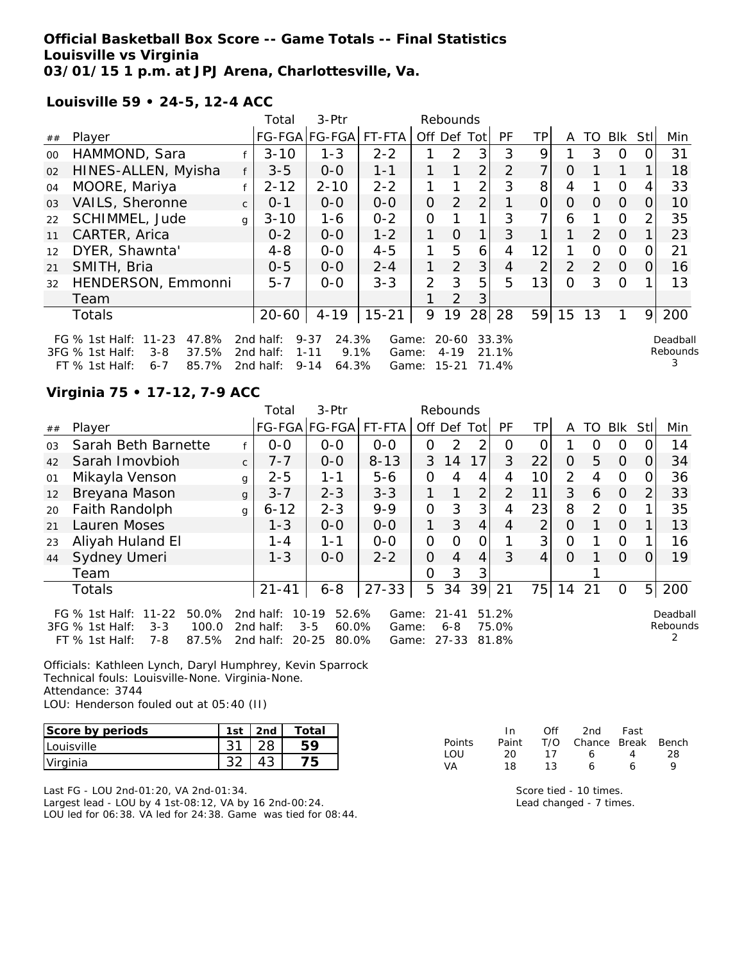## **Official Basketball Box Score -- Game Totals -- Final Statistics Louisville vs Virginia 03/01/15 1 p.m. at JPJ Arena, Charlottesville, Va.**

**Louisville 59 • 24-5, 12-4 ACC**

|        |                                                                                                                      |              | Total                               | 3-Ptr                                                      |                         |                | Rebounds                           |                |                         |     |    |               |            |               |                           |
|--------|----------------------------------------------------------------------------------------------------------------------|--------------|-------------------------------------|------------------------------------------------------------|-------------------------|----------------|------------------------------------|----------------|-------------------------|-----|----|---------------|------------|---------------|---------------------------|
| ##     | Player                                                                                                               |              |                                     | FG-FGA FG-FGA                                              | FT-FTA                  | Off            | Def                                | Tot            | PF                      | TP. | A  | TO            | <b>BIK</b> | Stll          | Min                       |
| $00\,$ | HAMMOND, Sara                                                                                                        |              | $3 - 10$                            | $1 - 3$                                                    | $2 - 2$                 |                | 2                                  | 3              | 3                       | 9   |    | 3             | Ο          |               | 31                        |
| 02     | HINES-ALLEN, Myisha                                                                                                  |              | $3 - 5$                             | $0 - 0$                                                    | $1 - 1$                 |                |                                    | $\overline{2}$ | $\mathcal{P}$           | ᄀ   | Ο  |               |            |               | 18                        |
| 04     | MOORE, Mariya                                                                                                        |              | $2 - 12$                            | $2 - 10$                                                   | $2 - 2$                 | 1              |                                    | $\overline{2}$ | 3                       | 8   | 4  |               | 0          | 4             | 33                        |
| 03     | VAILS, Sheronne                                                                                                      | $\mathsf{C}$ | $O - 1$                             | $0 - 0$                                                    | $0 - 0$                 | 0              | 2                                  | $\overline{2}$ |                         | 0   | O  | $\Omega$      | $\Omega$   | 0             | 10                        |
| 22     | SCHIMMEL, Jude                                                                                                       | g            | $3 - 10$                            | $1 - 6$                                                    | $0 - 2$                 | $\overline{O}$ |                                    | 1              | 3                       |     | 6  |               | 0          | $\mathcal{P}$ | 35                        |
| 11     | CARTER, Arica                                                                                                        |              | $0 - 2$                             | $0 - 0$                                                    | $1 - 2$                 | 1              | $\Omega$                           | 1              | 3                       | 1   |    | 2             | $\Omega$   |               | 23                        |
| 12     | DYER, Shawnta'                                                                                                       |              | $4 - 8$                             | $0-0$                                                      | $4 - 5$                 |                | 5                                  | 6              | 4                       | 12  |    | Ω             | 0          |               | 21                        |
| 21     | SMITH, Bria                                                                                                          |              | $0 - 5$                             | $0-0$                                                      | $2 - 4$                 | 1              | 2                                  | 3              | 4                       | 2   | 2  | $\mathcal{P}$ | $\Omega$   | 0             | 16                        |
| 32     | HENDERSON, Emmonni                                                                                                   |              | $5 - 7$                             | $0 - 0$                                                    | $3 - 3$                 | $\overline{2}$ | 3                                  | 5              | 5                       | 13  | Ω  | 3             | $\Omega$   |               | 13                        |
|        | Team                                                                                                                 |              |                                     |                                                            |                         |                | 2                                  | 3              |                         |     |    |               |            |               |                           |
|        | Totals                                                                                                               |              | 20-60                               | $4 - 19$                                                   | $15 - 21$               | 9              | 19                                 | 28             | 28                      | 59  | 15 | 13            |            | 9             | 200                       |
|        | $11 - 23$<br>47.8%<br>FG $\%$ 1st Half:<br>37.5%<br>3FG % 1st Half:<br>$3 - 8$<br>85.7%<br>FT % 1st Half:<br>$6 - 7$ |              | 2nd half:<br>2nd half:<br>2nd half: | $9 - 37$<br>24.3%<br>9.1%<br>$1 - 11$<br>$9 - 14$<br>64.3% | Game:<br>Game:<br>Game: |                | $20 - 60$<br>$4 - 19$<br>$15 - 21$ |                | 33.3%<br>21.1%<br>71.4% |     |    |               |            |               | Deadball<br>Rebounds<br>3 |

# **Virginia 75 • 17-12, 7-9 ACC**

|    |                                                                                                                   |              | Total                               | $3-Ptr$                                                     |                         |                | Rebounds                      |                |                         |                |          |                  |          |                  |                      |
|----|-------------------------------------------------------------------------------------------------------------------|--------------|-------------------------------------|-------------------------------------------------------------|-------------------------|----------------|-------------------------------|----------------|-------------------------|----------------|----------|------------------|----------|------------------|----------------------|
| ## | Player                                                                                                            |              |                                     | FG-FGA FG-FGA                                               | FT-FTA                  |                |                               | Off Def Tot    | PF                      | TPI            | A        | TO.              | Blk      | Stl              | Min                  |
| 03 | Sarah Beth Barnette                                                                                               |              | $0 - 0$                             | $0 - 0$                                                     | $0-0$                   | 0              | $\mathcal{P}$                 | 2              | O                       | Ο              |          | $\left( \right)$ | O        |                  | 14                   |
| 42 | Sarah Imovbioh                                                                                                    | $\mathsf{C}$ | $7 - 7$                             | $0-0$                                                       | $8 - 13$                | 3 <sup>1</sup> | 14                            | 17             | 3                       | 22             | O        | 5                | $\Omega$ | $\Omega$         | 34                   |
| 01 | Mikayla Venson                                                                                                    | g            | $2 - 5$                             | $1 - 1$                                                     | $5 - 6$                 | 0              | 4                             | 4              | 4                       | 10             | 2        | 4                | $\Omega$ |                  | 36                   |
| 12 | Breyana Mason                                                                                                     | g            | $3 - 7$                             | $2 - 3$                                                     | $3 - 3$                 | 1              |                               | $\overline{2}$ | $\mathcal{P}$           | 11             | 3        | 6                | 0        | 2                | 33                   |
| 20 | Faith Randolph                                                                                                    | g            | $6 - 12$                            | $2 - 3$                                                     | $9 - 9$                 | O              | 3                             | 3 <sup>1</sup> | 4                       | 23             | 8        | 2                | $\Omega$ |                  | 35                   |
| 21 | Lauren Moses                                                                                                      |              | $1 - 3$                             | $0 - 0$                                                     | $0 - 0$                 | 1              | 3                             | $\overline{4}$ | 4                       | $\overline{2}$ | O        |                  | $\Omega$ |                  | 13                   |
| 23 | Aliyah Huland El                                                                                                  |              | $1 - 4$                             | $1 - 1$                                                     | $0 - 0$                 | O              | $\Omega$                      | $\Omega$       |                         | 3 <sup>1</sup> | O        |                  | $\Omega$ |                  | 16                   |
| 44 | Sydney Umeri                                                                                                      |              | $1 - 3$                             | $0 - 0$                                                     | $2 - 2$                 | $\mathcal{O}$  | 4                             | $\overline{4}$ | 3                       | 4              | $\Omega$ |                  | $\Omega$ | $\left( \right)$ | 19                   |
|    | Team                                                                                                              |              |                                     |                                                             |                         | 0              | 3                             | 3              |                         |                |          |                  |          |                  |                      |
|    | <b>Totals</b>                                                                                                     |              | $21 - 41$                           | $6 - 8$                                                     | $27 - 33$               |                | 5 34                          | 39             | 21                      | 75             | 14       | 21               | $\Omega$ |                  | $5$   200            |
|    | 50.0%<br>FG $%$ 1st Half:<br>$11 - 22$<br>3FG % 1st Half:<br>$3 - 3$<br>100.0<br>87.5%<br>$FT$ % 1st Half:<br>7-8 |              | 2nd half:<br>2nd half:<br>2nd half: | 52.6%<br>$10 - 19$<br>$3 - 5$<br>$60.0\%$<br>20-25<br>80.0% | Game:<br>Game:<br>Game: |                | $21 - 41$<br>$6 - 8$<br>27-33 |                | 51.2%<br>75.0%<br>81.8% |                |          |                  |          |                  | Deadball<br>Rebounds |

Officials: Kathleen Lynch, Daryl Humphrey, Kevin Sparrock Technical fouls: Louisville-None. Virginia-None. Attendance: 3744 LOU: Henderson fouled out at 05:40 (II)

| Score by periods          | 1st | 2nd | ⊤otai |
|---------------------------|-----|-----|-------|
| <i><b>ILouisville</b></i> |     |     |       |
| Virginia                  |     |     |       |

Last FG - LOU 2nd-01:20, VA 2nd-01:34. Largest lead - LOU by 4 1st-08:12, VA by 16 2nd-00:24. LOU led for 06:38. VA led for 24:38. Game was tied for 08:44.

|        | In.   | ∩ff | 2nd -                  | Fast |    |
|--------|-------|-----|------------------------|------|----|
| Points | Paint |     | T/O Chance Break Bench |      |    |
| T OU   | 20.   | 17  | 6.                     | 4    | 28 |
| VА     | 18    | 13  | А                      | Ь    | Q  |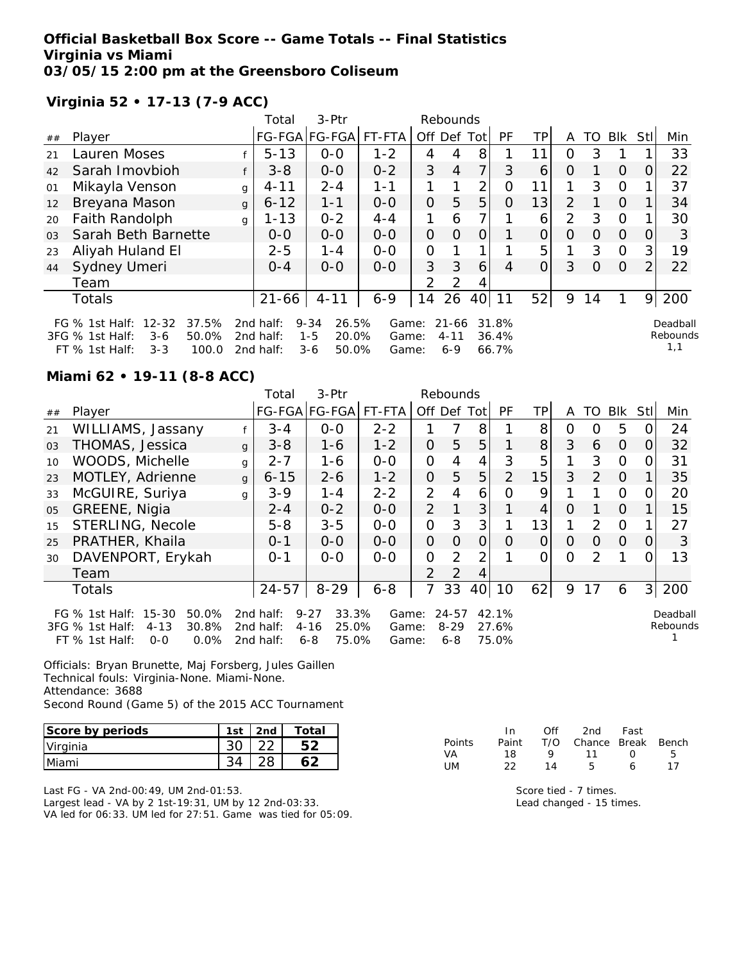## **Official Basketball Box Score -- Game Totals -- Final Statistics Virginia vs Miami 03/05/15 2:00 pm at the Greensboro Coliseum**

**Virginia 52 • 17-13 (7-9 ACC)**

|                |                                                                                                                   |              | Total                               | 3-Ptr                                                     |                         |                | Rebounds                         |                |                         |                |                |          |                |     |                             |
|----------------|-------------------------------------------------------------------------------------------------------------------|--------------|-------------------------------------|-----------------------------------------------------------|-------------------------|----------------|----------------------------------|----------------|-------------------------|----------------|----------------|----------|----------------|-----|-----------------------------|
| ##             | Player                                                                                                            |              |                                     | FG-FGA FG-FGA                                             | FT-FTA                  | Off            |                                  | Def Tot        | <b>PF</b>               | ΤP             | A              | TO.      | Blk            | Stl | Min                         |
| 21             | Lauren Moses                                                                                                      |              | $5 - 13$                            | $0 - 0$                                                   | $1 - 2$                 | 4              | 4                                | 8              |                         | 11             | 0              | 3        |                |     | 33                          |
| 42             | Sarah Imovbioh                                                                                                    |              | $3 - 8$                             | $0-0$                                                     | $0 - 2$                 | 3              | $\overline{4}$                   | 7 <sub>l</sub> | 3                       | 6              | $\Omega$       |          | $\Omega$       | 0   | 22                          |
| 01             | Mikayla Venson                                                                                                    | g            | $4 - 11$                            | $2 - 4$                                                   | $1 - 1$                 |                | 1                                | 2              | Ω                       | 11             | 1              | 3        | $\Omega$       |     | 37                          |
| 12             | Breyana Mason                                                                                                     | $\mathbf{q}$ | $6 - 12$                            | $1 - 1$                                                   | $0-0$                   | $\overline{O}$ | 5                                | 5              | O                       | 13             | $\overline{2}$ |          | $\Omega$       |     | 34                          |
| 20             | Faith Randolph                                                                                                    | $\mathsf{q}$ | $1 - 13$                            | $0 - 2$                                                   | $4 - 4$                 | 1              | 6                                |                |                         | 6              | 2              | 3        | $\Omega$       |     | 30                          |
| 0 <sub>3</sub> | Sarah Beth Barnette                                                                                               |              | $0-0$                               | $0 - 0$                                                   | $0-0$                   | $\overline{O}$ | $\Omega$                         | $\Omega$       |                         | $\overline{O}$ | $\Omega$       | $\Omega$ | $\overline{O}$ | 0   | 3                           |
| 23             | Aliyah Huland El                                                                                                  |              | $2 - 5$                             | $1 - 4$                                                   | $0 - 0$                 | 0              |                                  |                |                         | 5              | 1              | 3        | $\Omega$       | 3   | 19                          |
| 44             | Sydney Umeri                                                                                                      |              | $O - 4$                             | $0 - 0$                                                   | $0 - 0$                 | 3              | 3                                | 6              | 4                       | 0              | 3              | $\Omega$ | $\overline{O}$ | 2   | 22                          |
|                | Team                                                                                                              |              |                                     |                                                           |                         | 2              | 2                                | 4              |                         |                |                |          |                |     |                             |
|                | Totals                                                                                                            |              | $21 - 66$                           | $4 - 11$                                                  | $6 - 9$                 | 14             | 26                               | 40             | 11                      | 52             | 9              | 14       |                | 9   | 200                         |
|                | $12 - 32$<br>37.5%<br>FG $%$ 1st Half:<br>3FG % 1st Half:<br>50.0%<br>$3-6$<br>FT % 1st Half:<br>100.0<br>$3 - 3$ |              | 2nd half:<br>2nd half:<br>2nd half: | 26.5%<br>$9 - 34$<br>20.0%<br>$1 - 5$<br>$3 - 6$<br>50.0% | Game:<br>Game:<br>Game: |                | $21 - 66$<br>$4 - 11$<br>$6 - 9$ |                | 31.8%<br>36.4%<br>66.7% |                |                |          |                |     | Deadball<br>Rebounds<br>1,1 |

### **Miami 62 • 19-11 (8-8 ACC)**

|    |                                                                                                                     |              | Total                               | 3-Ptr                                                      |                         |                | Rebounds                         |      |                         |                |                |               |            |          |                      |
|----|---------------------------------------------------------------------------------------------------------------------|--------------|-------------------------------------|------------------------------------------------------------|-------------------------|----------------|----------------------------------|------|-------------------------|----------------|----------------|---------------|------------|----------|----------------------|
| ## | Player                                                                                                              |              |                                     | FG-FGA FG-FGA                                              | FT-FTA                  | Off Def        |                                  | Totl | PF                      | ТP             | A              | TO            | <b>BIK</b> | Stll     | Min                  |
| 21 | WILLIAMS, Jassany                                                                                                   |              | $3 - 4$                             | $0 - 0$                                                    | $2 - 2$                 |                |                                  | 8    |                         | 8              | Ω              | O             | 5          |          | 24                   |
| 03 | THOMAS, Jessica                                                                                                     | $\mathsf{q}$ | $3 - 8$                             | $1 - 6$                                                    | $1 - 2$                 | $\mathcal{O}$  | 5                                | 5    |                         | 8 <sup>1</sup> | 3              | 6             | $\Omega$   | O        | 32                   |
| 10 | WOODS, Michelle                                                                                                     | g            | $2 - 7$                             | $1 - 6$                                                    | $0 - 0$                 | 0              | 4                                | 4    | 3                       | 5              |                | 3             | $\Omega$   |          | 31                   |
| 23 | MOTLEY, Adrienne                                                                                                    | $\mathbf{q}$ | $6 - 15$                            | $2 - 6$                                                    | $1 - 2$                 | $\mathcal{O}$  | 5                                | 5    | 2                       | 15             | 3              | 2             | $\Omega$   |          | 35                   |
| 33 | McGUIRE, Suriya                                                                                                     | g            | $3 - 9$                             | 1-4                                                        | $2 - 2$                 | 2              | 4                                | 6    | Ω                       | 9              |                |               | 0          |          | 20                   |
| 05 | GREENE, Nigia                                                                                                       |              | $2 - 4$                             | $0 - 2$                                                    | $0 - 0$                 | $\overline{2}$ |                                  | 3    |                         | 4              | O              |               | $\Omega$   |          | 15                   |
| 15 | <b>STERLING, Necole</b>                                                                                             |              | $5 - 8$                             | $3 - 5$                                                    | $0-0$                   | $\overline{O}$ | 3                                | 3    |                         | 13             |                | $\mathcal{P}$ | $\Omega$   |          | 27                   |
| 25 | PRATHER, Khaila                                                                                                     |              | $0 - 1$                             | $0 - 0$                                                    | $0-0$                   | 0              | 0                                | 0    | $\Omega$                | 0              | O              | $\Omega$      | $\Omega$   | $\left($ | 3                    |
| 30 | DAVENPORT, Erykah                                                                                                   |              | $O - 1$                             | $0 - 0$                                                    | $0-0$                   | $\overline{O}$ | 2                                | 2    |                         | 0              | $\overline{O}$ | 2             |            |          | 13                   |
|    | Team                                                                                                                |              |                                     |                                                            |                         | $\mathcal{P}$  | $\mathcal{P}$                    | 4    |                         |                |                |               |            |          |                      |
|    | Totals                                                                                                              |              | $24 - 57$                           | $8 - 29$                                                   | $6 - 8$                 | 7              | 33                               | 40   | 10                      | 62             | 9              | 17            | 6          |          | 3 200                |
|    | $15 - 30$<br>50.0%<br>FG $%$ 1st Half:<br>$4 - 13$<br>30.8%<br>3FG % 1st Half:<br>$FT$ % 1st Half:<br>0.0%<br>$O-O$ |              | 2nd half:<br>2nd half:<br>2nd half: | $9 - 27$<br>33.3%<br>$4 - 16$<br>25.0%<br>$6 - 8$<br>75.0% | Game:<br>Game:<br>Game: |                | $24 - 57$<br>$8 - 29$<br>$6 - 8$ |      | 42.1%<br>27.6%<br>75.0% |                |                |               |            |          | Deadball<br>Rebounds |

Officials: Bryan Brunette, Maj Forsberg, Jules Gaillen Technical fouls: Virginia-None. Miami-None. Attendance: 3688 Second Round (Game 5) of the 2015 ACC Tournament

| Score by periods | 1st | 2nd | Total |
|------------------|-----|-----|-------|
| Virginia         |     |     |       |
| <b>Miami</b>     |     |     |       |

Last FG - VA 2nd-00:49, UM 2nd-01:53. Largest lead - VA by 2 1st-19:31, UM by 12 2nd-03:33. VA led for 06:33. UM led for 27:51. Game was tied for 05:09.

|        | ln.   | ∩ff     | 2nd                    | Fast     |    |
|--------|-------|---------|------------------------|----------|----|
| Points | Paint |         | T/O Chance Break Bench |          |    |
| VA     | 18    | $\circ$ | $-11$                  | $\Omega$ | 5  |
| UM.    | フフ    | 14      | Б.                     | 6        | 17 |